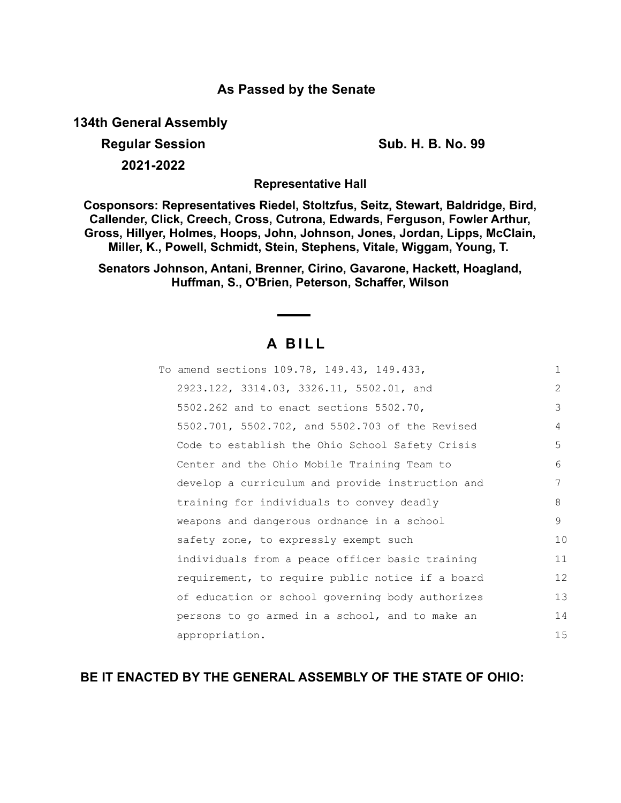## **As Passed by the Senate**

**134th General Assembly**

**Regular Session Sub. H. B. No. 99**

**2021-2022**

**Representative Hall**

**Cosponsors: Representatives Riedel, Stoltzfus, Seitz, Stewart, Baldridge, Bird, Callender, Click, Creech, Cross, Cutrona, Edwards, Ferguson, Fowler Arthur, Gross, Hillyer, Holmes, Hoops, John, Johnson, Jones, Jordan, Lipps, McClain, Miller, K., Powell, Schmidt, Stein, Stephens, Vitale, Wiggam, Young, T.** 

**Senators Johnson, Antani, Brenner, Cirino, Gavarone, Hackett, Hoagland, Huffman, S., O'Brien, Peterson, Schaffer, Wilson**

# **A B I L L**

| To amend sections 109.78, 149.43, 149.433,       | $\mathbf{1}$   |
|--------------------------------------------------|----------------|
| 2923.122, 3314.03, 3326.11, 5502.01, and         | $\overline{2}$ |
| 5502.262 and to enact sections 5502.70,          | 3              |
| 5502.701, 5502.702, and 5502.703 of the Revised  | 4              |
| Code to establish the Ohio School Safety Crisis  | 5              |
| Center and the Ohio Mobile Training Team to      | 6              |
| develop a curriculum and provide instruction and | 7              |
| training for individuals to convey deadly        | 8              |
| weapons and dangerous ordnance in a school       | 9              |
| safety zone, to expressly exempt such            | 10             |
| individuals from a peace officer basic training  | 11             |
| requirement, to require public notice if a board | 12             |
| of education or school governing body authorizes | 13             |
| persons to go armed in a school, and to make an  | 14             |
| appropriation.                                   | 15             |

**BE IT ENACTED BY THE GENERAL ASSEMBLY OF THE STATE OF OHIO:**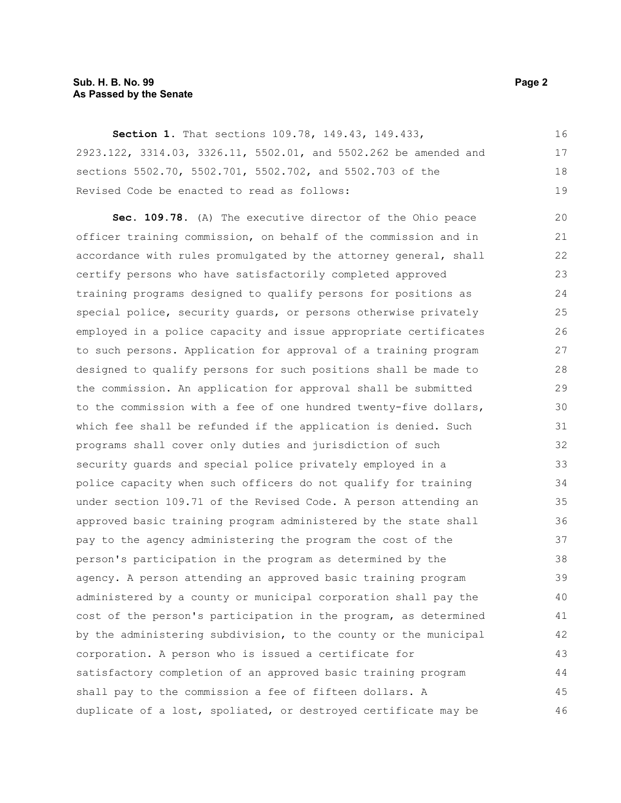## **Sub. H. B. No. 99 Page 2 As Passed by the Senate**

| Section 1. That sections 109.78, 149.43, 149.433,                | 16 |
|------------------------------------------------------------------|----|
| 2923.122, 3314.03, 3326.11, 5502.01, and 5502.262 be amended and | 17 |
| sections 5502.70, 5502.701, 5502.702, and 5502.703 of the        | 18 |
| Revised Code be enacted to read as follows:                      | 19 |
| Sec. 109.78. (A) The executive director of the Ohio peace        | 20 |
| officer training commission, on behalf of the commission and in  | 21 |
| accordance with rules promulgated by the attorney general, shall | 22 |
| certify persons who have satisfactorily completed approved       | 23 |
| training programs designed to qualify persons for positions as   | 24 |
| special police, security guards, or persons otherwise privately  | 25 |
| employed in a police capacity and issue appropriate certificates | 26 |
| to such persons. Application for approval of a training program  | 27 |
| designed to qualify persons for such positions shall be made to  | 28 |
| the commission. An application for approval shall be submitted   | 29 |
| to the commission with a fee of one hundred twenty-five dollars, | 30 |
| which fee shall be refunded if the application is denied. Such   | 31 |
| programs shall cover only duties and jurisdiction of such        | 32 |
| security guards and special police privately employed in a       | 33 |
| police capacity when such officers do not qualify for training   | 34 |
| under section 109.71 of the Revised Code. A person attending an  | 35 |
| approved basic training program administered by the state shall  | 36 |
| pay to the agency administering the program the cost of the      | 37 |
| person's participation in the program as determined by the       | 38 |
| agency. A person attending an approved basic training program    | 39 |
| administered by a county or municipal corporation shall pay the  | 40 |
| cost of the person's participation in the program, as determined | 41 |
| by the administering subdivision, to the county or the municipal | 42 |
| corporation. A person who is issued a certificate for            | 43 |
| satisfactory completion of an approved basic training program    | 44 |
| shall pay to the commission a fee of fifteen dollars. A          | 45 |
| duplicate of a lost, spoliated, or destroyed certificate may be  | 46 |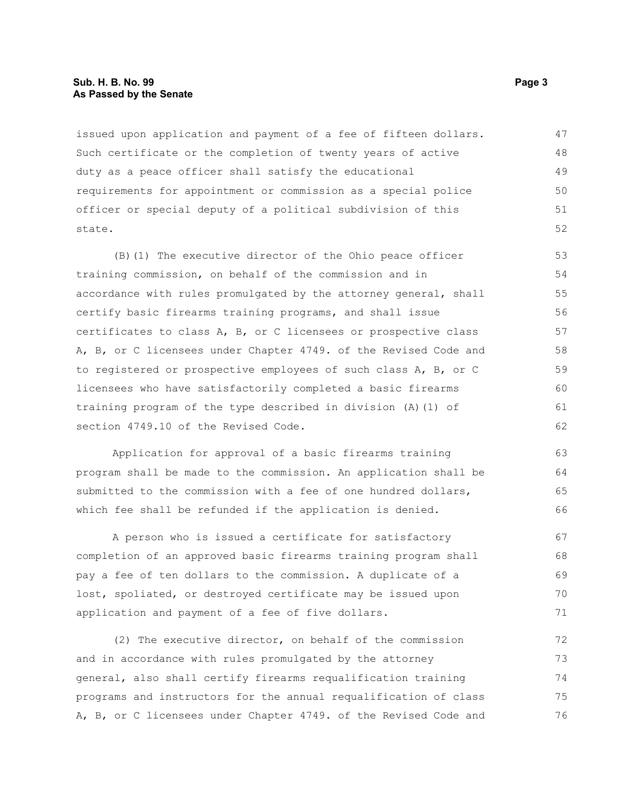#### **Sub. H. B. No. 99 Page 3 As Passed by the Senate**

issued upon application and payment of a fee of fifteen dollars. Such certificate or the completion of twenty years of active duty as a peace officer shall satisfy the educational requirements for appointment or commission as a special police officer or special deputy of a political subdivision of this state. 47 48 49 50 51 52

(B)(1) The executive director of the Ohio peace officer training commission, on behalf of the commission and in accordance with rules promulgated by the attorney general, shall certify basic firearms training programs, and shall issue certificates to class A, B, or C licensees or prospective class A, B, or C licensees under Chapter 4749. of the Revised Code and to registered or prospective employees of such class A, B, or C licensees who have satisfactorily completed a basic firearms training program of the type described in division (A)(1) of section 4749.10 of the Revised Code. 53 54 55 56 57 58 59 60 61 62

Application for approval of a basic firearms training program shall be made to the commission. An application shall be submitted to the commission with a fee of one hundred dollars, which fee shall be refunded if the application is denied.

A person who is issued a certificate for satisfactory completion of an approved basic firearms training program shall pay a fee of ten dollars to the commission. A duplicate of a lost, spoliated, or destroyed certificate may be issued upon application and payment of a fee of five dollars. 67 68 69 70 71

(2) The executive director, on behalf of the commission and in accordance with rules promulgated by the attorney general, also shall certify firearms requalification training programs and instructors for the annual requalification of class A, B, or C licensees under Chapter 4749. of the Revised Code and 72 73 74 75 76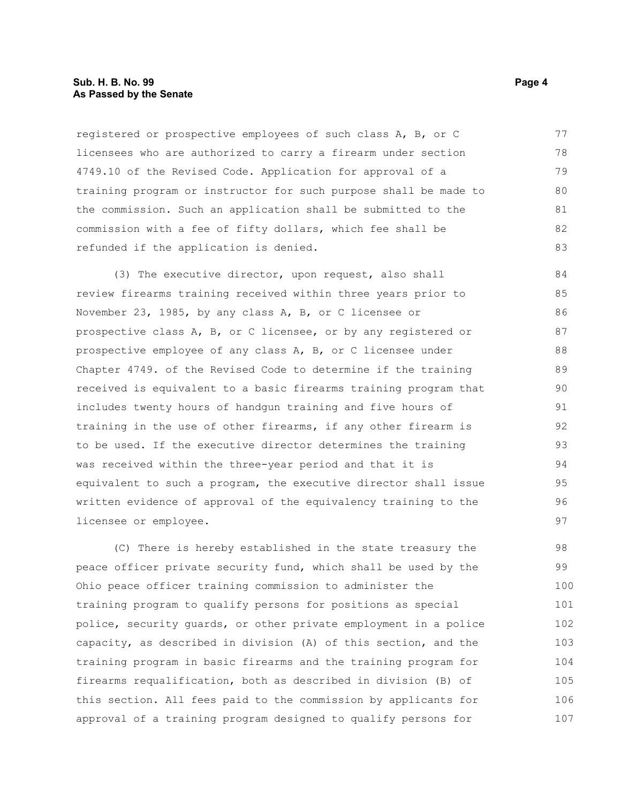#### **Sub. H. B. No. 99 Page 4 As Passed by the Senate**

registered or prospective employees of such class A, B, or C licensees who are authorized to carry a firearm under section 4749.10 of the Revised Code. Application for approval of a training program or instructor for such purpose shall be made to the commission. Such an application shall be submitted to the commission with a fee of fifty dollars, which fee shall be refunded if the application is denied. 77 78 79 80 81 82 83

(3) The executive director, upon request, also shall review firearms training received within three years prior to November 23, 1985, by any class A, B, or C licensee or prospective class A, B, or C licensee, or by any registered or prospective employee of any class A, B, or C licensee under Chapter 4749. of the Revised Code to determine if the training received is equivalent to a basic firearms training program that includes twenty hours of handgun training and five hours of training in the use of other firearms, if any other firearm is to be used. If the executive director determines the training was received within the three-year period and that it is equivalent to such a program, the executive director shall issue written evidence of approval of the equivalency training to the licensee or employee. 84 85 86 87 88 89 90 91 92 93 94 95 96 97

(C) There is hereby established in the state treasury the peace officer private security fund, which shall be used by the Ohio peace officer training commission to administer the training program to qualify persons for positions as special police, security guards, or other private employment in a police capacity, as described in division (A) of this section, and the training program in basic firearms and the training program for firearms requalification, both as described in division (B) of this section. All fees paid to the commission by applicants for approval of a training program designed to qualify persons for 98 99 100 101 102 103 104 105 106 107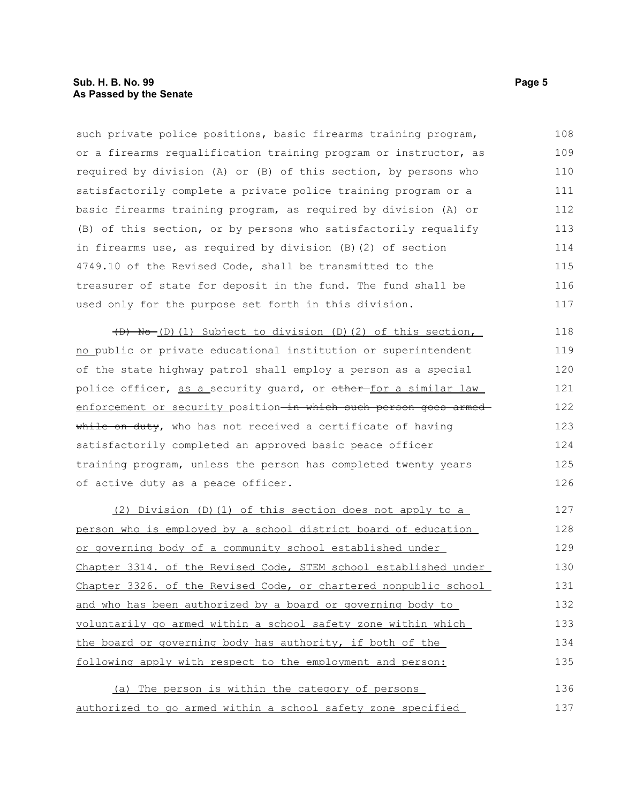such private police positions, basic firearms training program, or a firearms requalification training program or instructor, as required by division (A) or (B) of this section, by persons who satisfactorily complete a private police training program or a basic firearms training program, as required by division (A) or (B) of this section, or by persons who satisfactorily requalify in firearms use, as required by division (B)(2) of section 4749.10 of the Revised Code, shall be transmitted to the treasurer of state for deposit in the fund. The fund shall be used only for the purpose set forth in this division. 108 109 110 111 112 113 114 115 116 117

(D) No (D)(1) Subject to division (D)(2) of this section, no public or private educational institution or superintendent of the state highway patrol shall employ a person as a special police officer, as a security guard, or other for a similar law enforcement or security position-in which such person goes armedwhile on duty, who has not received a certificate of having satisfactorily completed an approved basic peace officer training program, unless the person has completed twenty years of active duty as a peace officer.

(2) Division (D)(1) of this section does not apply to a person who is employed by a school district board of education or governing body of a community school established under Chapter 3314. of the Revised Code, STEM school established under Chapter 3326. of the Revised Code, or chartered nonpublic school and who has been authorized by a board or governing body to voluntarily go armed within a school safety zone within which the board or governing body has authority, if both of the following apply with respect to the employment and person: 127 128 129 130 131 132 133 134 135

(a) The person is within the category of persons authorized to go armed within a school safety zone specified 136 137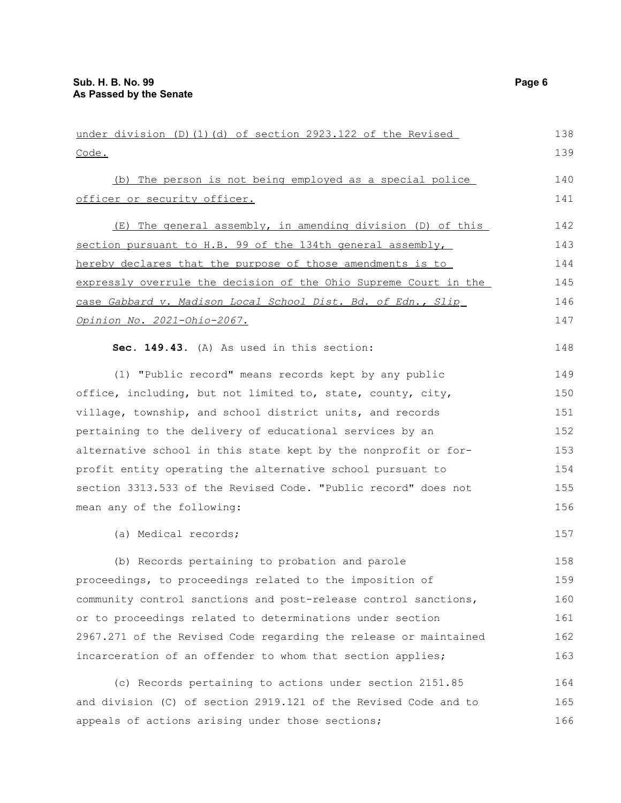| under division (D)(1)(d) of section 2923.122 of the Revised      | 138 |
|------------------------------------------------------------------|-----|
| Code.                                                            | 139 |
| (b) The person is not being employed as a special police         | 140 |
| officer or security officer.                                     | 141 |
| (E) The general assembly, in amending division (D) of this       | 142 |
| section pursuant to H.B. 99 of the 134th general assembly,       | 143 |
| hereby declares that the purpose of those amendments is to       | 144 |
| expressly overrule the decision of the Ohio Supreme Court in the | 145 |
| case Gabbard v. Madison Local School Dist. Bd. of Edn., Slip     | 146 |
| <u>Opinion No. 2021-Ohio-2067.</u>                               | 147 |
| Sec. 149.43. (A) As used in this section:                        | 148 |
| (1) "Public record" means records kept by any public             | 149 |
| office, including, but not limited to, state, county, city,      | 150 |
| village, township, and school district units, and records        | 151 |
| pertaining to the delivery of educational services by an         | 152 |
| alternative school in this state kept by the nonprofit or for-   | 153 |
| profit entity operating the alternative school pursuant to       | 154 |
| section 3313.533 of the Revised Code. "Public record" does not   | 155 |
| mean any of the following:                                       | 156 |
| (a) Medical records;                                             | 157 |
| (b) Records pertaining to probation and parole                   | 158 |
| proceedings, to proceedings related to the imposition of         | 159 |
| community control sanctions and post-release control sanctions,  | 160 |
| or to proceedings related to determinations under section        | 161 |
| 2967.271 of the Revised Code regarding the release or maintained | 162 |
| incarceration of an offender to whom that section applies;       | 163 |
| (c) Records pertaining to actions under section 2151.85          | 164 |
| and division (C) of section 2919.121 of the Revised Code and to  | 165 |
| appeals of actions arising under those sections;                 | 166 |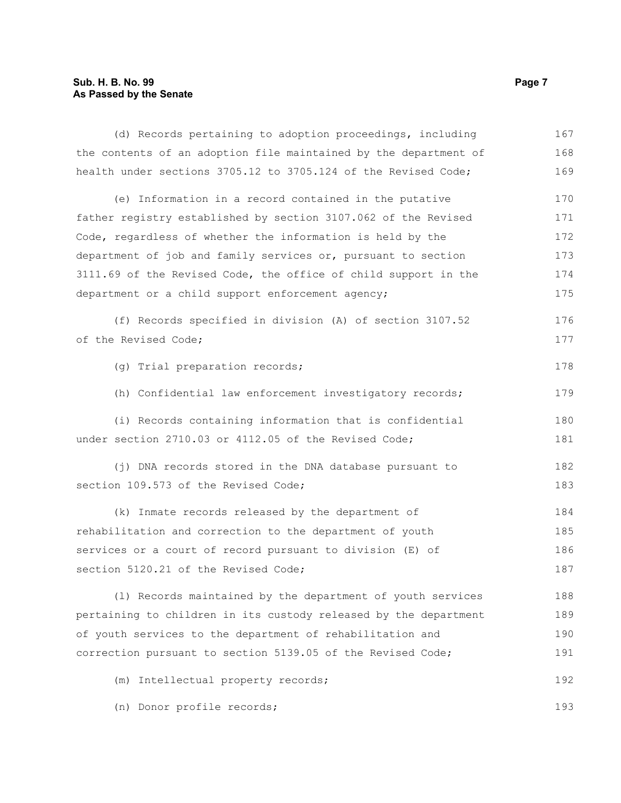### **Sub. H. B. No. 99 Page 7 As Passed by the Senate**

| (d) Records pertaining to adoption proceedings, including                                                                                                                    | 167 |
|------------------------------------------------------------------------------------------------------------------------------------------------------------------------------|-----|
| the contents of an adoption file maintained by the department of                                                                                                             | 168 |
| health under sections 3705.12 to 3705.124 of the Revised Code;                                                                                                               | 169 |
| (e) Information in a record contained in the putative                                                                                                                        | 170 |
| father registry established by section 3107.062 of the Revised                                                                                                               | 171 |
| Code, regardless of whether the information is held by the                                                                                                                   | 172 |
| department of job and family services or, pursuant to section                                                                                                                | 173 |
| 3111.69 of the Revised Code, the office of child support in the                                                                                                              | 174 |
| department or a child support enforcement agency;                                                                                                                            | 175 |
| (f) Records specified in division (A) of section 3107.52                                                                                                                     | 176 |
| of the Revised Code;<br>(g) Trial preparation records;<br>(h) Confidential law enforcement investigatory records;<br>(i) Records containing information that is confidential |     |
|                                                                                                                                                                              | 178 |
|                                                                                                                                                                              | 179 |
|                                                                                                                                                                              | 180 |
| under section 2710.03 or 4112.05 of the Revised Code;                                                                                                                        | 181 |
| (j) DNA records stored in the DNA database pursuant to                                                                                                                       | 182 |
| section 109.573 of the Revised Code;                                                                                                                                         | 183 |
| (k) Inmate records released by the department of                                                                                                                             | 184 |
| rehabilitation and correction to the department of youth                                                                                                                     | 185 |
| services or a court of record pursuant to division (E) of                                                                                                                    | 186 |
| section 5120.21 of the Revised Code;                                                                                                                                         | 187 |
| (1) Records maintained by the department of youth services                                                                                                                   | 188 |
| pertaining to children in its custody released by the department                                                                                                             | 189 |
| of youth services to the department of rehabilitation and                                                                                                                    | 190 |
| correction pursuant to section 5139.05 of the Revised Code;                                                                                                                  | 191 |
| (m) Intellectual property records;                                                                                                                                           | 192 |
| (n) Donor profile records;                                                                                                                                                   | 193 |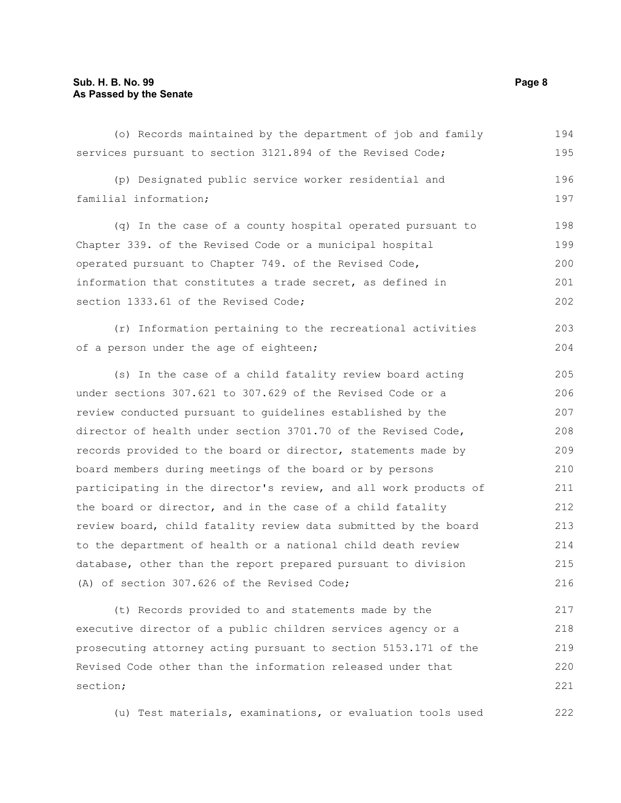section;

| (o) Records maintained by the department of job and family       | 194 |
|------------------------------------------------------------------|-----|
| services pursuant to section 3121.894 of the Revised Code;       | 195 |
| (p) Designated public service worker residential and             | 196 |
| familial information;                                            | 197 |
| (q) In the case of a county hospital operated pursuant to        | 198 |
| Chapter 339. of the Revised Code or a municipal hospital         | 199 |
| operated pursuant to Chapter 749. of the Revised Code,           | 200 |
| information that constitutes a trade secret, as defined in       | 201 |
| section 1333.61 of the Revised Code;                             | 202 |
| (r) Information pertaining to the recreational activities        | 203 |
| of a person under the age of eighteen;                           | 204 |
| (s) In the case of a child fatality review board acting          | 205 |
| under sections 307.621 to 307.629 of the Revised Code or a       | 206 |
| review conducted pursuant to guidelines established by the       | 207 |
| director of health under section 3701.70 of the Revised Code,    | 208 |
| records provided to the board or director, statements made by    | 209 |
| board members during meetings of the board or by persons         | 210 |
| participating in the director's review, and all work products of | 211 |
| the board or director, and in the case of a child fatality       | 212 |
| review board, child fatality review data submitted by the board  | 213 |
| to the department of health or a national child death review     | 214 |
| database, other than the report prepared pursuant to division    | 215 |
| (A) of section 307.626 of the Revised Code;                      | 216 |
| (t) Records provided to and statements made by the               | 217 |
| executive director of a public children services agency or a     | 218 |
| prosecuting attorney acting pursuant to section 5153.171 of the  | 219 |
| Revised Code other than the information released under that      | 220 |

(u) Test materials, examinations, or evaluation tools used

221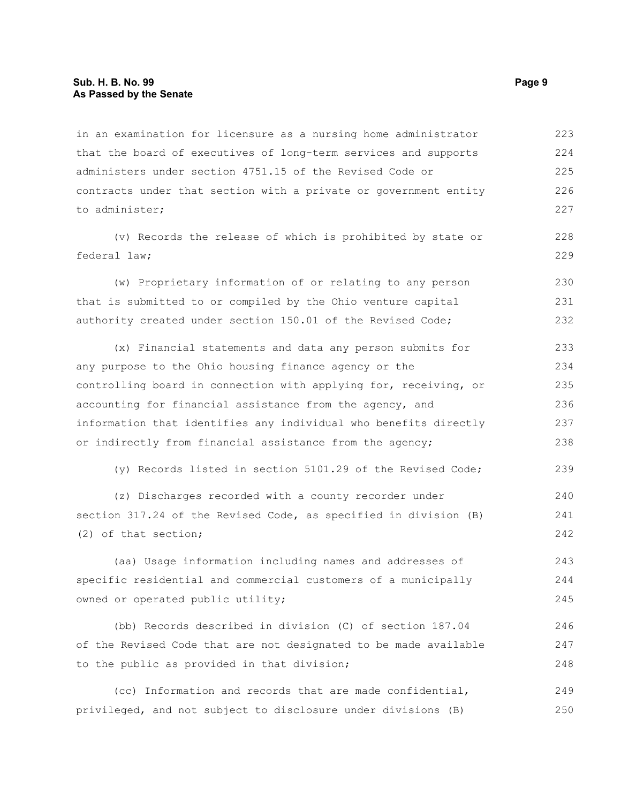#### **Sub. H. B. No. 99 Page 9 As Passed by the Senate**

in an examination for licensure as a nursing home administrator that the board of executives of long-term services and supports administers under section 4751.15 of the Revised Code or contracts under that section with a private or government entity to administer; 223 224 225 226 227

(v) Records the release of which is prohibited by state or federal law;

(w) Proprietary information of or relating to any person that is submitted to or compiled by the Ohio venture capital authority created under section 150.01 of the Revised Code; 230 231 232

(x) Financial statements and data any person submits for any purpose to the Ohio housing finance agency or the controlling board in connection with applying for, receiving, or accounting for financial assistance from the agency, and information that identifies any individual who benefits directly or indirectly from financial assistance from the agency; 233 234 235 236 237 238

(y) Records listed in section 5101.29 of the Revised Code; 239

(z) Discharges recorded with a county recorder under section 317.24 of the Revised Code, as specified in division (B) (2) of that section;

(aa) Usage information including names and addresses of specific residential and commercial customers of a municipally owned or operated public utility; 243 244 245

(bb) Records described in division (C) of section 187.04 of the Revised Code that are not designated to be made available to the public as provided in that division; 246 247 248

(cc) Information and records that are made confidential, privileged, and not subject to disclosure under divisions (B) 249 250

228 229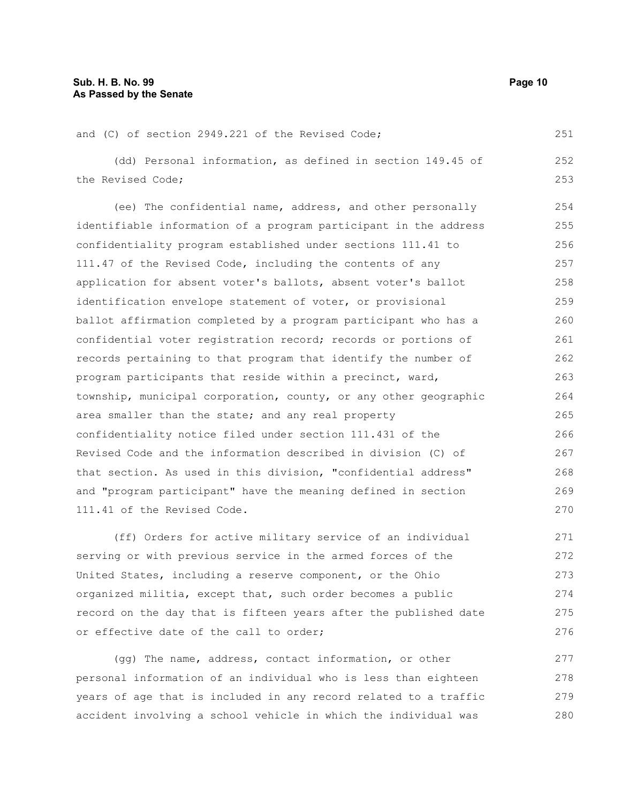| and (C) of section 2949.221 of the Revised Code;                 | 251 |
|------------------------------------------------------------------|-----|
| (dd) Personal information, as defined in section 149.45 of       | 252 |
| the Revised Code;                                                | 253 |
| (ee) The confidential name, address, and other personally        | 254 |
| identifiable information of a program participant in the address | 255 |
| confidentiality program established under sections 111.41 to     | 256 |
| 111.47 of the Revised Code, including the contents of any        | 257 |
| application for absent voter's ballots, absent voter's ballot    | 258 |
| identification envelope statement of voter, or provisional       | 259 |
| ballot affirmation completed by a program participant who has a  | 260 |
| confidential voter registration record; records or portions of   | 261 |
| records pertaining to that program that identify the number of   | 262 |
| program participants that reside within a precinct, ward,        | 263 |
| township, municipal corporation, county, or any other geographic | 264 |
| area smaller than the state; and any real property               | 265 |
| confidentiality notice filed under section 111.431 of the        | 266 |
| Revised Code and the information described in division (C) of    | 267 |
| that section. As used in this division, "confidential address"   | 268 |
| and "program participant" have the meaning defined in section    | 269 |
| 111.41 of the Revised Code.                                      | 270 |
|                                                                  |     |

(ff) Orders for active military service of an individual serving or with previous service in the armed forces of the United States, including a reserve component, or the Ohio organized militia, except that, such order becomes a public record on the day that is fifteen years after the published date or effective date of the call to order; 271 272 273 274 275 276

(gg) The name, address, contact information, or other personal information of an individual who is less than eighteen years of age that is included in any record related to a traffic accident involving a school vehicle in which the individual was 277 278 279 280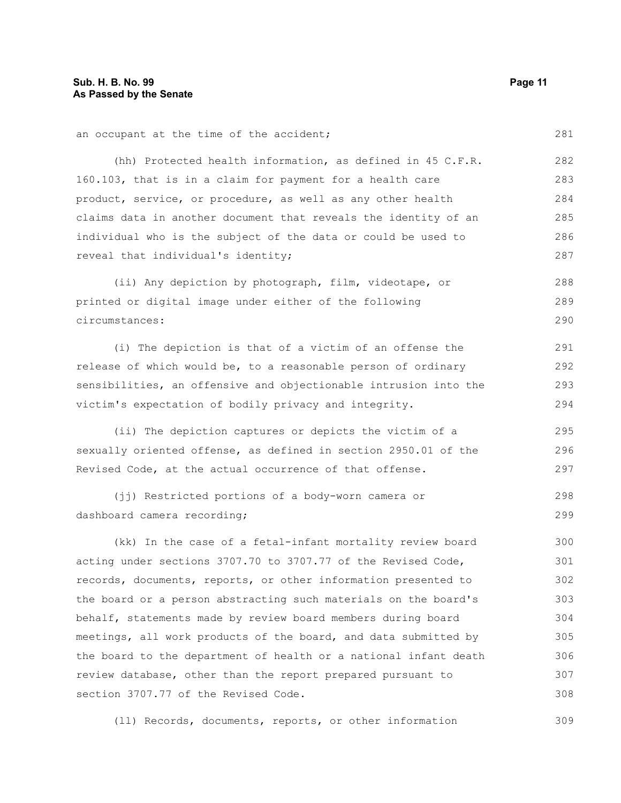an occupant at the time of the accident; (hh) Protected health information, as defined in 45 C.F.R. 160.103, that is in a claim for payment for a health care product, service, or procedure, as well as any other health claims data in another document that reveals the identity of an individual who is the subject of the data or could be used to reveal that individual's identity; (ii) Any depiction by photograph, film, videotape, or printed or digital image under either of the following circumstances: (i) The depiction is that of a victim of an offense the release of which would be, to a reasonable person of ordinary sensibilities, an offensive and objectionable intrusion into the victim's expectation of bodily privacy and integrity. (ii) The depiction captures or depicts the victim of a sexually oriented offense, as defined in section 2950.01 of the 281 282 283 284 285 286 287 288 289 290 291 292 293 294 295 296

(jj) Restricted portions of a body-worn camera or dashboard camera recording; 298 299

Revised Code, at the actual occurrence of that offense.

(kk) In the case of a fetal-infant mortality review board acting under sections 3707.70 to 3707.77 of the Revised Code, records, documents, reports, or other information presented to the board or a person abstracting such materials on the board's behalf, statements made by review board members during board meetings, all work products of the board, and data submitted by the board to the department of health or a national infant death review database, other than the report prepared pursuant to section 3707.77 of the Revised Code. 300 301 302 303 304 305 306 307 308

(ll) Records, documents, reports, or other information

297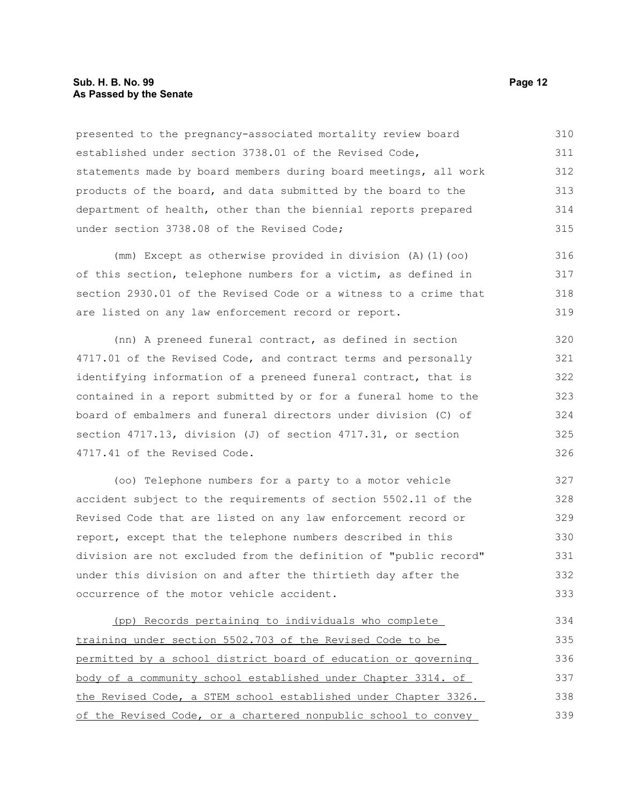#### **Sub. H. B. No. 99 Page 12 As Passed by the Senate**

presented to the pregnancy-associated mortality review board established under section 3738.01 of the Revised Code, statements made by board members during board meetings, all work products of the board, and data submitted by the board to the department of health, other than the biennial reports prepared under section 3738.08 of the Revised Code; 310 311 312 313 314 315

(mm) Except as otherwise provided in division (A)(1)(oo) of this section, telephone numbers for a victim, as defined in section 2930.01 of the Revised Code or a witness to a crime that are listed on any law enforcement record or report. 316 317 318 319

(nn) A preneed funeral contract, as defined in section 4717.01 of the Revised Code, and contract terms and personally identifying information of a preneed funeral contract, that is contained in a report submitted by or for a funeral home to the board of embalmers and funeral directors under division (C) of section 4717.13, division (J) of section 4717.31, or section 4717.41 of the Revised Code. 320 321 322 323 324 325 326

(oo) Telephone numbers for a party to a motor vehicle accident subject to the requirements of section 5502.11 of the Revised Code that are listed on any law enforcement record or report, except that the telephone numbers described in this division are not excluded from the definition of "public record" under this division on and after the thirtieth day after the occurrence of the motor vehicle accident.

(pp) Records pertaining to individuals who complete training under section 5502.703 of the Revised Code to be permitted by a school district board of education or governing body of a community school established under Chapter 3314. of the Revised Code, a STEM school established under Chapter 3326. of the Revised Code, or a chartered nonpublic school to convey 334 335 336 337 338 339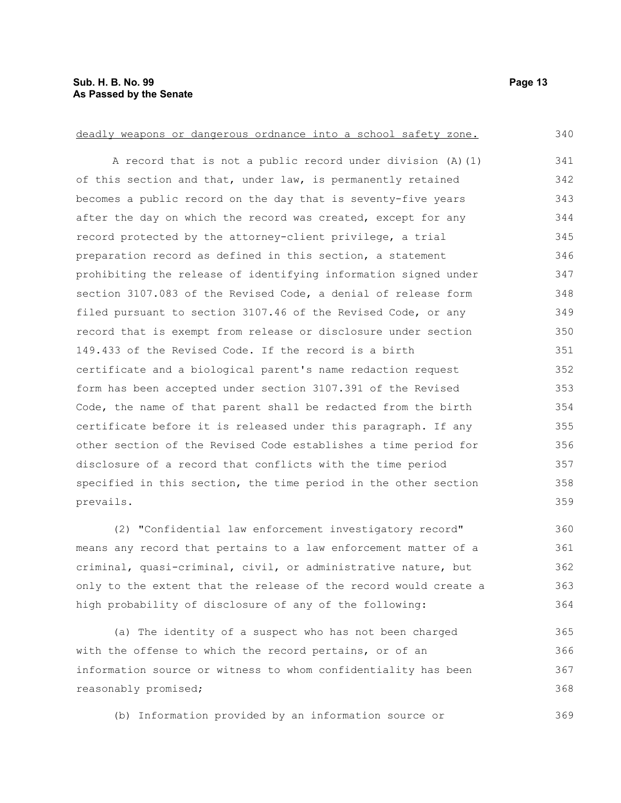deadly weapons or dangerous ordnance into a school safety zone. A record that is not a public record under division (A)(1) of this section and that, under law, is permanently retained becomes a public record on the day that is seventy-five years after the day on which the record was created, except for any record protected by the attorney-client privilege, a trial preparation record as defined in this section, a statement prohibiting the release of identifying information signed under section 3107.083 of the Revised Code, a denial of release form filed pursuant to section 3107.46 of the Revised Code, or any record that is exempt from release or disclosure under section 149.433 of the Revised Code. If the record is a birth certificate and a biological parent's name redaction request form has been accepted under section 3107.391 of the Revised Code, the name of that parent shall be redacted from the birth certificate before it is released under this paragraph. If any other section of the Revised Code establishes a time period for disclosure of a record that conflicts with the time period specified in this section, the time period in the other section prevails. 340 341 342 343 344 345 346 347 348 349 350 351 352 353 354 355 356 357 358 359

(2) "Confidential law enforcement investigatory record" means any record that pertains to a law enforcement matter of a criminal, quasi-criminal, civil, or administrative nature, but only to the extent that the release of the record would create a high probability of disclosure of any of the following: 360 361 362 363 364

(a) The identity of a suspect who has not been charged with the offense to which the record pertains, or of an information source or witness to whom confidentiality has been reasonably promised; 365 366 367 368

(b) Information provided by an information source or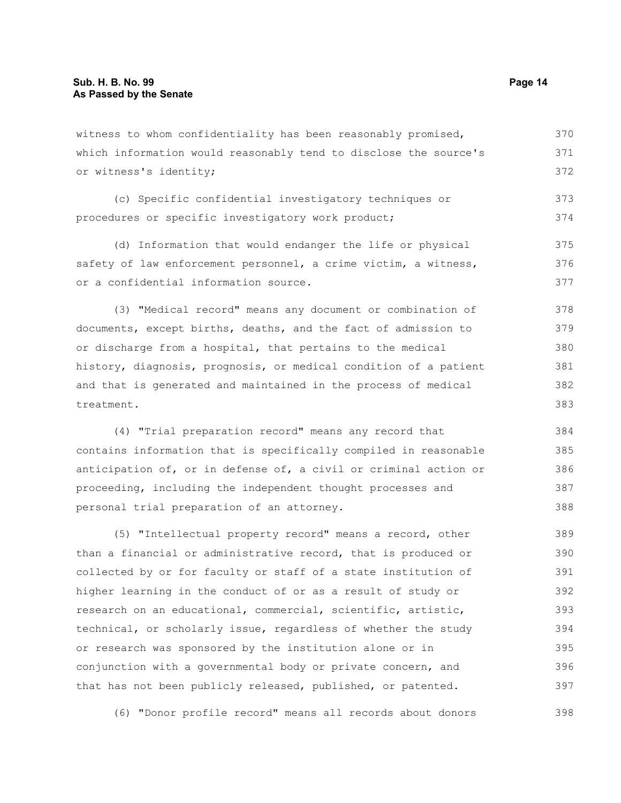witness to whom confidentiality has been reasonably promised, which information would reasonably tend to disclose the source's or witness's identity; 370 371 372

(c) Specific confidential investigatory techniques or procedures or specific investigatory work product; 373 374

(d) Information that would endanger the life or physical safety of law enforcement personnel, a crime victim, a witness, or a confidential information source. 375 376 377

(3) "Medical record" means any document or combination of documents, except births, deaths, and the fact of admission to or discharge from a hospital, that pertains to the medical history, diagnosis, prognosis, or medical condition of a patient and that is generated and maintained in the process of medical treatment. 378 379 380 381 382 383

(4) "Trial preparation record" means any record that contains information that is specifically compiled in reasonable anticipation of, or in defense of, a civil or criminal action or proceeding, including the independent thought processes and personal trial preparation of an attorney. 384 385 386

(5) "Intellectual property record" means a record, other than a financial or administrative record, that is produced or collected by or for faculty or staff of a state institution of higher learning in the conduct of or as a result of study or research on an educational, commercial, scientific, artistic, technical, or scholarly issue, regardless of whether the study or research was sponsored by the institution alone or in conjunction with a governmental body or private concern, and that has not been publicly released, published, or patented. 389 390 391 392 393 394 395 396 397

(6) "Donor profile record" means all records about donors 398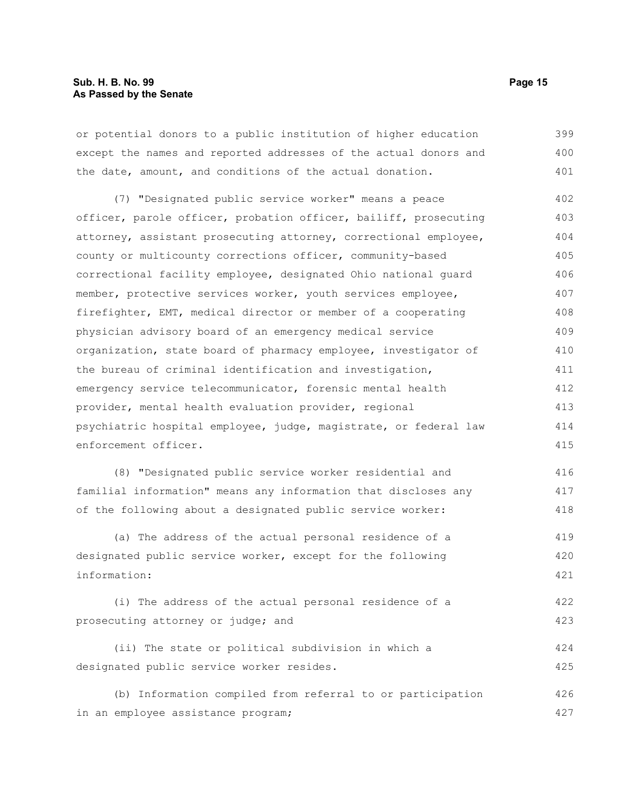or potential donors to a public institution of higher education except the names and reported addresses of the actual donors and the date, amount, and conditions of the actual donation. 399 400 401

(7) "Designated public service worker" means a peace officer, parole officer, probation officer, bailiff, prosecuting attorney, assistant prosecuting attorney, correctional employee, county or multicounty corrections officer, community-based correctional facility employee, designated Ohio national guard member, protective services worker, youth services employee, firefighter, EMT, medical director or member of a cooperating physician advisory board of an emergency medical service organization, state board of pharmacy employee, investigator of the bureau of criminal identification and investigation, emergency service telecommunicator, forensic mental health provider, mental health evaluation provider, regional psychiatric hospital employee, judge, magistrate, or federal law enforcement officer. 402 403 404 405 406 407 408 409 410 411 412 413 414 415

(8) "Designated public service worker residential and familial information" means any information that discloses any of the following about a designated public service worker: 416 417 418

(a) The address of the actual personal residence of a designated public service worker, except for the following information: 419 420 421

(i) The address of the actual personal residence of a prosecuting attorney or judge; and 422 423

(ii) The state or political subdivision in which a designated public service worker resides. 424 425

(b) Information compiled from referral to or participation in an employee assistance program; 426 427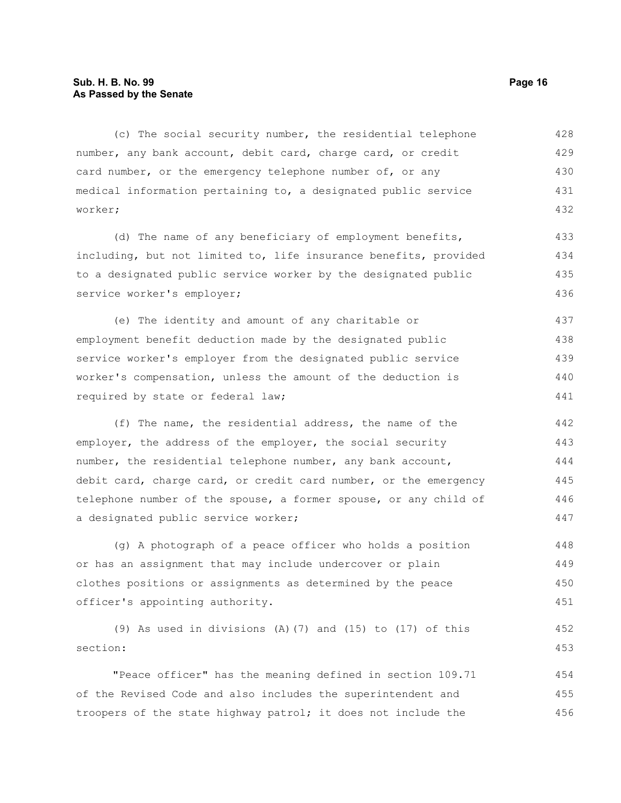#### **Sub. H. B. No. 99 Page 16 As Passed by the Senate**

(c) The social security number, the residential telephone number, any bank account, debit card, charge card, or credit card number, or the emergency telephone number of, or any medical information pertaining to, a designated public service worker; 428 429 430 431 432

(d) The name of any beneficiary of employment benefits, including, but not limited to, life insurance benefits, provided to a designated public service worker by the designated public service worker's employer; 433 434 435 436

(e) The identity and amount of any charitable or employment benefit deduction made by the designated public service worker's employer from the designated public service worker's compensation, unless the amount of the deduction is required by state or federal law; 437 438 439 440 441

(f) The name, the residential address, the name of the employer, the address of the employer, the social security number, the residential telephone number, any bank account, debit card, charge card, or credit card number, or the emergency telephone number of the spouse, a former spouse, or any child of a designated public service worker; 442 443 444 445 446 447

(g) A photograph of a peace officer who holds a position or has an assignment that may include undercover or plain clothes positions or assignments as determined by the peace officer's appointing authority. 448 449 450 451

(9) As used in divisions (A)(7) and (15) to (17) of this section: 452 453

"Peace officer" has the meaning defined in section 109.71 of the Revised Code and also includes the superintendent and troopers of the state highway patrol; it does not include the 454 455 456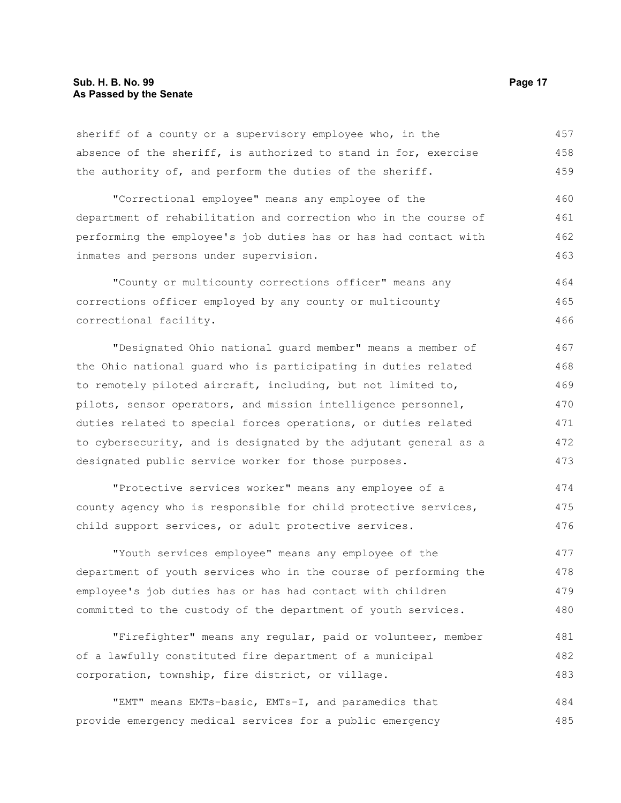sheriff of a county or a supervisory employee who, in the absence of the sheriff, is authorized to stand in for, exercise the authority of, and perform the duties of the sheriff. 457 458 459

"Correctional employee" means any employee of the department of rehabilitation and correction who in the course of performing the employee's job duties has or has had contact with inmates and persons under supervision. 460 461 462 463

"County or multicounty corrections officer" means any corrections officer employed by any county or multicounty correctional facility. 464 465 466

"Designated Ohio national guard member" means a member of the Ohio national guard who is participating in duties related to remotely piloted aircraft, including, but not limited to, pilots, sensor operators, and mission intelligence personnel, duties related to special forces operations, or duties related to cybersecurity, and is designated by the adjutant general as a designated public service worker for those purposes. 467 468 469 470 471 472 473

"Protective services worker" means any employee of a county agency who is responsible for child protective services, child support services, or adult protective services. 474 475 476

"Youth services employee" means any employee of the department of youth services who in the course of performing the employee's job duties has or has had contact with children committed to the custody of the department of youth services. 477 478 479 480

"Firefighter" means any regular, paid or volunteer, member of a lawfully constituted fire department of a municipal corporation, township, fire district, or village. 481 482 483

"EMT" means EMTs-basic, EMTs-I, and paramedics that provide emergency medical services for a public emergency 484 485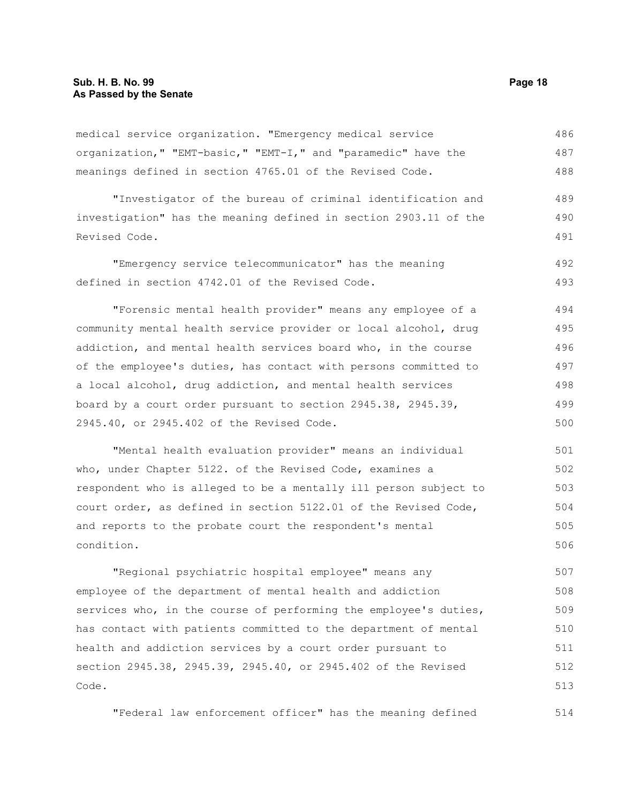medical service organization. "Emergency medical service organization," "EMT-basic," "EMT-I," and "paramedic" have the meanings defined in section 4765.01 of the Revised Code. 486 487 488

"Investigator of the bureau of criminal identification and investigation" has the meaning defined in section 2903.11 of the Revised Code. 489 490 491

"Emergency service telecommunicator" has the meaning defined in section 4742.01 of the Revised Code. 492 493

"Forensic mental health provider" means any employee of a community mental health service provider or local alcohol, drug addiction, and mental health services board who, in the course of the employee's duties, has contact with persons committed to a local alcohol, drug addiction, and mental health services board by a court order pursuant to section 2945.38, 2945.39, 2945.40, or 2945.402 of the Revised Code. 494 495 496 497 498 499 500

"Mental health evaluation provider" means an individual who, under Chapter 5122. of the Revised Code, examines a respondent who is alleged to be a mentally ill person subject to court order, as defined in section 5122.01 of the Revised Code, and reports to the probate court the respondent's mental condition. 501 502 503 504 505 506

"Regional psychiatric hospital employee" means any employee of the department of mental health and addiction services who, in the course of performing the employee's duties, has contact with patients committed to the department of mental health and addiction services by a court order pursuant to section 2945.38, 2945.39, 2945.40, or 2945.402 of the Revised Code. 507 508 509 510 511 512 513

"Federal law enforcement officer" has the meaning defined 514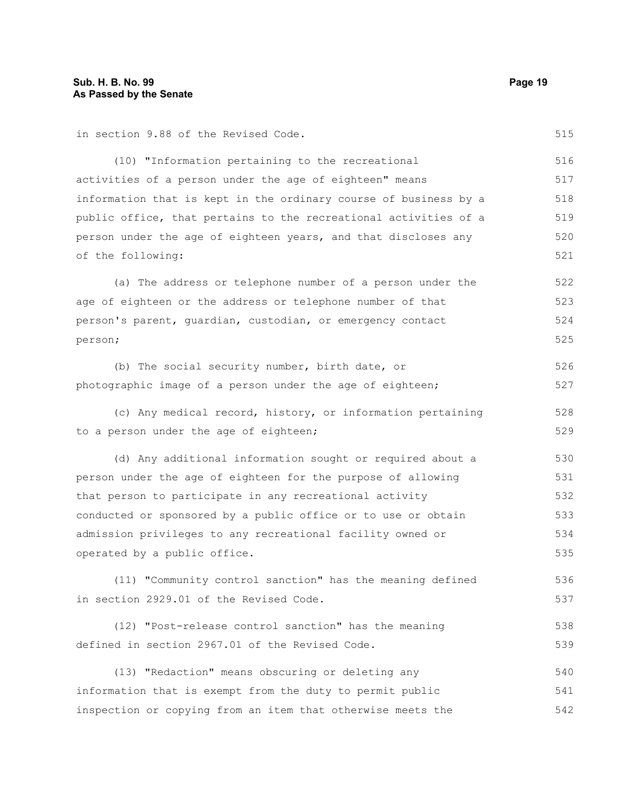in section 9.88 of the Revised Code.

(10) "Information pertaining to the recreational activities of a person under the age of eighteen" means information that is kept in the ordinary course of business by a public office, that pertains to the recreational activities of a person under the age of eighteen years, and that discloses any of the following: 516 517 518 519 520 521

(a) The address or telephone number of a person under the age of eighteen or the address or telephone number of that person's parent, guardian, custodian, or emergency contact person; 522 523 524 525

(b) The social security number, birth date, or photographic image of a person under the age of eighteen; 526 527

(c) Any medical record, history, or information pertaining to a person under the age of eighteen; 528 529

(d) Any additional information sought or required about a person under the age of eighteen for the purpose of allowing that person to participate in any recreational activity conducted or sponsored by a public office or to use or obtain admission privileges to any recreational facility owned or operated by a public office. 530 531 532 533 534 535

(11) "Community control sanction" has the meaning defined in section 2929.01 of the Revised Code. 536 537

(12) "Post-release control sanction" has the meaning defined in section 2967.01 of the Revised Code. 538 539

(13) "Redaction" means obscuring or deleting any information that is exempt from the duty to permit public inspection or copying from an item that otherwise meets the 540 541 542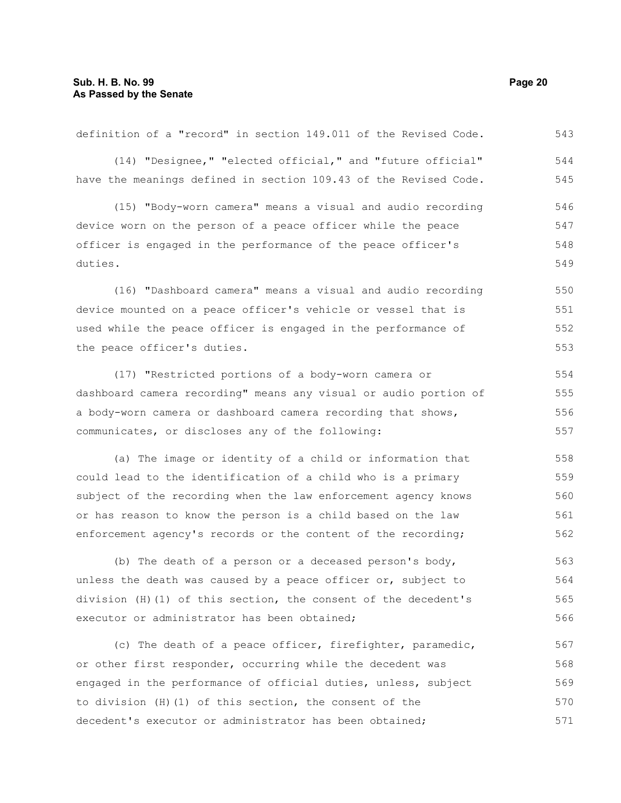| (14) "Designee," "elected official," and "future official"       | 544 |
|------------------------------------------------------------------|-----|
| have the meanings defined in section 109.43 of the Revised Code. | 545 |
| (15) "Body-worn camera" means a visual and audio recording       | 546 |
| device worn on the person of a peace officer while the peace     | 547 |
| officer is engaged in the performance of the peace officer's     | 548 |
| duties.                                                          | 549 |
| (16) "Dashboard camera" means a visual and audio recording       | 550 |
| device mounted on a peace officer's vehicle or vessel that is    | 551 |
| used while the peace officer is engaged in the performance of    | 552 |
| the peace officer's duties.                                      | 553 |
| (17) "Restricted portions of a body-worn camera or               | 554 |
| dashboard camera recording" means any visual or audio portion of | 555 |
| a body-worn camera or dashboard camera recording that shows,     | 556 |
| communicates, or discloses any of the following:                 | 557 |
| (a) The image or identity of a child or information that         | 558 |
| could lead to the identification of a child who is a primary     | 559 |
| subject of the recording when the law enforcement agency knows   | 560 |
| or has reason to know the person is a child based on the law     | 561 |
| enforcement agency's records or the content of the recording;    | 562 |
| (b) The death of a person or a deceased person's body,           | 563 |
| unless the death was caused by a peace officer or, subject to    | 564 |
| division (H)(1) of this section, the consent of the decedent's   | 565 |
| executor or administrator has been obtained;                     | 566 |
| (c) The death of a peace officer, firefighter, paramedic,        | 567 |
| or other first responder, occurring while the decedent was       | 568 |
| engaged in the performance of official duties, unless, subject   | 569 |
| to division (H) (1) of this section, the consent of the          | 570 |
| decedent's executor or administrator has been obtained;          | 571 |

definition of a "record" in section 149.011 of the Revised Code.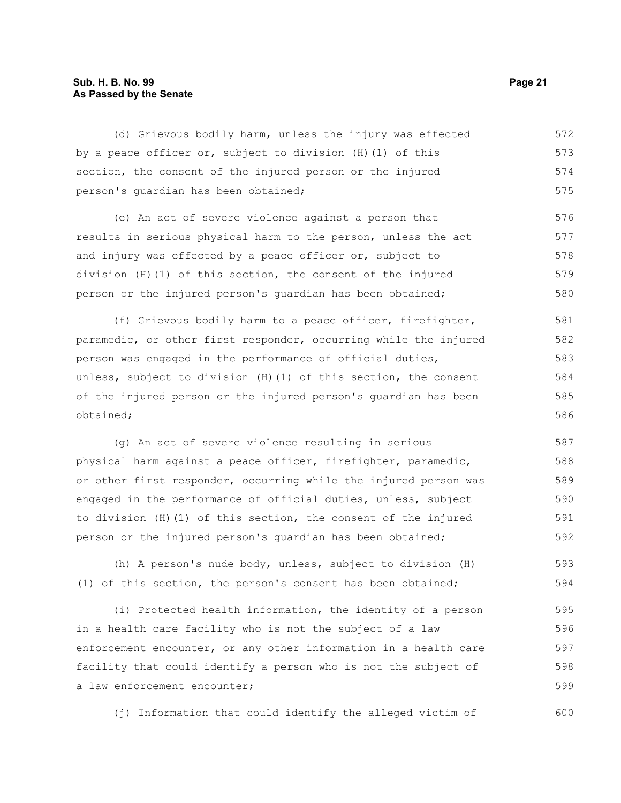#### **Sub. H. B. No. 99 Page 21 As Passed by the Senate**

(d) Grievous bodily harm, unless the injury was effected by a peace officer or, subject to division (H)(1) of this section, the consent of the injured person or the injured person's guardian has been obtained; (e) An act of severe violence against a person that results in serious physical harm to the person, unless the act and injury was effected by a peace officer or, subject to division (H)(1) of this section, the consent of the injured person or the injured person's guardian has been obtained; (f) Grievous bodily harm to a peace officer, firefighter, paramedic, or other first responder, occurring while the injured person was engaged in the performance of official duties, unless, subject to division (H)(1) of this section, the consent of the injured person or the injured person's guardian has been obtained; 572 573 574 575 576 577 578 579 580 581 582 583 584 585 586 587

(g) An act of severe violence resulting in serious physical harm against a peace officer, firefighter, paramedic, or other first responder, occurring while the injured person was engaged in the performance of official duties, unless, subject to division (H)(1) of this section, the consent of the injured person or the injured person's guardian has been obtained; 588 589 590 591 592

(h) A person's nude body, unless, subject to division (H) (1) of this section, the person's consent has been obtained; 593 594

(i) Protected health information, the identity of a person in a health care facility who is not the subject of a law enforcement encounter, or any other information in a health care facility that could identify a person who is not the subject of a law enforcement encounter; 595 596 597 598 599

(j) Information that could identify the alleged victim of 600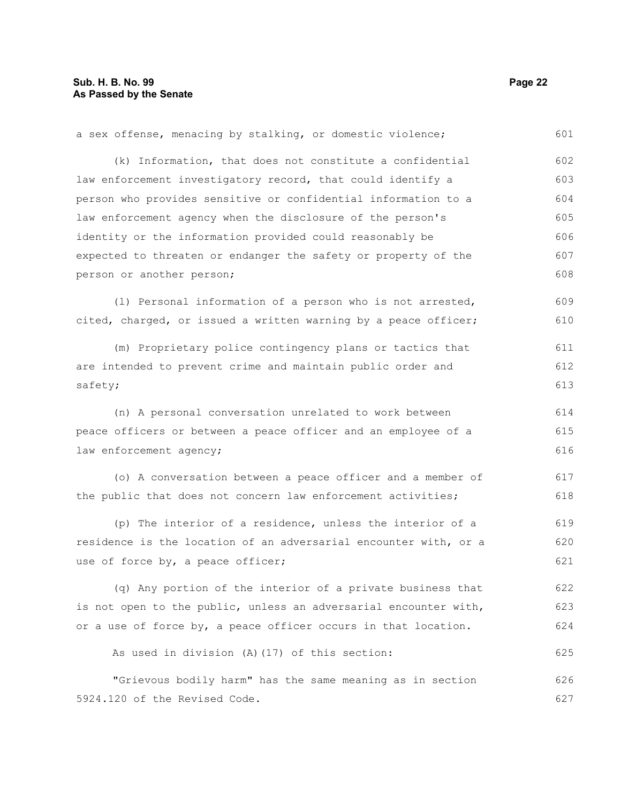5924.120 of the Revised Code.

a sex offense, menacing by stalking, or domestic violence; (k) Information, that does not constitute a confidential law enforcement investigatory record, that could identify a person who provides sensitive or confidential information to a law enforcement agency when the disclosure of the person's identity or the information provided could reasonably be expected to threaten or endanger the safety or property of the person or another person; (l) Personal information of a person who is not arrested, cited, charged, or issued a written warning by a peace officer; (m) Proprietary police contingency plans or tactics that are intended to prevent crime and maintain public order and safety; (n) A personal conversation unrelated to work between peace officers or between a peace officer and an employee of a law enforcement agency; (o) A conversation between a peace officer and a member of the public that does not concern law enforcement activities; (p) The interior of a residence, unless the interior of a residence is the location of an adversarial encounter with, or a use of force by, a peace officer; (q) Any portion of the interior of a private business that is not open to the public, unless an adversarial encounter with, or a use of force by, a peace officer occurs in that location. As used in division (A)(17) of this section: "Grievous bodily harm" has the same meaning as in section 601 602 603 604 605 606 607 608 609 610 611 612 613 614 615 616 617 618 619 620 621 622 623 624 625 626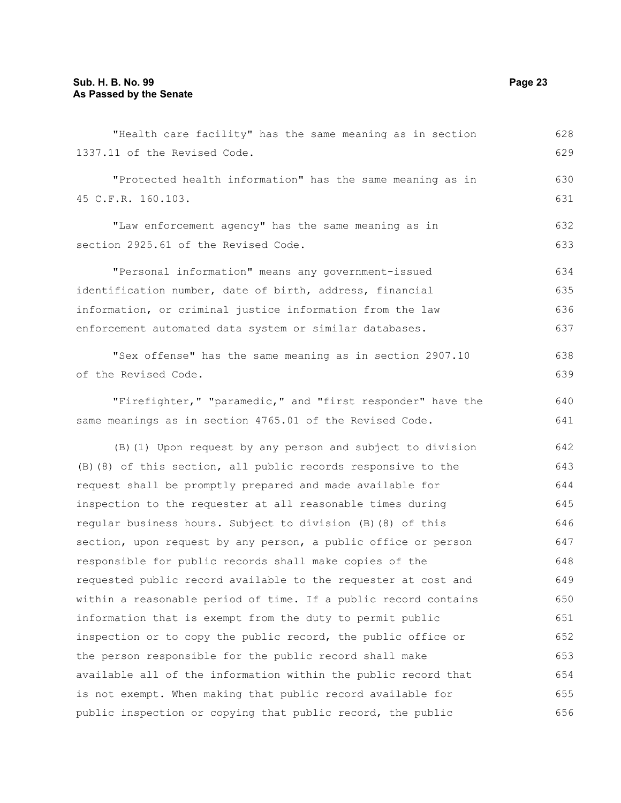| "Health care facility" has the same meaning as in section       | 628 |
|-----------------------------------------------------------------|-----|
| 1337.11 of the Revised Code.                                    | 629 |
| "Protected health information" has the same meaning as in       | 630 |
| 45 C.F.R. 160.103.                                              | 631 |
|                                                                 |     |
| "Law enforcement agency" has the same meaning as in             | 632 |
| section 2925.61 of the Revised Code.                            | 633 |
| "Personal information" means any government-issued              | 634 |
| identification number, date of birth, address, financial        | 635 |
| information, or criminal justice information from the law       | 636 |
| enforcement automated data system or similar databases.         | 637 |
| "Sex offense" has the same meaning as in section 2907.10        | 638 |
| of the Revised Code.                                            | 639 |
|                                                                 | 640 |
| "Firefighter," "paramedic," and "first responder" have the      |     |
| same meanings as in section 4765.01 of the Revised Code.        | 641 |
| (B) (1) Upon request by any person and subject to division      | 642 |
| (B) (8) of this section, all public records responsive to the   | 643 |
| request shall be promptly prepared and made available for       | 644 |
| inspection to the requester at all reasonable times during      | 645 |
| regular business hours. Subject to division (B) (8) of this     | 646 |
| section, upon request by any person, a public office or person  | 647 |
| responsible for public records shall make copies of the         | 648 |
| requested public record available to the requester at cost and  | 649 |
| within a reasonable period of time. If a public record contains | 650 |
| information that is exempt from the duty to permit public       | 651 |
| inspection or to copy the public record, the public office or   | 652 |
| the person responsible for the public record shall make         | 653 |
| available all of the information within the public record that  | 654 |
| is not exempt. When making that public record available for     | 655 |
| public inspection or copying that public record, the public     | 656 |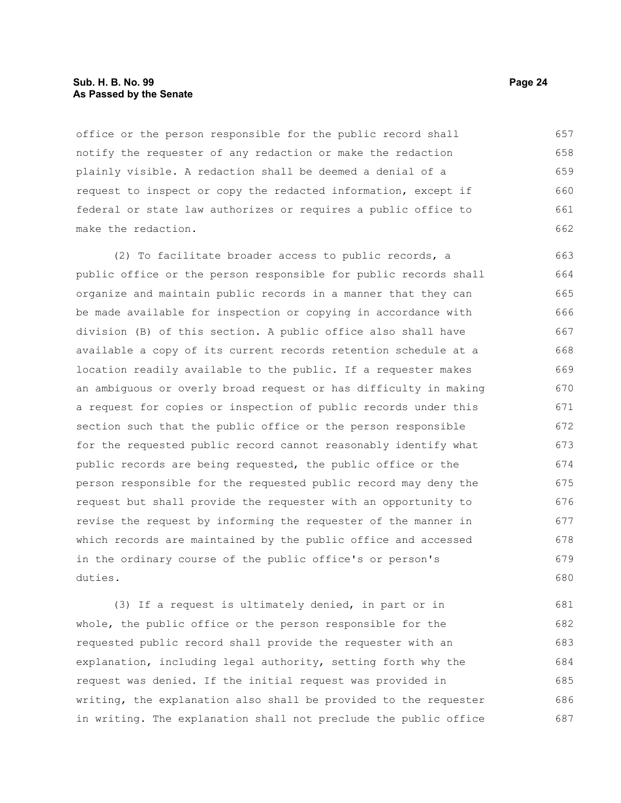#### **Sub. H. B. No. 99 Page 24 As Passed by the Senate**

office or the person responsible for the public record shall notify the requester of any redaction or make the redaction plainly visible. A redaction shall be deemed a denial of a request to inspect or copy the redacted information, except if federal or state law authorizes or requires a public office to make the redaction. 657 658 659 660 661 662

(2) To facilitate broader access to public records, a public office or the person responsible for public records shall organize and maintain public records in a manner that they can be made available for inspection or copying in accordance with division (B) of this section. A public office also shall have available a copy of its current records retention schedule at a location readily available to the public. If a requester makes an ambiguous or overly broad request or has difficulty in making a request for copies or inspection of public records under this section such that the public office or the person responsible for the requested public record cannot reasonably identify what public records are being requested, the public office or the person responsible for the requested public record may deny the request but shall provide the requester with an opportunity to revise the request by informing the requester of the manner in which records are maintained by the public office and accessed in the ordinary course of the public office's or person's duties. 663 664 665 666 667 668 669 670 671 672 673 674 675 676 677 678 679 680

(3) If a request is ultimately denied, in part or in whole, the public office or the person responsible for the requested public record shall provide the requester with an explanation, including legal authority, setting forth why the request was denied. If the initial request was provided in writing, the explanation also shall be provided to the requester in writing. The explanation shall not preclude the public office 681 682 683 684 685 686 687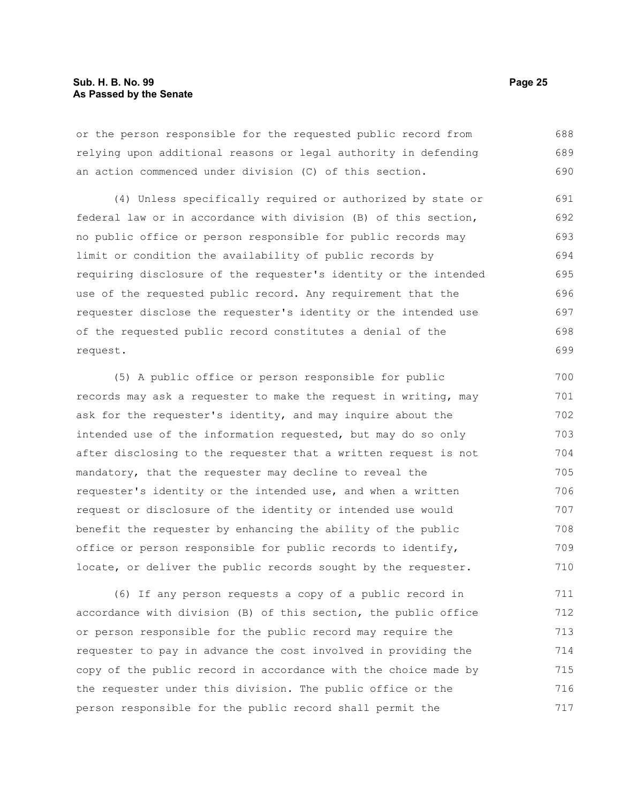or the person responsible for the requested public record from relying upon additional reasons or legal authority in defending an action commenced under division (C) of this section. 688 689 690

(4) Unless specifically required or authorized by state or federal law or in accordance with division (B) of this section, no public office or person responsible for public records may limit or condition the availability of public records by requiring disclosure of the requester's identity or the intended use of the requested public record. Any requirement that the requester disclose the requester's identity or the intended use of the requested public record constitutes a denial of the request. 691 692 693 694 695 696 697 698 699

(5) A public office or person responsible for public records may ask a requester to make the request in writing, may ask for the requester's identity, and may inquire about the intended use of the information requested, but may do so only after disclosing to the requester that a written request is not mandatory, that the requester may decline to reveal the requester's identity or the intended use, and when a written request or disclosure of the identity or intended use would benefit the requester by enhancing the ability of the public office or person responsible for public records to identify, locate, or deliver the public records sought by the requester. 700 701 702 703 704 705 706 707 708 709 710

(6) If any person requests a copy of a public record in accordance with division (B) of this section, the public office or person responsible for the public record may require the requester to pay in advance the cost involved in providing the copy of the public record in accordance with the choice made by the requester under this division. The public office or the person responsible for the public record shall permit the 711 712 713 714 715 716 717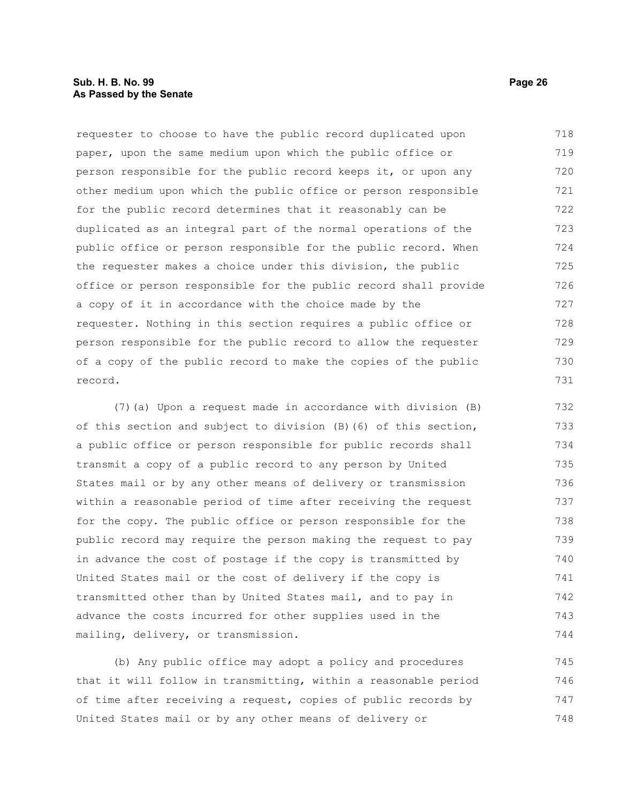#### **Sub. H. B. No. 99 Page 26 As Passed by the Senate**

requester to choose to have the public record duplicated upon paper, upon the same medium upon which the public office or person responsible for the public record keeps it, or upon any other medium upon which the public office or person responsible for the public record determines that it reasonably can be duplicated as an integral part of the normal operations of the public office or person responsible for the public record. When the requester makes a choice under this division, the public office or person responsible for the public record shall provide a copy of it in accordance with the choice made by the requester. Nothing in this section requires a public office or person responsible for the public record to allow the requester of a copy of the public record to make the copies of the public record. 718 719 720 721 722 723 724 725 726 727 728 729 730 731

(7)(a) Upon a request made in accordance with division (B) of this section and subject to division (B)(6) of this section, a public office or person responsible for public records shall transmit a copy of a public record to any person by United States mail or by any other means of delivery or transmission within a reasonable period of time after receiving the request for the copy. The public office or person responsible for the public record may require the person making the request to pay in advance the cost of postage if the copy is transmitted by United States mail or the cost of delivery if the copy is transmitted other than by United States mail, and to pay in advance the costs incurred for other supplies used in the mailing, delivery, or transmission. 732 733 734 735 736 737 738 739 740 741 742 743 744

(b) Any public office may adopt a policy and procedures that it will follow in transmitting, within a reasonable period of time after receiving a request, copies of public records by United States mail or by any other means of delivery or 745 746 747 748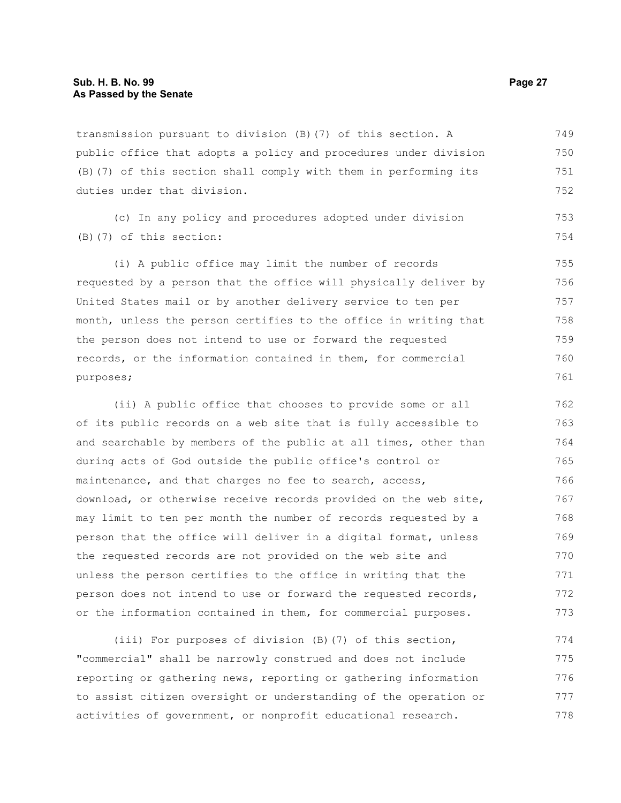transmission pursuant to division (B)(7) of this section. A public office that adopts a policy and procedures under division (B)(7) of this section shall comply with them in performing its duties under that division. 749 750 751 752

(c) In any policy and procedures adopted under division (B)(7) of this section:

(i) A public office may limit the number of records requested by a person that the office will physically deliver by United States mail or by another delivery service to ten per month, unless the person certifies to the office in writing that the person does not intend to use or forward the requested records, or the information contained in them, for commercial purposes; 755 756 757 758 759 760 761

(ii) A public office that chooses to provide some or all of its public records on a web site that is fully accessible to and searchable by members of the public at all times, other than during acts of God outside the public office's control or maintenance, and that charges no fee to search, access, download, or otherwise receive records provided on the web site, may limit to ten per month the number of records requested by a person that the office will deliver in a digital format, unless the requested records are not provided on the web site and unless the person certifies to the office in writing that the person does not intend to use or forward the requested records, or the information contained in them, for commercial purposes. 762 763 764 765 766 767 768 769 770 771 772 773

(iii) For purposes of division (B)(7) of this section, "commercial" shall be narrowly construed and does not include reporting or gathering news, reporting or gathering information to assist citizen oversight or understanding of the operation or activities of government, or nonprofit educational research. 774 775 776 777 778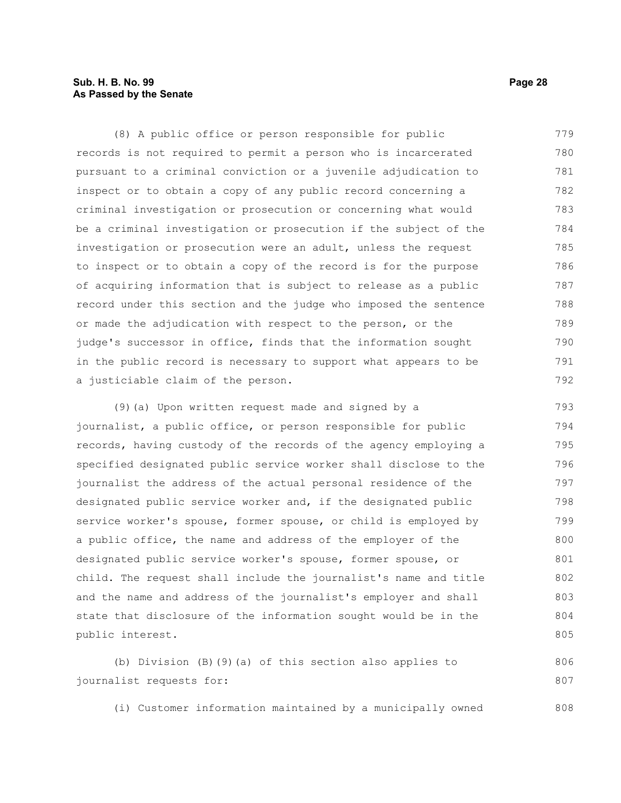#### **Sub. H. B. No. 99 Page 28 As Passed by the Senate**

(8) A public office or person responsible for public records is not required to permit a person who is incarcerated pursuant to a criminal conviction or a juvenile adjudication to inspect or to obtain a copy of any public record concerning a criminal investigation or prosecution or concerning what would be a criminal investigation or prosecution if the subject of the investigation or prosecution were an adult, unless the request to inspect or to obtain a copy of the record is for the purpose of acquiring information that is subject to release as a public record under this section and the judge who imposed the sentence or made the adjudication with respect to the person, or the judge's successor in office, finds that the information sought in the public record is necessary to support what appears to be a justiciable claim of the person. 779 780 781 782 783 784 785 786 787 788 789 790 791 792

(9)(a) Upon written request made and signed by a journalist, a public office, or person responsible for public records, having custody of the records of the agency employing a specified designated public service worker shall disclose to the journalist the address of the actual personal residence of the designated public service worker and, if the designated public service worker's spouse, former spouse, or child is employed by a public office, the name and address of the employer of the designated public service worker's spouse, former spouse, or child. The request shall include the journalist's name and title and the name and address of the journalist's employer and shall state that disclosure of the information sought would be in the public interest. 793 794 795 796 797 798 799 800 801 802 803 804 805

(b) Division (B)(9)(a) of this section also applies to journalist requests for: 806 807

(i) Customer information maintained by a municipally owned 808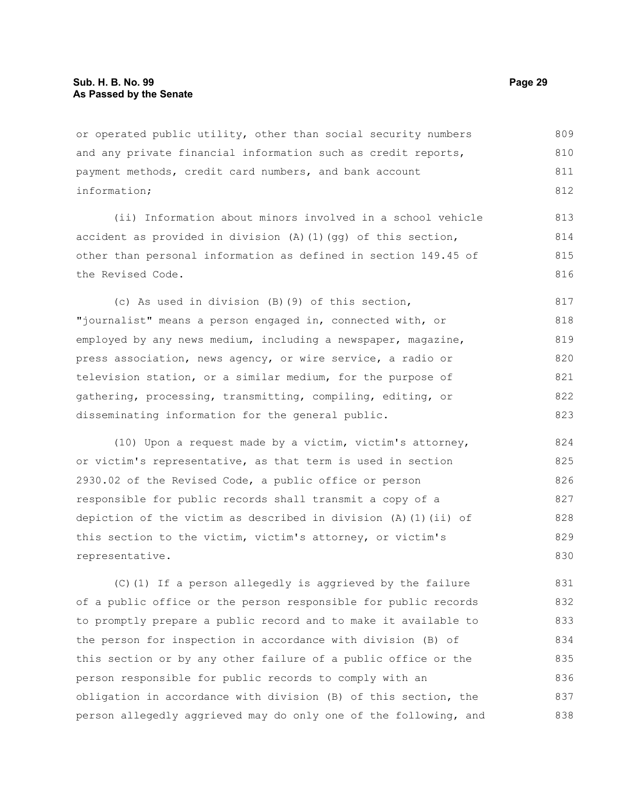or operated public utility, other than social security numbers and any private financial information such as credit reports, payment methods, credit card numbers, and bank account information; 809 810 811 812

(ii) Information about minors involved in a school vehicle accident as provided in division  $(A)$   $(1)$   $(qq)$  of this section, other than personal information as defined in section 149.45 of the Revised Code. 813 814 815 816

(c) As used in division (B)(9) of this section, "journalist" means a person engaged in, connected with, or employed by any news medium, including a newspaper, magazine, press association, news agency, or wire service, a radio or television station, or a similar medium, for the purpose of gathering, processing, transmitting, compiling, editing, or disseminating information for the general public. 817 818 819 820 821 822 823

(10) Upon a request made by a victim, victim's attorney, or victim's representative, as that term is used in section 2930.02 of the Revised Code, a public office or person responsible for public records shall transmit a copy of a depiction of the victim as described in division (A)(1)(ii) of this section to the victim, victim's attorney, or victim's representative. 824 825 826 827 828 829 830

(C)(1) If a person allegedly is aggrieved by the failure of a public office or the person responsible for public records to promptly prepare a public record and to make it available to the person for inspection in accordance with division (B) of this section or by any other failure of a public office or the person responsible for public records to comply with an obligation in accordance with division (B) of this section, the person allegedly aggrieved may do only one of the following, and 831 832 833 834 835 836 837 838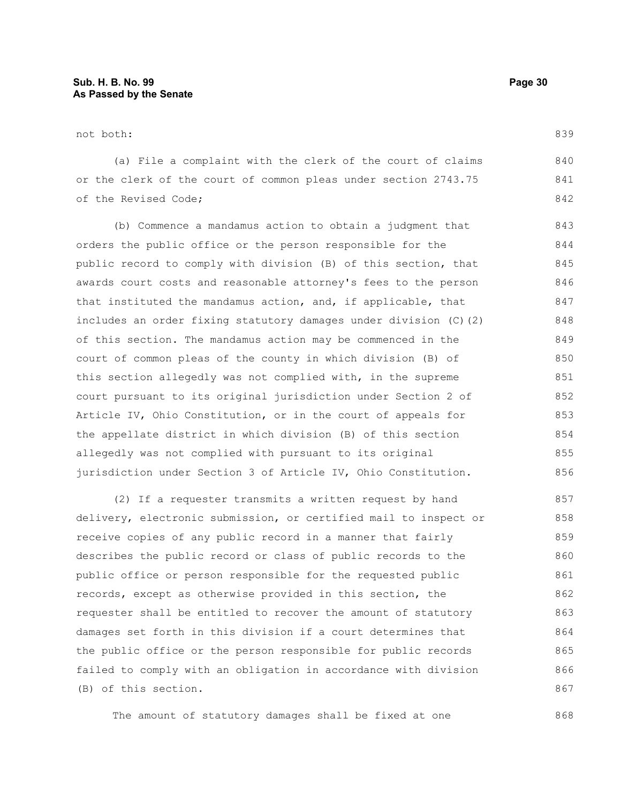not both:

(a) File a complaint with the clerk of the court of claims or the clerk of the court of common pleas under section 2743.75 of the Revised Code;

(b) Commence a mandamus action to obtain a judgment that orders the public office or the person responsible for the public record to comply with division (B) of this section, that awards court costs and reasonable attorney's fees to the person that instituted the mandamus action, and, if applicable, that includes an order fixing statutory damages under division (C)(2) of this section. The mandamus action may be commenced in the court of common pleas of the county in which division (B) of this section allegedly was not complied with, in the supreme court pursuant to its original jurisdiction under Section 2 of Article IV, Ohio Constitution, or in the court of appeals for the appellate district in which division (B) of this section allegedly was not complied with pursuant to its original jurisdiction under Section 3 of Article IV, Ohio Constitution. 843 844 845 846 847 848 849 850 851 852 853 854 855 856

(2) If a requester transmits a written request by hand delivery, electronic submission, or certified mail to inspect or receive copies of any public record in a manner that fairly describes the public record or class of public records to the public office or person responsible for the requested public records, except as otherwise provided in this section, the requester shall be entitled to recover the amount of statutory damages set forth in this division if a court determines that the public office or the person responsible for public records failed to comply with an obligation in accordance with division (B) of this section. 857 858 859 860 861 862 863 864 865 866 867

The amount of statutory damages shall be fixed at one

868

839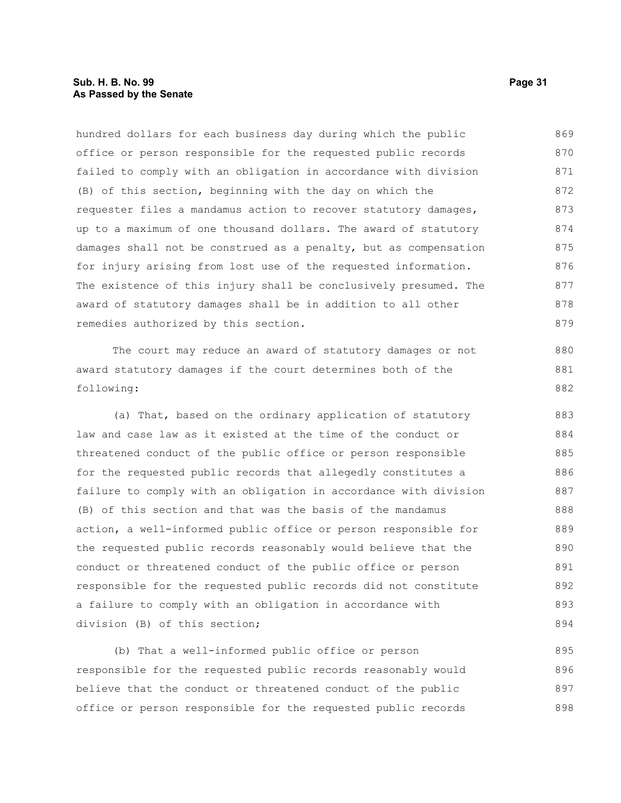hundred dollars for each business day during which the public office or person responsible for the requested public records failed to comply with an obligation in accordance with division (B) of this section, beginning with the day on which the requester files a mandamus action to recover statutory damages, up to a maximum of one thousand dollars. The award of statutory damages shall not be construed as a penalty, but as compensation for injury arising from lost use of the requested information. The existence of this injury shall be conclusively presumed. The award of statutory damages shall be in addition to all other remedies authorized by this section. 869 870 871 872 873 874 875 876 877 878 879

The court may reduce an award of statutory damages or not award statutory damages if the court determines both of the following:

(a) That, based on the ordinary application of statutory law and case law as it existed at the time of the conduct or threatened conduct of the public office or person responsible for the requested public records that allegedly constitutes a failure to comply with an obligation in accordance with division (B) of this section and that was the basis of the mandamus action, a well-informed public office or person responsible for the requested public records reasonably would believe that the conduct or threatened conduct of the public office or person responsible for the requested public records did not constitute a failure to comply with an obligation in accordance with division (B) of this section; 883 884 885 886 887 888 889 890 891 892 893 894

(b) That a well-informed public office or person responsible for the requested public records reasonably would believe that the conduct or threatened conduct of the public office or person responsible for the requested public records 895 896 897 898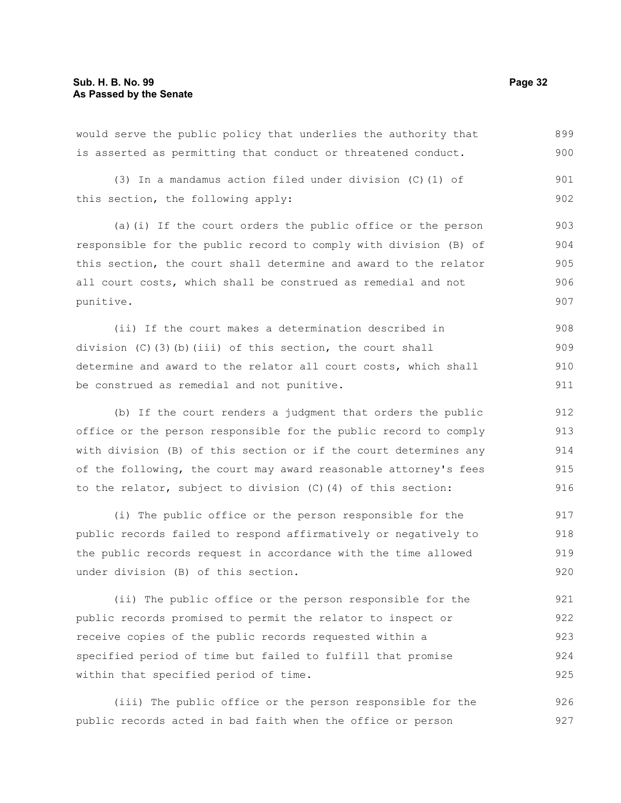would serve the public policy that underlies the authority that is asserted as permitting that conduct or threatened conduct. (3) In a mandamus action filed under division (C)(1) of this section, the following apply: (a)(i) If the court orders the public office or the person responsible for the public record to comply with division (B) of this section, the court shall determine and award to the relator all court costs, which shall be construed as remedial and not punitive. (ii) If the court makes a determination described in division (C)(3)(b)(iii) of this section, the court shall determine and award to the relator all court costs, which shall be construed as remedial and not punitive. (b) If the court renders a judgment that orders the public office or the person responsible for the public record to comply 899 900 901 902 903 904 905 906 907 908 909 910 911 912 913

with division (B) of this section or if the court determines any of the following, the court may award reasonable attorney's fees to the relator, subject to division (C)(4) of this section: 914 915 916

(i) The public office or the person responsible for the public records failed to respond affirmatively or negatively to the public records request in accordance with the time allowed under division (B) of this section. 917 918 919 920

(ii) The public office or the person responsible for the public records promised to permit the relator to inspect or receive copies of the public records requested within a specified period of time but failed to fulfill that promise within that specified period of time. 921 922 923 924 925

(iii) The public office or the person responsible for the public records acted in bad faith when the office or person 926 927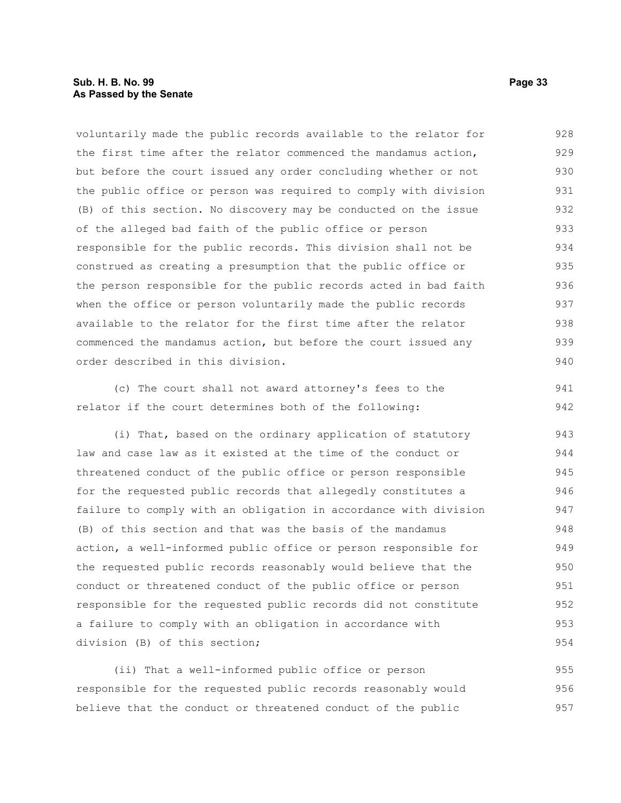#### **Sub. H. B. No. 99 Page 33 As Passed by the Senate**

voluntarily made the public records available to the relator for the first time after the relator commenced the mandamus action, but before the court issued any order concluding whether or not the public office or person was required to comply with division (B) of this section. No discovery may be conducted on the issue of the alleged bad faith of the public office or person responsible for the public records. This division shall not be construed as creating a presumption that the public office or the person responsible for the public records acted in bad faith when the office or person voluntarily made the public records available to the relator for the first time after the relator commenced the mandamus action, but before the court issued any order described in this division. 928 929 930 931 932 933 934 935 936 937 938 939 940

(c) The court shall not award attorney's fees to the relator if the court determines both of the following:

(i) That, based on the ordinary application of statutory law and case law as it existed at the time of the conduct or threatened conduct of the public office or person responsible for the requested public records that allegedly constitutes a failure to comply with an obligation in accordance with division (B) of this section and that was the basis of the mandamus action, a well-informed public office or person responsible for the requested public records reasonably would believe that the conduct or threatened conduct of the public office or person responsible for the requested public records did not constitute a failure to comply with an obligation in accordance with division (B) of this section; 943 944 945 946 947 948 949 950 951 952 953 954

(ii) That a well-informed public office or person responsible for the requested public records reasonably would believe that the conduct or threatened conduct of the public 955 956 957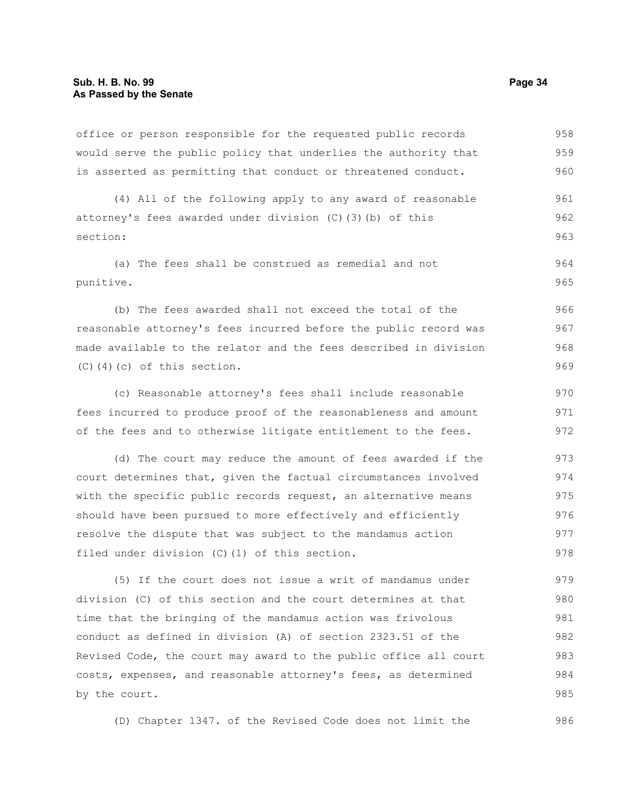office or person responsible for the requested public records would serve the public policy that underlies the authority that is asserted as permitting that conduct or threatened conduct. 958 959 960

(4) All of the following apply to any award of reasonable attorney's fees awarded under division (C)(3)(b) of this section: 961 962 963

(a) The fees shall be construed as remedial and not punitive. 964 965

(b) The fees awarded shall not exceed the total of the reasonable attorney's fees incurred before the public record was made available to the relator and the fees described in division (C)(4)(c) of this section.

(c) Reasonable attorney's fees shall include reasonable fees incurred to produce proof of the reasonableness and amount of the fees and to otherwise litigate entitlement to the fees. 970 971 972

(d) The court may reduce the amount of fees awarded if the court determines that, given the factual circumstances involved with the specific public records request, an alternative means should have been pursued to more effectively and efficiently resolve the dispute that was subject to the mandamus action filed under division (C)(1) of this section. 973 974 975 976 977 978

(5) If the court does not issue a writ of mandamus under division (C) of this section and the court determines at that time that the bringing of the mandamus action was frivolous conduct as defined in division (A) of section 2323.51 of the Revised Code, the court may award to the public office all court costs, expenses, and reasonable attorney's fees, as determined by the court. 979 980 981 982 983 984 985

(D) Chapter 1347. of the Revised Code does not limit the

986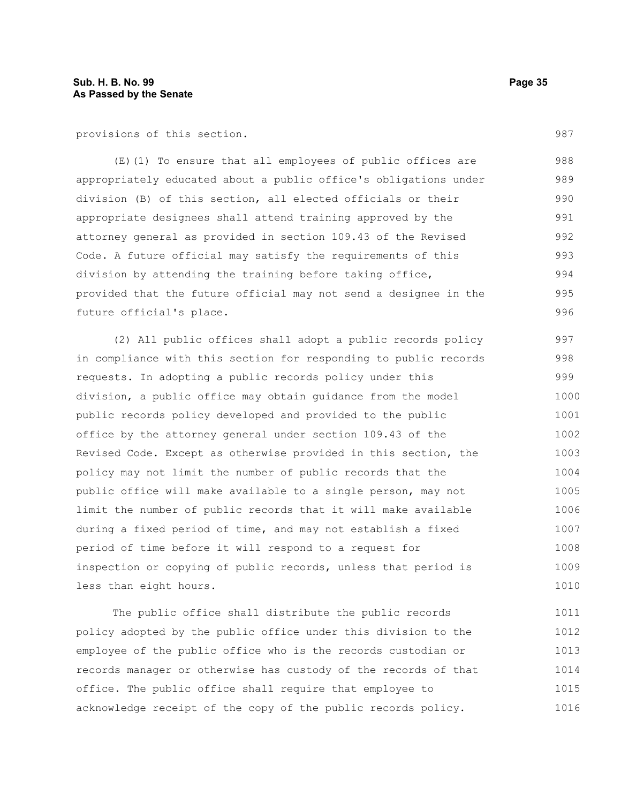provisions of this section.

(E)(1) To ensure that all employees of public offices are appropriately educated about a public office's obligations under division (B) of this section, all elected officials or their appropriate designees shall attend training approved by the attorney general as provided in section 109.43 of the Revised Code. A future official may satisfy the requirements of this division by attending the training before taking office, provided that the future official may not send a designee in the future official's place. 988 989 990 991 992 993 994 995 996

(2) All public offices shall adopt a public records policy in compliance with this section for responding to public records requests. In adopting a public records policy under this division, a public office may obtain guidance from the model public records policy developed and provided to the public office by the attorney general under section 109.43 of the Revised Code. Except as otherwise provided in this section, the policy may not limit the number of public records that the public office will make available to a single person, may not limit the number of public records that it will make available during a fixed period of time, and may not establish a fixed period of time before it will respond to a request for inspection or copying of public records, unless that period is less than eight hours. 997 998 999 1000 1001 1002 1003 1004 1005 1006 1007 1008 1009 1010

The public office shall distribute the public records policy adopted by the public office under this division to the employee of the public office who is the records custodian or records manager or otherwise has custody of the records of that office. The public office shall require that employee to acknowledge receipt of the copy of the public records policy. 1011 1012 1013 1014 1015 1016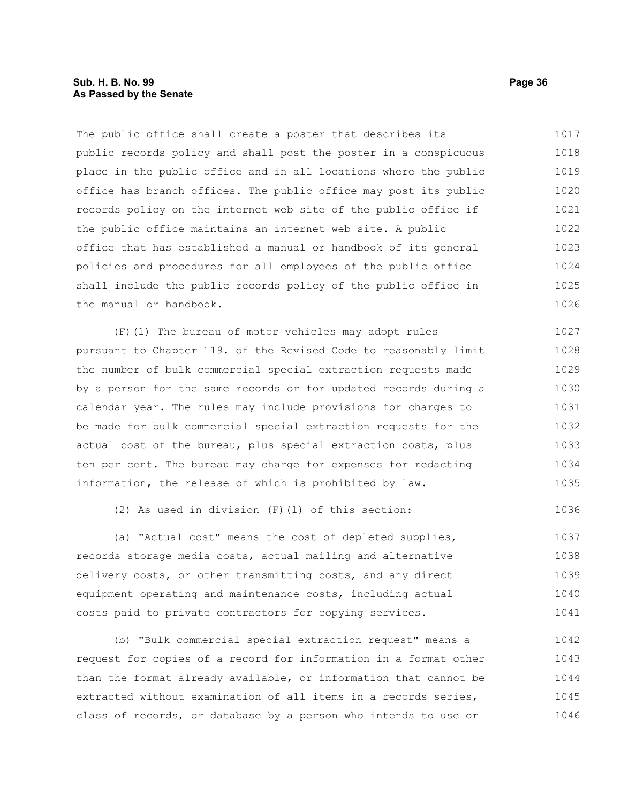#### **Sub. H. B. No. 99 Page 36 As Passed by the Senate**

The public office shall create a poster that describes its public records policy and shall post the poster in a conspicuous place in the public office and in all locations where the public office has branch offices. The public office may post its public records policy on the internet web site of the public office if the public office maintains an internet web site. A public office that has established a manual or handbook of its general policies and procedures for all employees of the public office shall include the public records policy of the public office in the manual or handbook. 1017 1018 1019 1020 1021 1022 1023 1024 1025 1026

(F)(1) The bureau of motor vehicles may adopt rules pursuant to Chapter 119. of the Revised Code to reasonably limit the number of bulk commercial special extraction requests made by a person for the same records or for updated records during a calendar year. The rules may include provisions for charges to be made for bulk commercial special extraction requests for the actual cost of the bureau, plus special extraction costs, plus ten per cent. The bureau may charge for expenses for redacting information, the release of which is prohibited by law. 1027 1028 1029 1030 1031 1032 1033 1034 1035

(2) As used in division (F)(1) of this section:

(a) "Actual cost" means the cost of depleted supplies, records storage media costs, actual mailing and alternative delivery costs, or other transmitting costs, and any direct equipment operating and maintenance costs, including actual costs paid to private contractors for copying services. 1037 1038 1039 1040 1041

(b) "Bulk commercial special extraction request" means a request for copies of a record for information in a format other than the format already available, or information that cannot be extracted without examination of all items in a records series, class of records, or database by a person who intends to use or 1042 1043 1044 1045 1046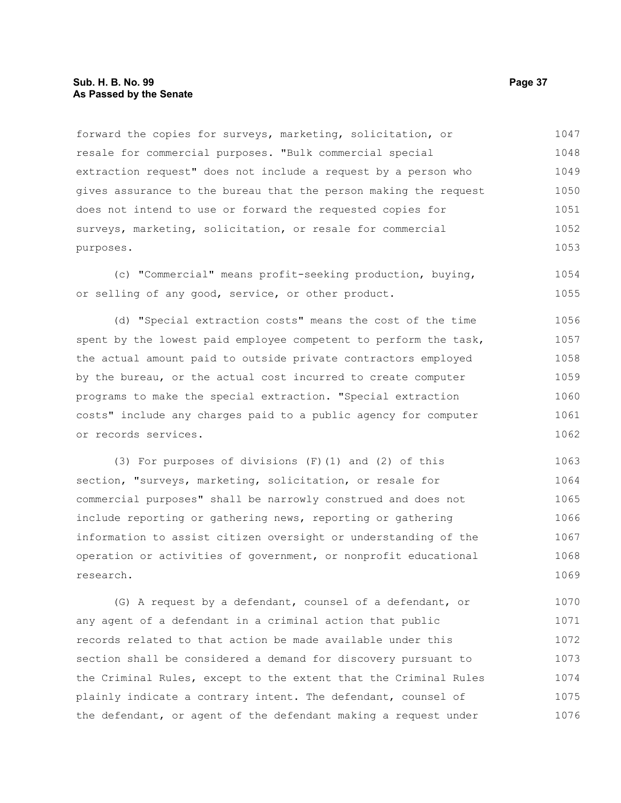### **Sub. H. B. No. 99 Page 37 As Passed by the Senate**

forward the copies for surveys, marketing, solicitation, or resale for commercial purposes. "Bulk commercial special extraction request" does not include a request by a person who gives assurance to the bureau that the person making the request does not intend to use or forward the requested copies for surveys, marketing, solicitation, or resale for commercial purposes. 1047 1048 1049 1050 1051 1052 1053

(c) "Commercial" means profit-seeking production, buying, or selling of any good, service, or other product. 1054 1055

(d) "Special extraction costs" means the cost of the time spent by the lowest paid employee competent to perform the task, the actual amount paid to outside private contractors employed by the bureau, or the actual cost incurred to create computer programs to make the special extraction. "Special extraction costs" include any charges paid to a public agency for computer or records services. 1056 1057 1058 1059 1060 1061 1062

(3) For purposes of divisions (F)(1) and (2) of this section, "surveys, marketing, solicitation, or resale for commercial purposes" shall be narrowly construed and does not include reporting or gathering news, reporting or gathering information to assist citizen oversight or understanding of the operation or activities of government, or nonprofit educational research. 1063 1064 1065 1066 1067 1068 1069

(G) A request by a defendant, counsel of a defendant, or any agent of a defendant in a criminal action that public records related to that action be made available under this section shall be considered a demand for discovery pursuant to the Criminal Rules, except to the extent that the Criminal Rules plainly indicate a contrary intent. The defendant, counsel of the defendant, or agent of the defendant making a request under 1070 1071 1072 1073 1074 1075 1076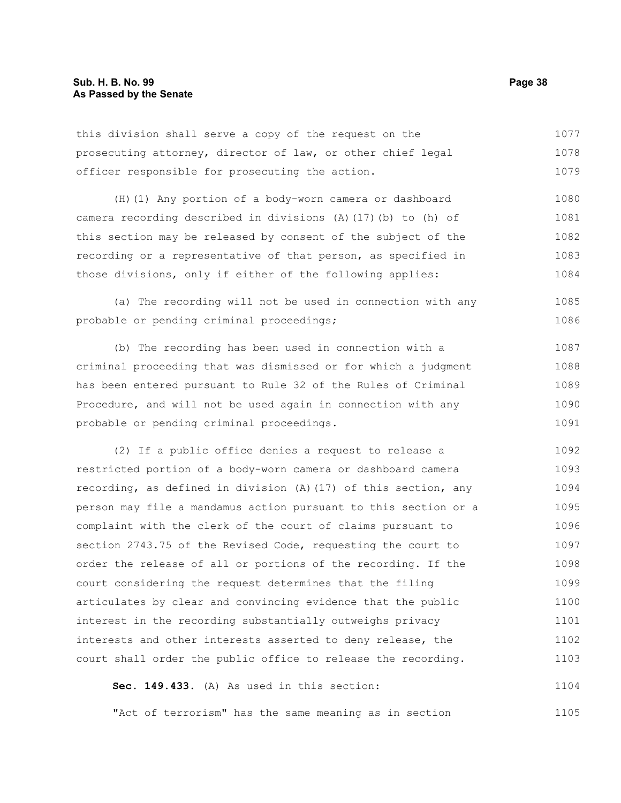| this division shall serve a copy of the request on the      | 1077 |
|-------------------------------------------------------------|------|
| prosecuting attorney, director of law, or other chief legal | 1078 |
| officer responsible for prosecuting the action.             | 1079 |
| (H) (1) Any portion of a body-worn camera or dashboard      | 1080 |

camera recording described in divisions (A)(17)(b) to (h) of this section may be released by consent of the subject of the recording or a representative of that person, as specified in those divisions, only if either of the following applies: 1081 1082 1083 1084

(a) The recording will not be used in connection with any probable or pending criminal proceedings; 1085 1086

(b) The recording has been used in connection with a criminal proceeding that was dismissed or for which a judgment has been entered pursuant to Rule 32 of the Rules of Criminal Procedure, and will not be used again in connection with any probable or pending criminal proceedings. 1087 1088 1089 1090 1091

(2) If a public office denies a request to release a restricted portion of a body-worn camera or dashboard camera recording, as defined in division (A)(17) of this section, any person may file a mandamus action pursuant to this section or a complaint with the clerk of the court of claims pursuant to section 2743.75 of the Revised Code, requesting the court to order the release of all or portions of the recording. If the court considering the request determines that the filing articulates by clear and convincing evidence that the public interest in the recording substantially outweighs privacy interests and other interests asserted to deny release, the court shall order the public office to release the recording. 1092 1093 1094 1095 1096 1097 1098 1099 1100 1101 1102 1103

**Sec. 149.433.** (A) As used in this section: 1104

"Act of terrorism" has the same meaning as in section 1105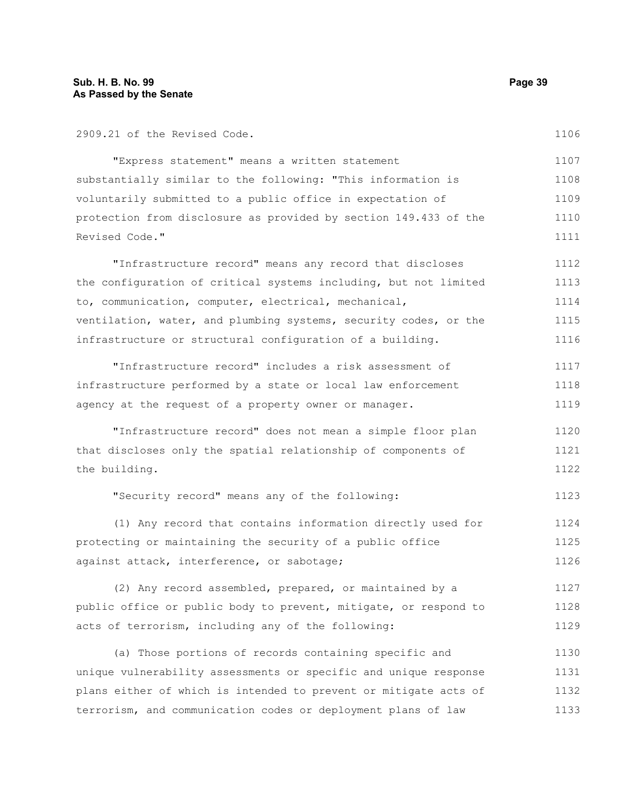| 2909.21 of the Revised Code.                                     | 1106 |
|------------------------------------------------------------------|------|
| "Express statement" means a written statement                    | 1107 |
| substantially similar to the following: "This information is     | 1108 |
| voluntarily submitted to a public office in expectation of       | 1109 |
| protection from disclosure as provided by section 149.433 of the | 1110 |
| Revised Code."                                                   | 1111 |
| "Infrastructure record" means any record that discloses          | 1112 |
| the configuration of critical systems including, but not limited | 1113 |
| to, communication, computer, electrical, mechanical,             | 1114 |
| ventilation, water, and plumbing systems, security codes, or the | 1115 |
| infrastructure or structural configuration of a building.        | 1116 |
| "Infrastructure record" includes a risk assessment of            | 1117 |
| infrastructure performed by a state or local law enforcement     | 1118 |
| agency at the request of a property owner or manager.            | 1119 |
| "Infrastructure record" does not mean a simple floor plan        | 1120 |
| that discloses only the spatial relationship of components of    | 1121 |
| the building.                                                    | 1122 |
| "Security record" means any of the following:                    | 1123 |
| (1) Any record that contains information directly used for       | 1124 |
| protecting or maintaining the security of a public office        | 1125 |
| against attack, interference, or sabotage;                       | 1126 |
| (2) Any record assembled, prepared, or maintained by a           | 1127 |
| public office or public body to prevent, mitigate, or respond to | 1128 |
| acts of terrorism, including any of the following:               | 1129 |

(a) Those portions of records containing specific and unique vulnerability assessments or specific and unique response plans either of which is intended to prevent or mitigate acts of terrorism, and communication codes or deployment plans of law 1130 1131 1132 1133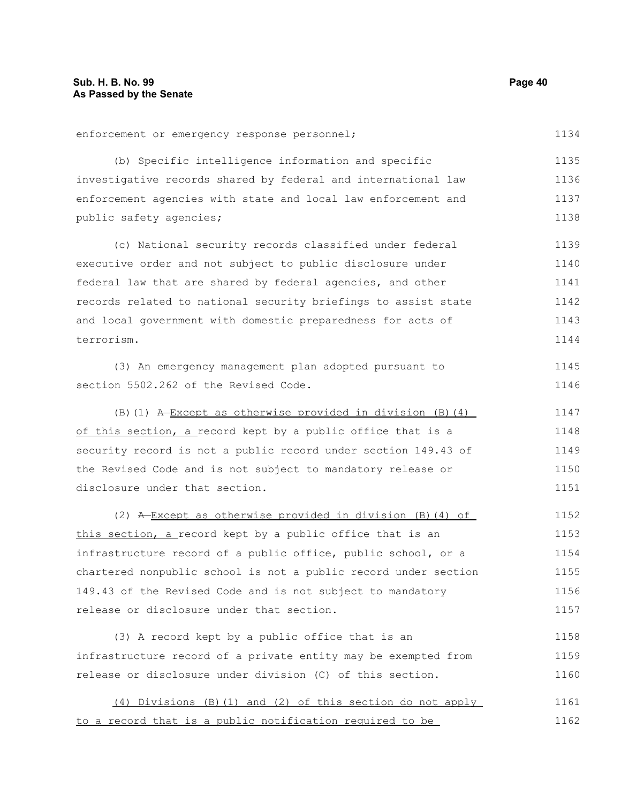enforcement or emergency response personnel; (b) Specific intelligence information and specific investigative records shared by federal and international law enforcement agencies with state and local law enforcement and public safety agencies; (c) National security records classified under federal executive order and not subject to public disclosure under federal law that are shared by federal agencies, and other records related to national security briefings to assist state and local government with domestic preparedness for acts of terrorism. (3) An emergency management plan adopted pursuant to section 5502.262 of the Revised Code. (B)(1) A Except as otherwise provided in division (B)(4) of this section, a record kept by a public office that is a security record is not a public record under section 149.43 of the Revised Code and is not subject to mandatory release or disclosure under that section. (2)  $A$ -Except as otherwise provided in division (B)(4) of this section, a record kept by a public office that is an infrastructure record of a public office, public school, or a chartered nonpublic school is not a public record under section 149.43 of the Revised Code and is not subject to mandatory release or disclosure under that section. (3) A record kept by a public office that is an infrastructure record of a private entity may be exempted from release or disclosure under division (C) of this section. (4) Divisions (B)(1) and (2) of this section do not apply to a record that is a public notification required to be 1134 1135 1136 1137 1138 1139 1140 1141 1142 1143 1144 1145 1146 1147 1148 1149 1150 1151 1152 1153 1154 1155 1156 1157 1158 1159 1160 1161 1162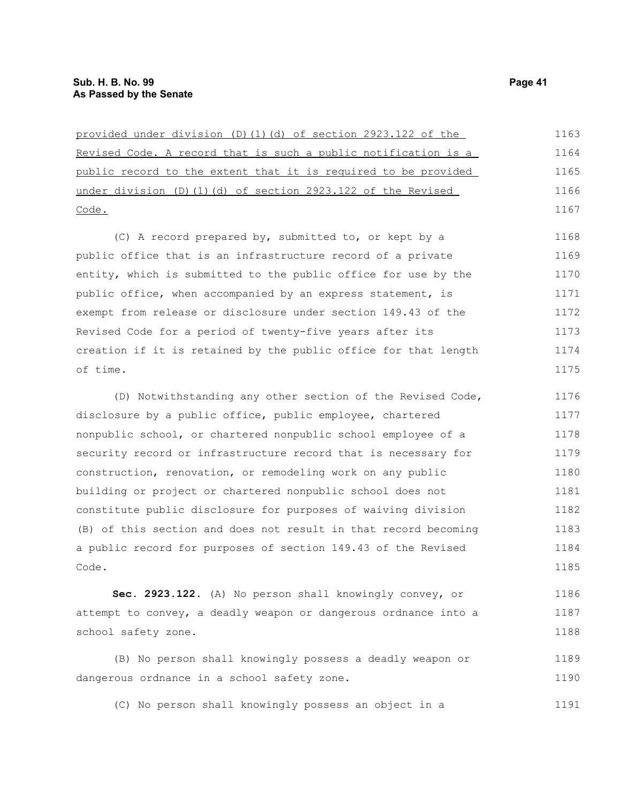| provided under division (D)(1)(d) of section 2923.122 of the          | 1163 |
|-----------------------------------------------------------------------|------|
| <u>Revised Code. A record that is such a public notification is a</u> | 1164 |
| public record to the extent that it is required to be provided        | 1165 |
| under division (D)(1)(d) of section 2923.122 of the Revised           | 1166 |
| Code.                                                                 | 1167 |
| (C) A record prepared by, submitted to, or kept by a                  | 1168 |
| public office that is an infrastructure record of a private           | 1169 |
| entity, which is submitted to the public office for use by the        | 1170 |
| public office, when accompanied by an express statement, is           | 1171 |
| exempt from release or disclosure under section 149.43 of the         | 1172 |
| Revised Code for a period of twenty-five years after its              | 1173 |
| creation if it is retained by the public office for that length       | 1174 |
| of time.                                                              | 1175 |
| (D) Notwithstanding any other section of the Revised Code,            | 1176 |
| disclosure by a public office, public employee, chartered             | 1177 |
| nonpublic school, or chartered nonpublic school employee of a         | 1178 |
| security record or infrastructure record that is necessary for        | 1179 |
| construction, renovation, or remodeling work on any public            | 1180 |
| building or project or chartered nonpublic school does not            | 1181 |
| constitute public disclosure for purposes of waiving division         | 1182 |

(B) of this section and does not result in that record becoming a public record for purposes of section 149.43 of the Revised Code. 1183 1184 1185

**Sec. 2923.122.** (A) No person shall knowingly convey, or attempt to convey, a deadly weapon or dangerous ordnance into a school safety zone. 1186 1187 1188

(B) No person shall knowingly possess a deadly weapon or dangerous ordnance in a school safety zone. 1189 1190

(C) No person shall knowingly possess an object in a 1191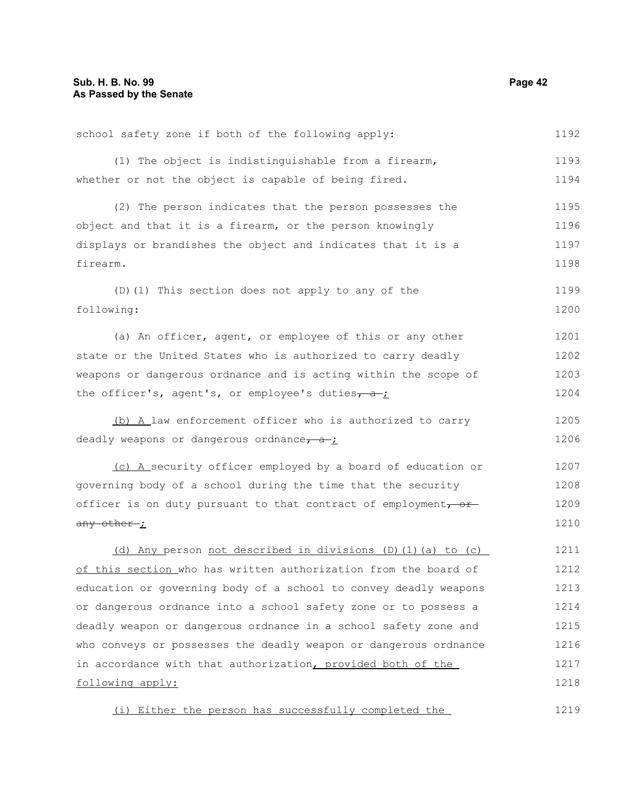following apply:

school safety zone if both of the following apply: (1) The object is indistinguishable from a firearm, whether or not the object is capable of being fired. (2) The person indicates that the person possesses the object and that it is a firearm, or the person knowingly displays or brandishes the object and indicates that it is a firearm. (D)(1) This section does not apply to any of the following: (a) An officer, agent, or employee of this or any other state or the United States who is authorized to carry deadly weapons or dangerous ordnance and is acting within the scope of the officer's, agent's, or employee's duties $\frac{a}{c}$ (b) A law enforcement officer who is authorized to carry deadly weapons or dangerous ordnance,  $a + j$ (c) A security officer employed by a board of education or governing body of a school during the time that the security officer is on duty pursuant to that contract of employment $\tau$  or any other ; (d) Any person not described in divisions (D)(1)(a) to (c) of this section who has written authorization from the board of education or governing body of a school to convey deadly weapons or dangerous ordnance into a school safety zone or to possess a deadly weapon or dangerous ordnance in a school safety zone and who conveys or possesses the deadly weapon or dangerous ordnance in accordance with that authorization, provided both of the 1192 1193 1194 1195 1196 1197 1198 1199 1200 1201 1202 1203 1204 1205 1206 1207 1208 1209 1210 1211 1212 1213 1214 1215 1216 1217

(i) Either the person has successfully completed the 1219

1218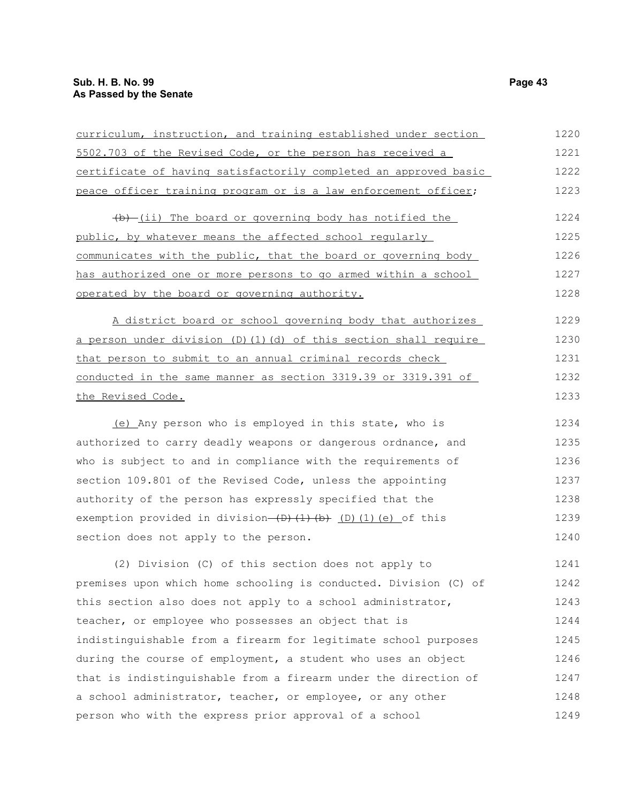| curriculum, instruction, and training established under section             | 1220 |
|-----------------------------------------------------------------------------|------|
| 5502.703 of the Revised Code, or the person has received a                  | 1221 |
| certificate of having satisfactorily completed an approved basic            | 1222 |
| peace officer training program or is a law enforcement officer;             | 1223 |
| (b) (ii) The board or governing body has notified the                       | 1224 |
| public, by whatever means the affected school regularly                     | 1225 |
| communicates with the public, that the board or governing body              | 1226 |
| has authorized one or more persons to go armed within a school              | 1227 |
| operated by the board or governing authority.                               | 1228 |
| A district board or school governing body that authorizes                   | 1229 |
| a person under division (D) (1) (d) of this section shall require           | 1230 |
| that person to submit to an annual criminal records check                   | 1231 |
| conducted in the same manner as section 3319.39 or 3319.391 of              | 1232 |
| the Revised Code.                                                           | 1233 |
| (e) Any person who is employed in this state, who is                        | 1234 |
| authorized to carry deadly weapons or dangerous ordnance, and               | 1235 |
| who is subject to and in compliance with the requirements of                | 1236 |
| section 109.801 of the Revised Code, unless the appointing                  | 1237 |
| authority of the person has expressly specified that the                    | 1238 |
| exemption provided in division- $(D)$ $(1)$ $(b)$ $(D)$ $(1)$ $(e)$ of this | 1239 |
| section does not apply to the person.                                       | 1240 |
| (2) Division (C) of this section does not apply to                          | 1241 |
| premises upon which home schooling is conducted. Division (C) of            | 1242 |
| this section also does not apply to a school administrator,                 | 1243 |
| teacher, or employee who possesses an object that is                        | 1244 |
| indistinguishable from a firearm for legitimate school purposes             | 1245 |
| during the course of employment, a student who uses an object               | 1246 |
| that is indistinguishable from a firearm under the direction of             | 1247 |
| a school administrator, teacher, or employee, or any other                  | 1248 |
| person who with the express prior approval of a school                      | 1249 |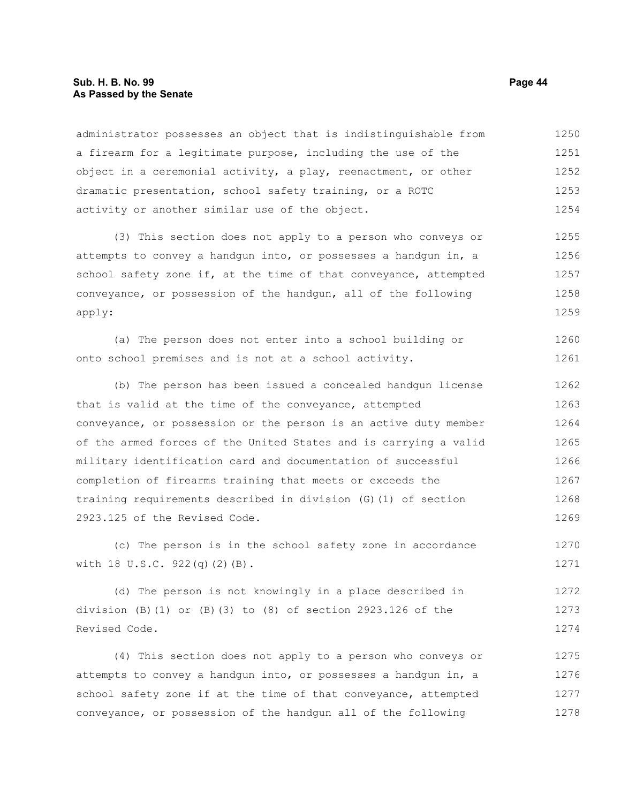### **Sub. H. B. No. 99 Page 44 As Passed by the Senate**

administrator possesses an object that is indistinguishable from a firearm for a legitimate purpose, including the use of the object in a ceremonial activity, a play, reenactment, or other dramatic presentation, school safety training, or a ROTC activity or another similar use of the object. 1250 1251 1252 1253 1254

(3) This section does not apply to a person who conveys or attempts to convey a handgun into, or possesses a handgun in, a school safety zone if, at the time of that conveyance, attempted conveyance, or possession of the handgun, all of the following apply: 1255 1256 1257 1258 1259

(a) The person does not enter into a school building or onto school premises and is not at a school activity. 1260 1261

(b) The person has been issued a concealed handgun license that is valid at the time of the conveyance, attempted conveyance, or possession or the person is an active duty member of the armed forces of the United States and is carrying a valid military identification card and documentation of successful completion of firearms training that meets or exceeds the training requirements described in division (G)(1) of section 2923.125 of the Revised Code. 1262 1263 1264 1265 1266 1267 1268 1269

(c) The person is in the school safety zone in accordance with 18 U.S.C. 922(q)(2)(B). 1270 1271

(d) The person is not knowingly in a place described in division  $(B)(1)$  or  $(B)(3)$  to  $(8)$  of section 2923.126 of the Revised Code. 1272 1273 1274

(4) This section does not apply to a person who conveys or attempts to convey a handgun into, or possesses a handgun in, a school safety zone if at the time of that conveyance, attempted conveyance, or possession of the handgun all of the following 1275 1276 1277 1278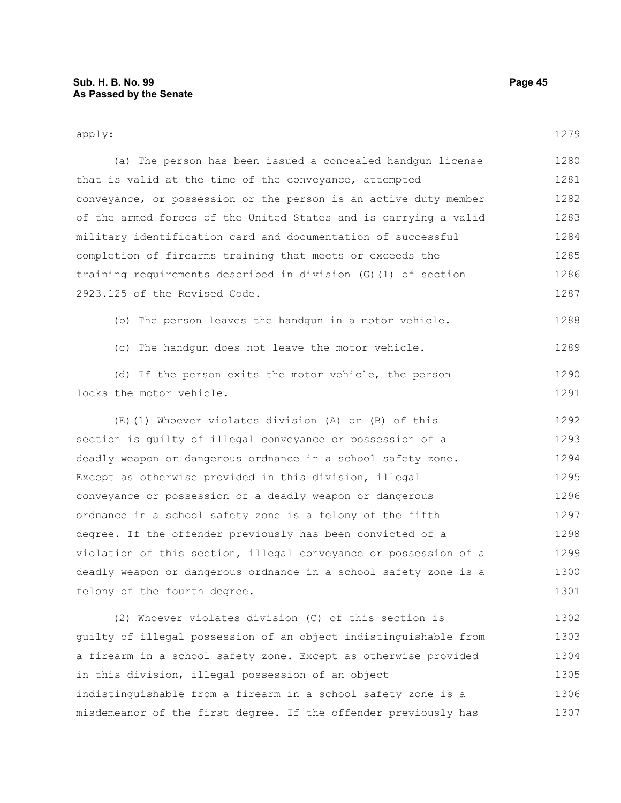| apply:                                                           | 1279 |
|------------------------------------------------------------------|------|
| (a) The person has been issued a concealed handgun license       | 1280 |
| that is valid at the time of the conveyance, attempted           | 1281 |
| conveyance, or possession or the person is an active duty member | 1282 |
| of the armed forces of the United States and is carrying a valid | 1283 |
| military identification card and documentation of successful     | 1284 |
| completion of firearms training that meets or exceeds the        | 1285 |
| training requirements described in division (G) (1) of section   | 1286 |
| 2923.125 of the Revised Code.                                    | 1287 |
| (b) The person leaves the handgun in a motor vehicle.            | 1288 |
| (c) The handgun does not leave the motor vehicle.                | 1289 |
| (d) If the person exits the motor vehicle, the person            | 1290 |
| locks the motor vehicle.                                         | 1291 |
| (E)(1) Whoever violates division (A) or (B) of this              | 1292 |
| section is guilty of illegal conveyance or possession of a       | 1293 |
| deadly weapon or dangerous ordnance in a school safety zone.     | 1294 |
| Except as otherwise provided in this division, illegal           | 1295 |
| conveyance or possession of a deadly weapon or dangerous         | 1296 |
| ordnance in a school safety zone is a felony of the fifth        | 1297 |
| degree. If the offender previously has been convicted of a       | 1298 |
| violation of this section, illegal conveyance or possession of a | 1299 |
| deadly weapon or dangerous ordnance in a school safety zone is a | 1300 |
| felony of the fourth degree.                                     | 1301 |
| (2) Whoever violates division (C) of this section is             | 1302 |
| quilty of illegal possession of an object indistinguishable from | 1303 |
| a firearm in a school safety zone. Except as otherwise provided  | 1304 |
| in this division, illegal possession of an object                | 1305 |

indistinguishable from a firearm in a school safety zone is a misdemeanor of the first degree. If the offender previously has 1306 1307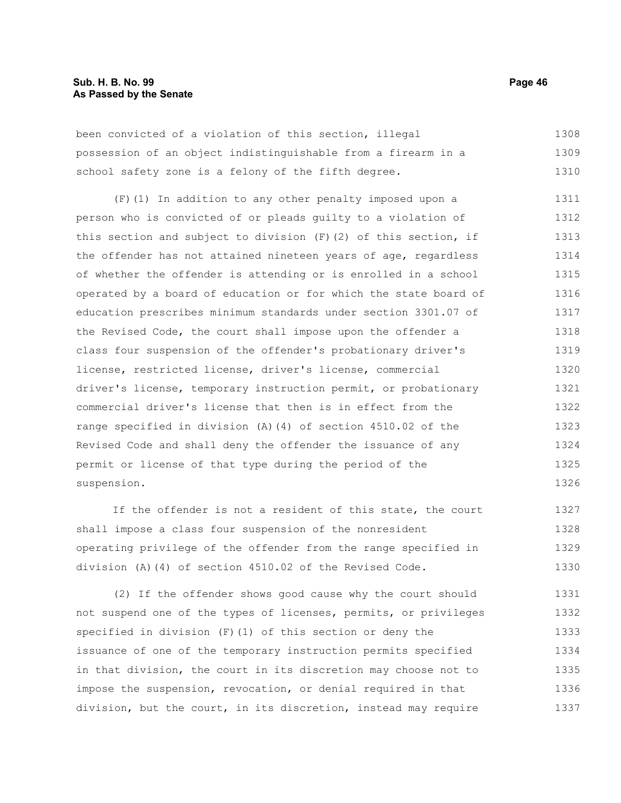### **Sub. H. B. No. 99 Page 46 As Passed by the Senate**

been convicted of a violation of this section, illegal possession of an object indistinguishable from a firearm in a school safety zone is a felony of the fifth degree. 1308 1309 1310

(F)(1) In addition to any other penalty imposed upon a person who is convicted of or pleads guilty to a violation of this section and subject to division  $(F)(2)$  of this section, if the offender has not attained nineteen years of age, regardless of whether the offender is attending or is enrolled in a school operated by a board of education or for which the state board of education prescribes minimum standards under section 3301.07 of the Revised Code, the court shall impose upon the offender a class four suspension of the offender's probationary driver's license, restricted license, driver's license, commercial driver's license, temporary instruction permit, or probationary commercial driver's license that then is in effect from the range specified in division (A)(4) of section 4510.02 of the Revised Code and shall deny the offender the issuance of any permit or license of that type during the period of the suspension. 1311 1312 1313 1314 1315 1316 1317 1318 1319 1320 1321 1322 1323 1324 1325 1326

If the offender is not a resident of this state, the court shall impose a class four suspension of the nonresident operating privilege of the offender from the range specified in division (A)(4) of section 4510.02 of the Revised Code. 1327 1328 1329 1330

(2) If the offender shows good cause why the court should not suspend one of the types of licenses, permits, or privileges specified in division (F)(1) of this section or deny the issuance of one of the temporary instruction permits specified in that division, the court in its discretion may choose not to impose the suspension, revocation, or denial required in that division, but the court, in its discretion, instead may require 1331 1332 1333 1334 1335 1336 1337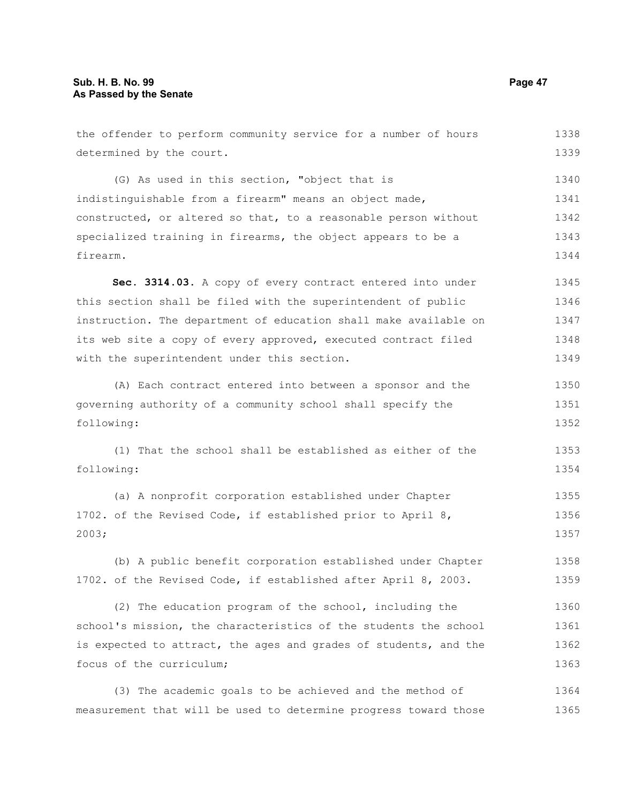the offender to perform community service for a number of hours determined by the court. (G) As used in this section, "object that is indistinguishable from a firearm" means an object made, constructed, or altered so that, to a reasonable person without specialized training in firearms, the object appears to be a firearm. **Sec. 3314.03.** A copy of every contract entered into under this section shall be filed with the superintendent of public instruction. The department of education shall make available on its web site a copy of every approved, executed contract filed with the superintendent under this section. (A) Each contract entered into between a sponsor and the governing authority of a community school shall specify the following: (1) That the school shall be established as either of the following: (a) A nonprofit corporation established under Chapter 1702. of the Revised Code, if established prior to April 8, 2003; (b) A public benefit corporation established under Chapter 1702. of the Revised Code, if established after April 8, 2003. (2) The education program of the school, including the school's mission, the characteristics of the students the school is expected to attract, the ages and grades of students, and the focus of the curriculum; (3) The academic goals to be achieved and the method of measurement that will be used to determine progress toward those 1338 1339 1340 1341 1342 1343 1344 1345 1346 1347 1348 1349 1350 1351 1352 1353 1354 1355 1356 1357 1358 1359 1360 1361 1362 1363 1364 1365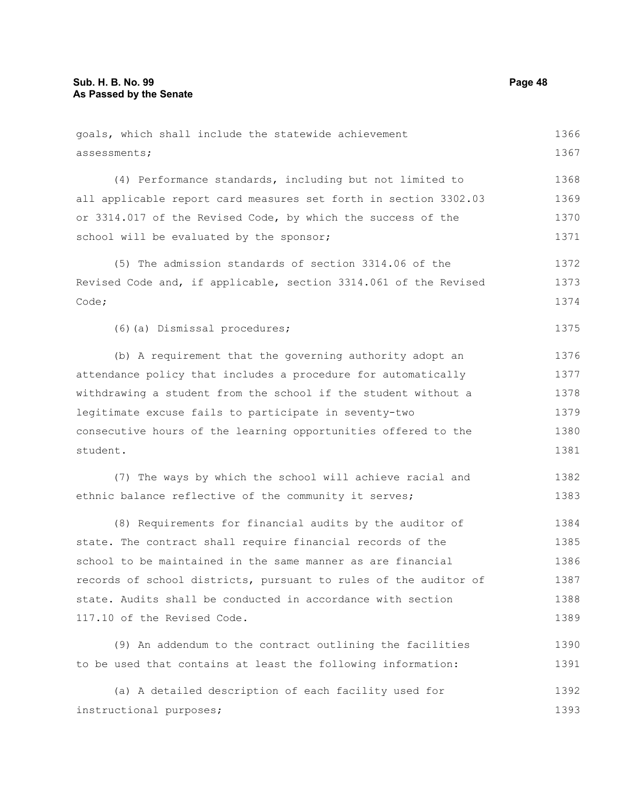| goals, which shall include the statewide achievement             | 1366 |
|------------------------------------------------------------------|------|
| assessments;                                                     | 1367 |
| (4) Performance standards, including but not limited to          | 1368 |
| all applicable report card measures set forth in section 3302.03 | 1369 |
| or 3314.017 of the Revised Code, by which the success of the     | 1370 |
| school will be evaluated by the sponsor;                         | 1371 |
| (5) The admission standards of section 3314.06 of the            | 1372 |
| Revised Code and, if applicable, section 3314.061 of the Revised | 1373 |
| Code;                                                            | 1374 |
| (6) (a) Dismissal procedures;                                    | 1375 |
| (b) A requirement that the governing authority adopt an          | 1376 |
| attendance policy that includes a procedure for automatically    | 1377 |
| withdrawing a student from the school if the student without a   | 1378 |
| legitimate excuse fails to participate in seventy-two            | 1379 |
| consecutive hours of the learning opportunities offered to the   | 1380 |
| student.                                                         | 1381 |
| (7) The ways by which the school will achieve racial and         | 1382 |
| ethnic balance reflective of the community it serves;            | 1383 |
| (8) Requirements for financial audits by the auditor of          | 1384 |
| state. The contract shall require financial records of the       | 1385 |
| school to be maintained in the same manner as are financial      | 1386 |
| records of school districts, pursuant to rules of the auditor of | 1387 |
| state. Audits shall be conducted in accordance with section      | 1388 |
| 117.10 of the Revised Code.                                      | 1389 |
| (9) An addendum to the contract outlining the facilities         | 1390 |
| to be used that contains at least the following information:     | 1391 |
| (a) A detailed description of each facility used for             | 1392 |
| instructional purposes;                                          | 1393 |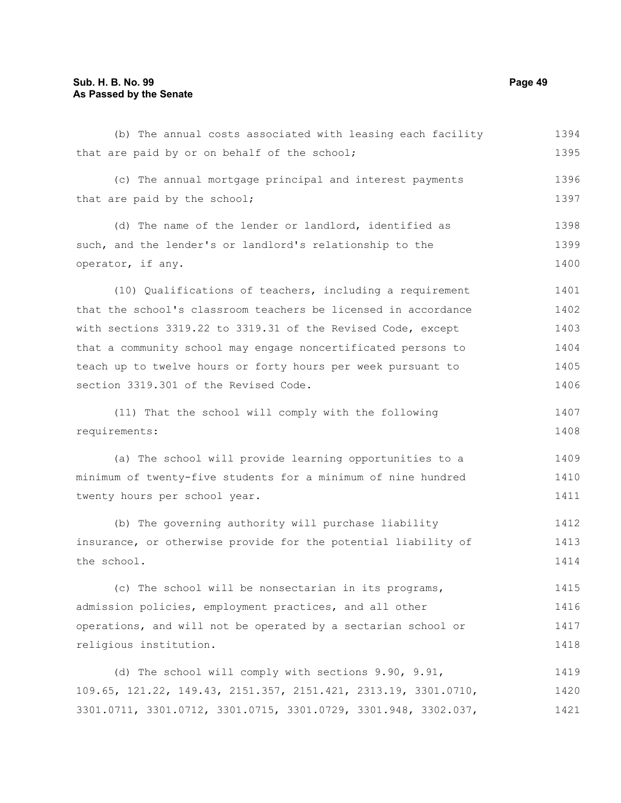# **Sub. H. B. No. 99 Page 49 As Passed by the Senate**

| (b) The annual costs associated with leasing each facility      | 1394 |
|-----------------------------------------------------------------|------|
| that are paid by or on behalf of the school;                    | 1395 |
| (c) The annual mortgage principal and interest payments         | 1396 |
| that are paid by the school;                                    | 1397 |
| (d) The name of the lender or landlord, identified as           | 1398 |
| such, and the lender's or landlord's relationship to the        | 1399 |
| operator, if any.                                               | 1400 |
| (10) Qualifications of teachers, including a requirement        | 1401 |
| that the school's classroom teachers be licensed in accordance  | 1402 |
| with sections 3319.22 to 3319.31 of the Revised Code, except    | 1403 |
| that a community school may engage noncertificated persons to   | 1404 |
| teach up to twelve hours or forty hours per week pursuant to    | 1405 |
| section 3319.301 of the Revised Code.                           | 1406 |
| (11) That the school will comply with the following             | 1407 |
| requirements:                                                   | 1408 |
| (a) The school will provide learning opportunities to a         | 1409 |
| minimum of twenty-five students for a minimum of nine hundred   | 1410 |
| twenty hours per school year.                                   | 1411 |
| (b) The governing authority will purchase liability             | 1412 |
| insurance, or otherwise provide for the potential liability of  | 1413 |
| the school.                                                     | 1414 |
| (c) The school will be nonsectarian in its programs,            | 1415 |
| admission policies, employment practices, and all other         | 1416 |
| operations, and will not be operated by a sectarian school or   | 1417 |
| religious institution.                                          | 1418 |
| (d) The school will comply with sections 9.90, 9.91,            | 1419 |
| 109.65, 121.22, 149.43, 2151.357, 2151.421, 2313.19, 3301.0710, | 1420 |
| 3301.0711, 3301.0712, 3301.0715, 3301.0729, 3301.948, 3302.037, | 1421 |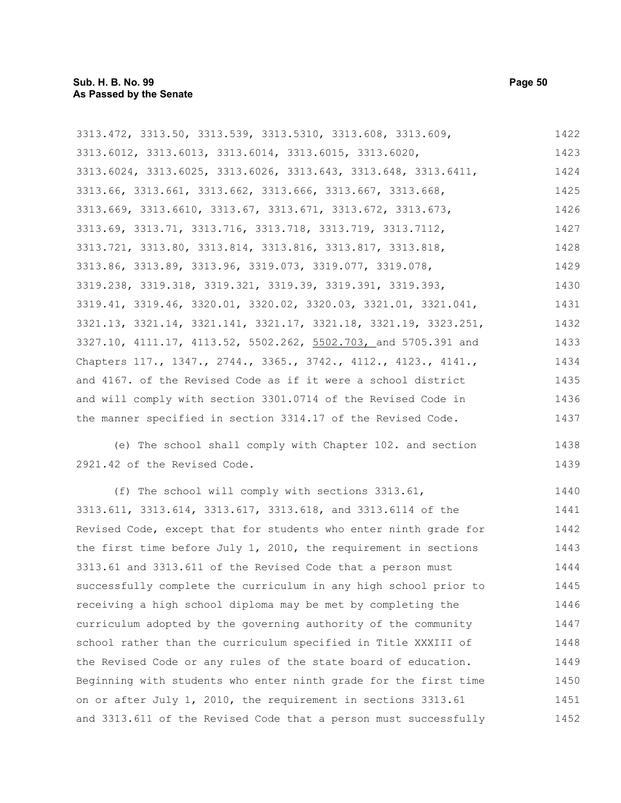| 3313.472, 3313.50, 3313.539, 3313.5310, 3313.608, 3313.609,      | 1422 |
|------------------------------------------------------------------|------|
| 3313.6012, 3313.6013, 3313.6014, 3313.6015, 3313.6020,           | 1423 |
| 3313.6024, 3313.6025, 3313.6026, 3313.643, 3313.648, 3313.6411,  | 1424 |
| 3313.66, 3313.661, 3313.662, 3313.666, 3313.667, 3313.668,       | 1425 |
| 3313.669, 3313.6610, 3313.67, 3313.671, 3313.672, 3313.673,      | 1426 |
| 3313.69, 3313.71, 3313.716, 3313.718, 3313.719, 3313.7112,       | 1427 |
| 3313.721, 3313.80, 3313.814, 3313.816, 3313.817, 3313.818,       | 1428 |
| 3313.86, 3313.89, 3313.96, 3319.073, 3319.077, 3319.078,         | 1429 |
| 3319.238, 3319.318, 3319.321, 3319.39, 3319.391, 3319.393,       | 1430 |
| 3319.41, 3319.46, 3320.01, 3320.02, 3320.03, 3321.01, 3321.041,  | 1431 |
| 3321.13, 3321.14, 3321.141, 3321.17, 3321.18, 3321.19, 3323.251, | 1432 |
| 3327.10, 4111.17, 4113.52, 5502.262, 5502.703, and 5705.391 and  | 1433 |
| Chapters 117., 1347., 2744., 3365., 3742., 4112., 4123., 4141.,  | 1434 |
| and 4167. of the Revised Code as if it were a school district    | 1435 |
| and will comply with section 3301.0714 of the Revised Code in    | 1436 |
| the manner specified in section 3314.17 of the Revised Code.     | 1437 |
| (e) The school shall comply with Chapter 102. and section        | 1438 |
| 2921.42 of the Revised Code.                                     | 1439 |
| (f) The school will comply with sections $3313.61$ ,             | 1440 |
| 3313.611, 3313.614, 3313.617, 3313.618, and 3313.6114 of the     | 1441 |
| Revised Code, except that for students who enter ninth grade for | 1442 |
| the first time before July 1, 2010, the requirement in sections  | 1443 |

the first time before July 1, 2010, the requirement in sections 3313.61 and 3313.611 of the Revised Code that a person must successfully complete the curriculum in any high school prior to receiving a high school diploma may be met by completing the curriculum adopted by the governing authority of the community school rather than the curriculum specified in Title XXXIII of the Revised Code or any rules of the state board of education. Beginning with students who enter ninth grade for the first time on or after July 1, 2010, the requirement in sections 3313.61 and 3313.611 of the Revised Code that a person must successfully 1443 1444 1445 1446 1447 1448 1449 1450 1451 1452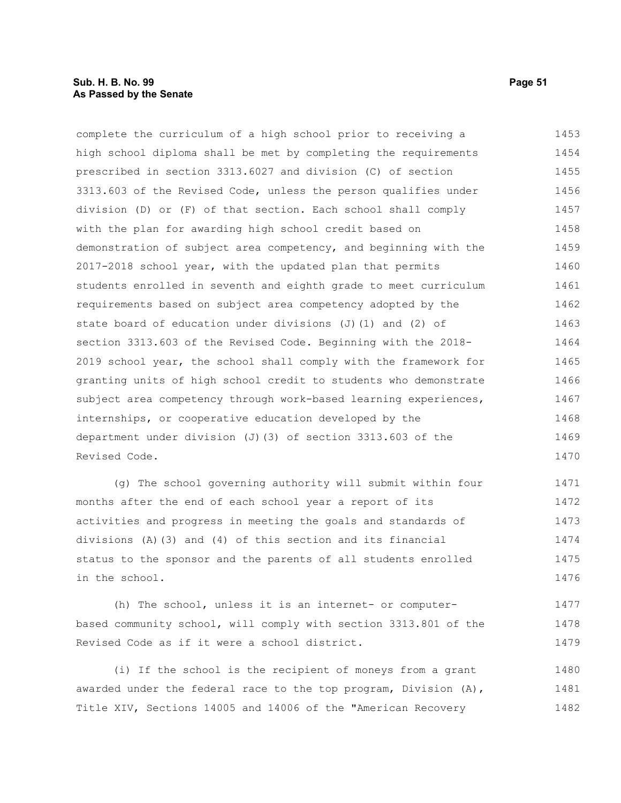complete the curriculum of a high school prior to receiving a high school diploma shall be met by completing the requirements prescribed in section 3313.6027 and division (C) of section 3313.603 of the Revised Code, unless the person qualifies under division (D) or (F) of that section. Each school shall comply with the plan for awarding high school credit based on demonstration of subject area competency, and beginning with the 2017-2018 school year, with the updated plan that permits students enrolled in seventh and eighth grade to meet curriculum requirements based on subject area competency adopted by the state board of education under divisions (J)(1) and (2) of section 3313.603 of the Revised Code. Beginning with the 2018- 2019 school year, the school shall comply with the framework for granting units of high school credit to students who demonstrate subject area competency through work-based learning experiences, internships, or cooperative education developed by the department under division (J)(3) of section 3313.603 of the Revised Code. 1453 1454 1455 1456 1457 1458 1459 1460 1461 1462 1463 1464 1465 1466 1467 1468 1469 1470

(g) The school governing authority will submit within four months after the end of each school year a report of its activities and progress in meeting the goals and standards of divisions (A)(3) and (4) of this section and its financial status to the sponsor and the parents of all students enrolled in the school. 1471 1472 1473 1474 1475 1476

(h) The school, unless it is an internet- or computerbased community school, will comply with section 3313.801 of the Revised Code as if it were a school district. 1477 1478 1479

(i) If the school is the recipient of moneys from a grant awarded under the federal race to the top program, Division  $(A)$ , Title XIV, Sections 14005 and 14006 of the "American Recovery 1480 1481 1482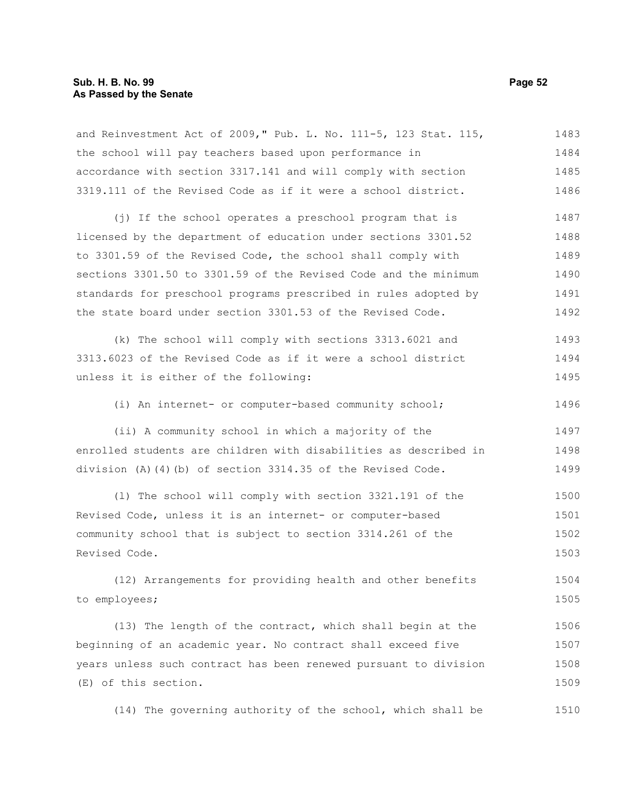and Reinvestment Act of 2009," Pub. L. No. 111-5, 123 Stat. 115, the school will pay teachers based upon performance in accordance with section 3317.141 and will comply with section 3319.111 of the Revised Code as if it were a school district. (j) If the school operates a preschool program that is licensed by the department of education under sections 3301.52 to 3301.59 of the Revised Code, the school shall comply with sections 3301.50 to 3301.59 of the Revised Code and the minimum standards for preschool programs prescribed in rules adopted by the state board under section 3301.53 of the Revised Code. (k) The school will comply with sections 3313.6021 and 3313.6023 of the Revised Code as if it were a school district unless it is either of the following: (i) An internet- or computer-based community school; (ii) A community school in which a majority of the enrolled students are children with disabilities as described in division (A)(4)(b) of section 3314.35 of the Revised Code. (l) The school will comply with section 3321.191 of the Revised Code, unless it is an internet- or computer-based community school that is subject to section 3314.261 of the Revised Code. (12) Arrangements for providing health and other benefits to employees; (13) The length of the contract, which shall begin at the beginning of an academic year. No contract shall exceed five years unless such contract has been renewed pursuant to division (E) of this section. 1483 1484 1485 1486 1487 1488 1489 1490 1491 1492 1493 1494 1495 1496 1497 1498 1499 1500 1501 1502 1503 1504 1505 1506 1507 1508 1509

(14) The governing authority of the school, which shall be 1510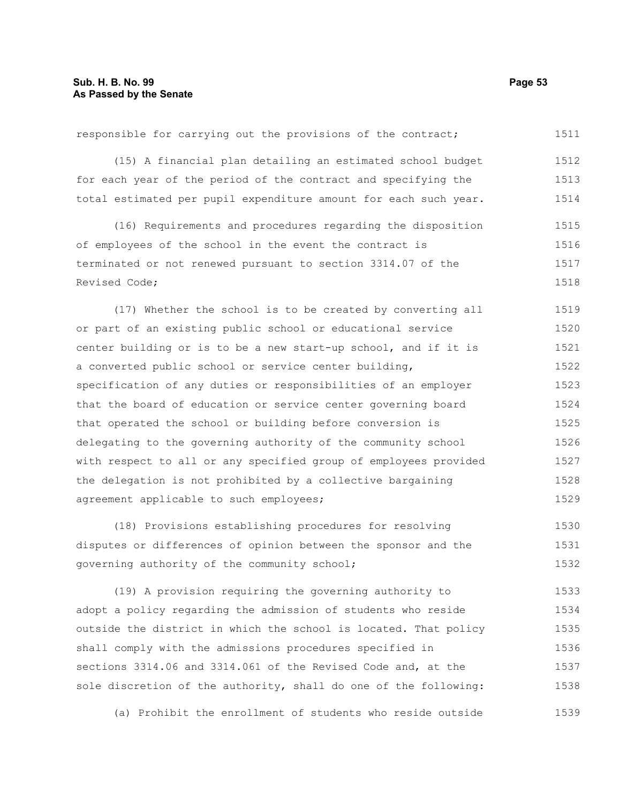| (15) A financial plan detailing an estimated school budget       | 1512   |
|------------------------------------------------------------------|--------|
| for each year of the period of the contract and specifying the   | 1513   |
| total estimated per pupil expenditure amount for each such year. | 1514   |
| (16) Requirements and procedures regarding the disposition       | 1515   |
| of employees of the school in the event the contract is          | 1516   |
| terminated or not renewed pursuant to section 3314.07 of the     | 1517   |
| Revised Code;                                                    | 1518   |
| (17) Whether the school is to be created by converting all       | 1519   |
| or part of an existing public school or educational service      | 1520   |
| center building or is to be a new start-up school, and if it is  | 1521   |
| a converted public school or service center building,            | 1522   |
| specification of any duties or responsibilities of an employer   | 1523   |
| that the board of education or service center governing board    | 1524   |
| that operated the school or building before conversion is        | 1525   |
| delegating to the governing authority of the community school    | 1526   |
| with respect to all or any specified group of employees provided | 1527   |
| the delegation is not prohibited by a collective bargaining      | 1528   |
| agreement applicable to such employees;                          | 1529   |
| (18) Provisions establishing procedures for resolving            | 1530   |
| alandria in algebraica is intuita hibrida pli en anno 2008.      | 1.5.21 |

responsible for carrying out the provisions of the contract;

disputes or differences of opinion between the sponsor and the governing authority of the community school; (19) A provision requiring the governing authority to 1531 1532 1533

adopt a policy regarding the admission of students who reside outside the district in which the school is located. That policy shall comply with the admissions procedures specified in sections 3314.06 and 3314.061 of the Revised Code and, at the sole discretion of the authority, shall do one of the following: 1534 1535 1536 1537 1538

(a) Prohibit the enrollment of students who reside outside 1539

1511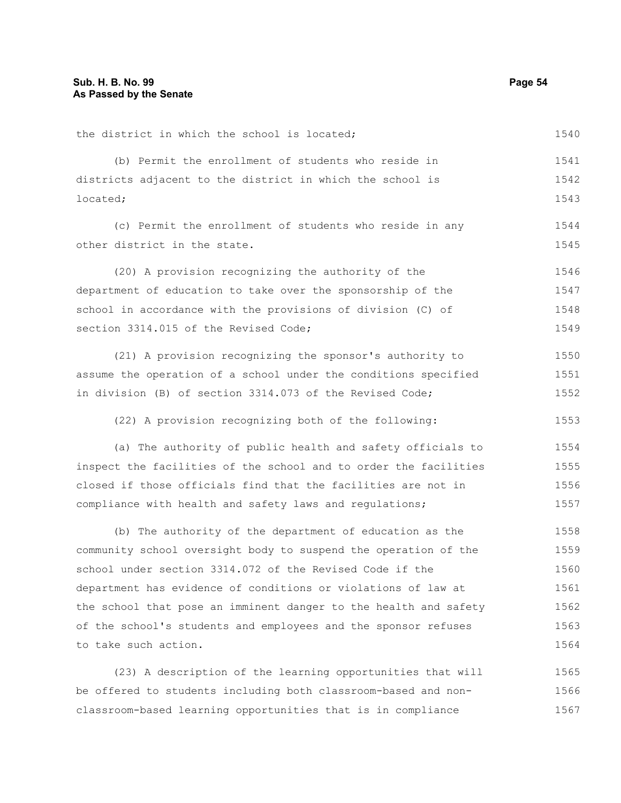| the district in which the school is located;                     | 1540 |
|------------------------------------------------------------------|------|
| (b) Permit the enrollment of students who reside in              | 1541 |
| districts adjacent to the district in which the school is        | 1542 |
| located;                                                         | 1543 |
| (c) Permit the enrollment of students who reside in any          | 1544 |
| other district in the state.                                     | 1545 |
| (20) A provision recognizing the authority of the                | 1546 |
| department of education to take over the sponsorship of the      | 1547 |
| school in accordance with the provisions of division (C) of      | 1548 |
| section 3314.015 of the Revised Code;                            | 1549 |
| (21) A provision recognizing the sponsor's authority to          | 1550 |
| assume the operation of a school under the conditions specified  | 1551 |
| in division (B) of section 3314.073 of the Revised Code;         | 1552 |
| (22) A provision recognizing both of the following:              | 1553 |
| (a) The authority of public health and safety officials to       | 1554 |
| inspect the facilities of the school and to order the facilities | 1555 |
| closed if those officials find that the facilities are not in    | 1556 |
| compliance with health and safety laws and regulations;          | 1557 |
| (b) The authority of the department of education as the          | 1558 |
| community school oversight body to suspend the operation of the  | 1559 |
| school under section 3314.072 of the Revised Code if the         | 1560 |
| department has evidence of conditions or violations of law at    | 1561 |
| the school that pose an imminent danger to the health and safety | 1562 |
| of the school's students and employees and the sponsor refuses   | 1563 |
| to take such action.                                             | 1564 |
| (23) A description of the learning opportunities that will       | 1565 |
| be offered to students including both classroom-based and non-   | 1566 |
| classroom-based learning opportunities that is in compliance     | 1567 |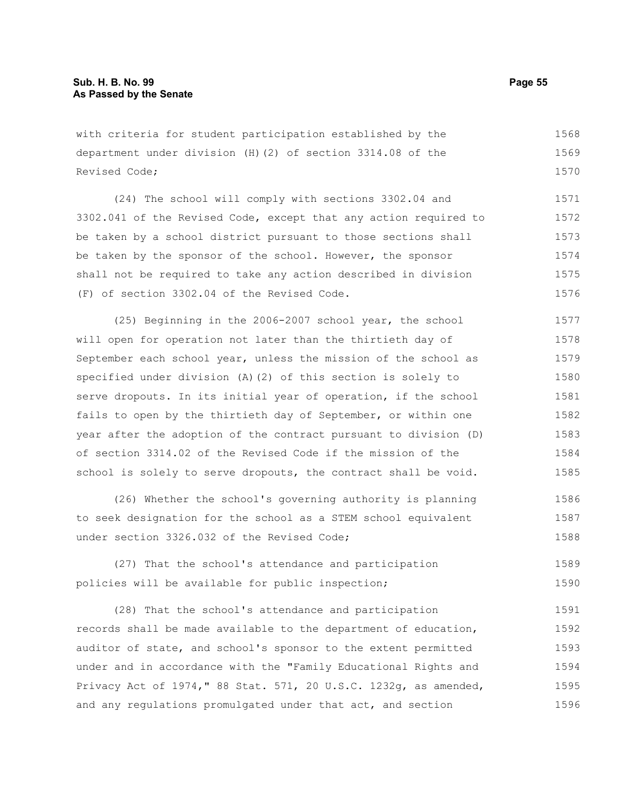with criteria for student participation established by the department under division (H)(2) of section 3314.08 of the Revised Code; 1568 1569 1570

(24) The school will comply with sections 3302.04 and 3302.041 of the Revised Code, except that any action required to be taken by a school district pursuant to those sections shall be taken by the sponsor of the school. However, the sponsor shall not be required to take any action described in division (F) of section 3302.04 of the Revised Code. 1571 1572 1573 1574 1575 1576

(25) Beginning in the 2006-2007 school year, the school will open for operation not later than the thirtieth day of September each school year, unless the mission of the school as specified under division (A)(2) of this section is solely to serve dropouts. In its initial year of operation, if the school fails to open by the thirtieth day of September, or within one year after the adoption of the contract pursuant to division (D) of section 3314.02 of the Revised Code if the mission of the school is solely to serve dropouts, the contract shall be void. 1577 1578 1579 1580 1581 1582 1583 1584 1585

(26) Whether the school's governing authority is planning to seek designation for the school as a STEM school equivalent under section 3326.032 of the Revised Code; 1586 1587 1588

(27) That the school's attendance and participation policies will be available for public inspection; 1589 1590

(28) That the school's attendance and participation records shall be made available to the department of education, auditor of state, and school's sponsor to the extent permitted under and in accordance with the "Family Educational Rights and Privacy Act of 1974," 88 Stat. 571, 20 U.S.C. 1232g, as amended, and any regulations promulgated under that act, and section 1591 1592 1593 1594 1595 1596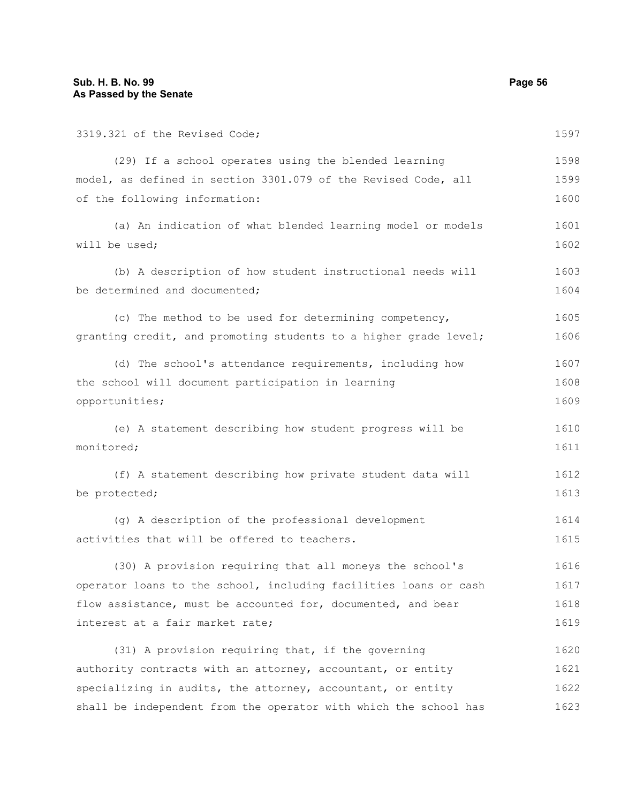3319.321 of the Revised Code; (29) If a school operates using the blended learning model, as defined in section 3301.079 of the Revised Code, all of the following information: (a) An indication of what blended learning model or models will be used; (b) A description of how student instructional needs will be determined and documented; (c) The method to be used for determining competency, granting credit, and promoting students to a higher grade level; (d) The school's attendance requirements, including how the school will document participation in learning opportunities; (e) A statement describing how student progress will be monitored; (f) A statement describing how private student data will be protected; (g) A description of the professional development activities that will be offered to teachers. (30) A provision requiring that all moneys the school's operator loans to the school, including facilities loans or cash flow assistance, must be accounted for, documented, and bear interest at a fair market rate; (31) A provision requiring that, if the governing authority contracts with an attorney, accountant, or entity 1597 1598 1599 1600 1601 1602 1603 1604 1605 1606 1607 1608 1609 1610 1611 1612 1613 1614 1615 1616 1617 1618 1619 1620 1621

specializing in audits, the attorney, accountant, or entity shall be independent from the operator with which the school has 1622 1623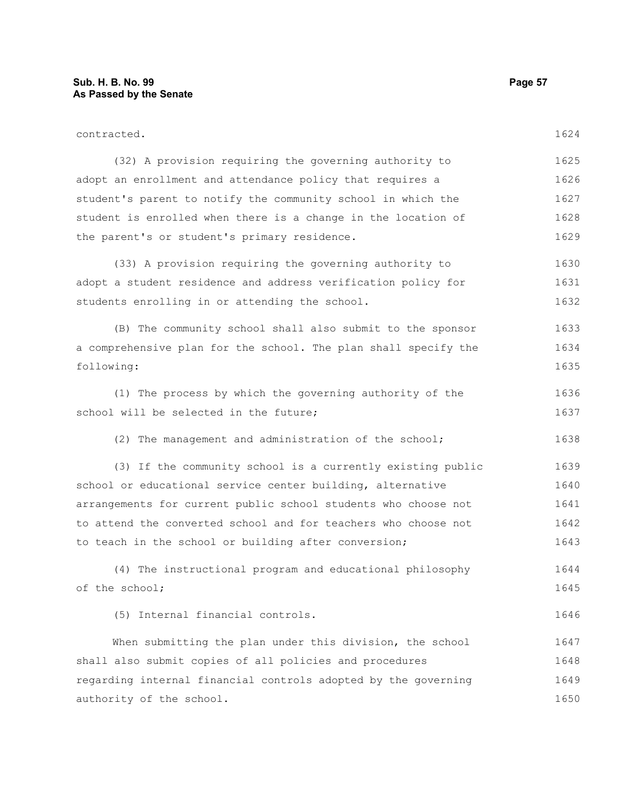| contracted.                                                     | 1624 |
|-----------------------------------------------------------------|------|
| (32) A provision requiring the governing authority to           | 1625 |
| adopt an enrollment and attendance policy that requires a       | 1626 |
| student's parent to notify the community school in which the    | 1627 |
| student is enrolled when there is a change in the location of   | 1628 |
| the parent's or student's primary residence.                    | 1629 |
| (33) A provision requiring the governing authority to           | 1630 |
| adopt a student residence and address verification policy for   | 1631 |
| students enrolling in or attending the school.                  | 1632 |
| (B) The community school shall also submit to the sponsor       | 1633 |
| a comprehensive plan for the school. The plan shall specify the | 1634 |
| following:                                                      | 1635 |
| (1) The process by which the governing authority of the         | 1636 |
| school will be selected in the future;                          | 1637 |
| (2) The management and administration of the school;            | 1638 |
| (3) If the community school is a currently existing public      | 1639 |
| school or educational service center building, alternative      | 1640 |
| arrangements for current public school students who choose not  | 1641 |
| to attend the converted school and for teachers who choose not  | 1642 |
| to teach in the school or building after conversion;            | 1643 |
| (4) The instructional program and educational philosophy        | 1644 |
| of the school;                                                  | 1645 |
| (5) Internal financial controls.                                | 1646 |
| When submitting the plan under this division, the school        | 1647 |
| shall also submit copies of all policies and procedures         | 1648 |
| regarding internal financial controls adopted by the governing  | 1649 |
| authority of the school.                                        | 1650 |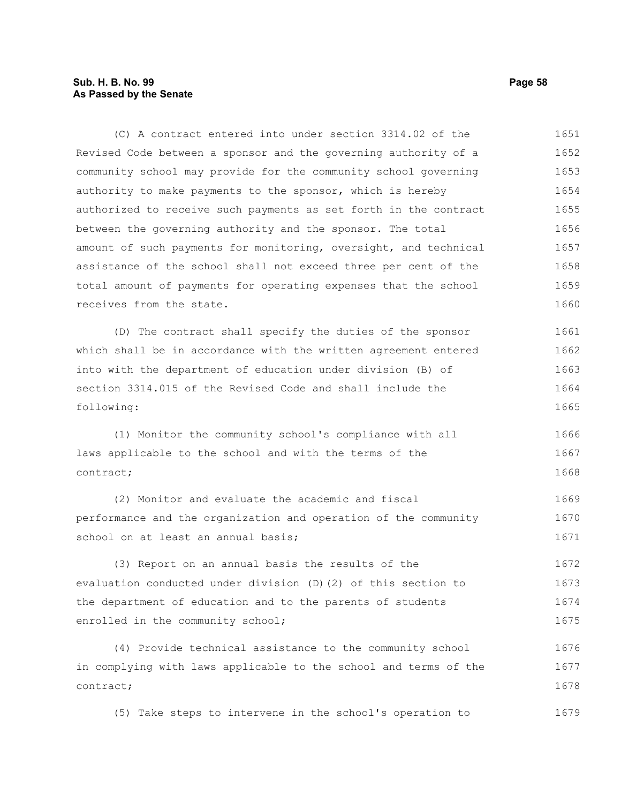## **Sub. H. B. No. 99 Page 58 As Passed by the Senate**

(C) A contract entered into under section 3314.02 of the Revised Code between a sponsor and the governing authority of a community school may provide for the community school governing authority to make payments to the sponsor, which is hereby authorized to receive such payments as set forth in the contract between the governing authority and the sponsor. The total amount of such payments for monitoring, oversight, and technical assistance of the school shall not exceed three per cent of the total amount of payments for operating expenses that the school receives from the state. 1651 1652 1653 1654 1655 1656 1657 1658 1659 1660

(D) The contract shall specify the duties of the sponsor which shall be in accordance with the written agreement entered into with the department of education under division (B) of section 3314.015 of the Revised Code and shall include the following: 1661 1662 1663 1664 1665

(1) Monitor the community school's compliance with all laws applicable to the school and with the terms of the contract; 1666 1667 1668

(2) Monitor and evaluate the academic and fiscal performance and the organization and operation of the community school on at least an annual basis; 1669 1670 1671

(3) Report on an annual basis the results of the evaluation conducted under division (D)(2) of this section to the department of education and to the parents of students enrolled in the community school; 1672 1673 1674 1675

(4) Provide technical assistance to the community school in complying with laws applicable to the school and terms of the contract; 1676 1677 1678

(5) Take steps to intervene in the school's operation to 1679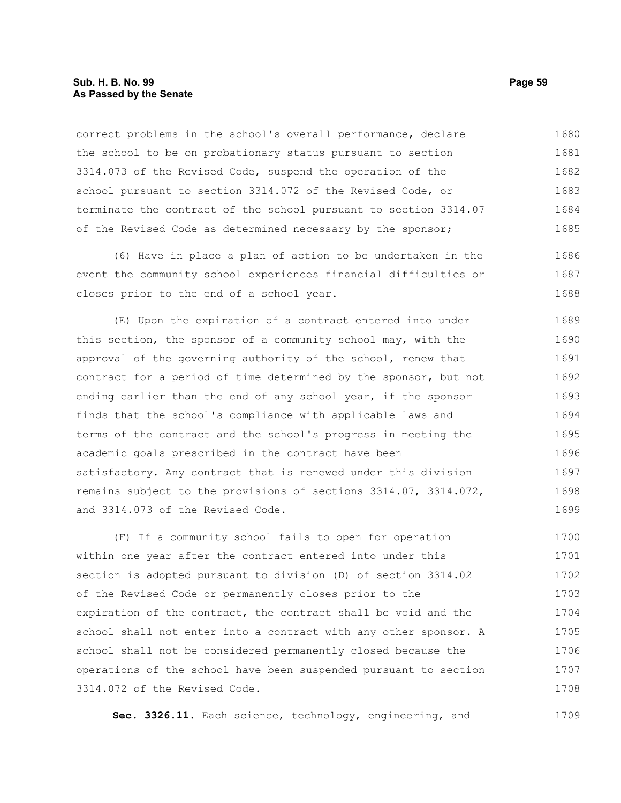### **Sub. H. B. No. 99 Page 59 As Passed by the Senate**

correct problems in the school's overall performance, declare the school to be on probationary status pursuant to section 3314.073 of the Revised Code, suspend the operation of the school pursuant to section 3314.072 of the Revised Code, or terminate the contract of the school pursuant to section 3314.07 of the Revised Code as determined necessary by the sponsor; 1680 1681 1682 1683 1684 1685

(6) Have in place a plan of action to be undertaken in the event the community school experiences financial difficulties or closes prior to the end of a school year. 1686 1687 1688

(E) Upon the expiration of a contract entered into under this section, the sponsor of a community school may, with the approval of the governing authority of the school, renew that contract for a period of time determined by the sponsor, but not ending earlier than the end of any school year, if the sponsor finds that the school's compliance with applicable laws and terms of the contract and the school's progress in meeting the academic goals prescribed in the contract have been satisfactory. Any contract that is renewed under this division remains subject to the provisions of sections 3314.07, 3314.072, and 3314.073 of the Revised Code. 1689 1690 1691 1692 1693 1694 1695 1696 1697 1698 1699

(F) If a community school fails to open for operation within one year after the contract entered into under this section is adopted pursuant to division (D) of section 3314.02 of the Revised Code or permanently closes prior to the expiration of the contract, the contract shall be void and the school shall not enter into a contract with any other sponsor. A school shall not be considered permanently closed because the operations of the school have been suspended pursuant to section 3314.072 of the Revised Code. 1700 1701 1702 1703 1704 1705 1706 1707 1708

**Sec. 3326.11.** Each science, technology, engineering, and 1709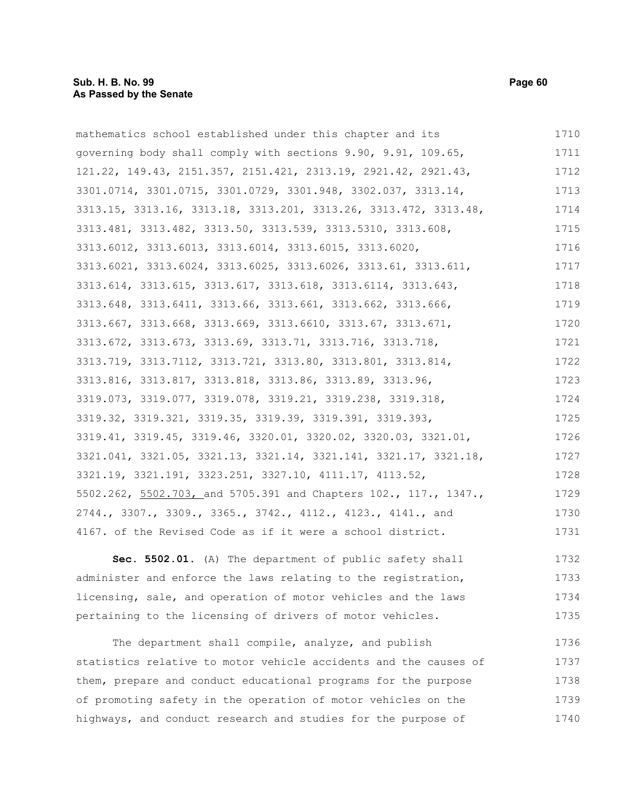| mathematics school established under this chapter and its        | 1710 |
|------------------------------------------------------------------|------|
| governing body shall comply with sections 9.90, 9.91, 109.65,    | 1711 |
| 121.22, 149.43, 2151.357, 2151.421, 2313.19, 2921.42, 2921.43,   | 1712 |
| 3301.0714, 3301.0715, 3301.0729, 3301.948, 3302.037, 3313.14,    | 1713 |
| 3313.15, 3313.16, 3313.18, 3313.201, 3313.26, 3313.472, 3313.48, | 1714 |
| 3313.481, 3313.482, 3313.50, 3313.539, 3313.5310, 3313.608,      | 1715 |
| 3313.6012, 3313.6013, 3313.6014, 3313.6015, 3313.6020,           | 1716 |
| 3313.6021, 3313.6024, 3313.6025, 3313.6026, 3313.61, 3313.611,   | 1717 |
| 3313.614, 3313.615, 3313.617, 3313.618, 3313.6114, 3313.643,     | 1718 |
| 3313.648, 3313.6411, 3313.66, 3313.661, 3313.662, 3313.666,      | 1719 |
| 3313.667, 3313.668, 3313.669, 3313.6610, 3313.67, 3313.671,      | 1720 |
| 3313.672, 3313.673, 3313.69, 3313.71, 3313.716, 3313.718,        | 1721 |
| 3313.719, 3313.7112, 3313.721, 3313.80, 3313.801, 3313.814,      | 1722 |
| 3313.816, 3313.817, 3313.818, 3313.86, 3313.89, 3313.96,         | 1723 |
| 3319.073, 3319.077, 3319.078, 3319.21, 3319.238, 3319.318,       | 1724 |
| 3319.32, 3319.321, 3319.35, 3319.39, 3319.391, 3319.393,         | 1725 |
| 3319.41, 3319.45, 3319.46, 3320.01, 3320.02, 3320.03, 3321.01,   | 1726 |
| 3321.041, 3321.05, 3321.13, 3321.14, 3321.141, 3321.17, 3321.18, | 1727 |
| 3321.19, 3321.191, 3323.251, 3327.10, 4111.17, 4113.52,          | 1728 |
| 5502.262, 5502.703, and 5705.391 and Chapters 102., 117., 1347., | 1729 |
| 2744., 3307., 3309., 3365., 3742., 4112., 4123., 4141., and      | 1730 |
| 4167. of the Revised Code as if it were a school district.       | 1731 |
|                                                                  |      |

**Sec. 5502.01.** (A) The department of public safety shall administer and enforce the laws relating to the registration, licensing, sale, and operation of motor vehicles and the laws pertaining to the licensing of drivers of motor vehicles. 1732 1733 1734 1735

The department shall compile, analyze, and publish statistics relative to motor vehicle accidents and the causes of them, prepare and conduct educational programs for the purpose of promoting safety in the operation of motor vehicles on the highways, and conduct research and studies for the purpose of 1736 1737 1738 1739 1740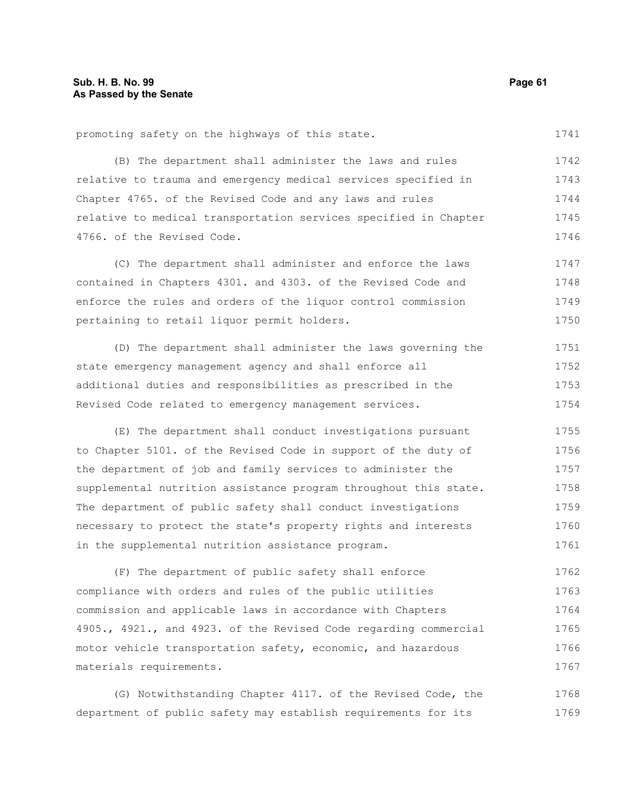promoting safety on the highways of this state.

(B) The department shall administer the laws and rules relative to trauma and emergency medical services specified in Chapter 4765. of the Revised Code and any laws and rules relative to medical transportation services specified in Chapter 4766. of the Revised Code. 1742 1743 1744 1745 1746

(C) The department shall administer and enforce the laws contained in Chapters 4301. and 4303. of the Revised Code and enforce the rules and orders of the liquor control commission pertaining to retail liquor permit holders. 1747 1748 1749 1750

(D) The department shall administer the laws governing the state emergency management agency and shall enforce all additional duties and responsibilities as prescribed in the Revised Code related to emergency management services. 1751 1752 1753 1754

(E) The department shall conduct investigations pursuant to Chapter 5101. of the Revised Code in support of the duty of the department of job and family services to administer the supplemental nutrition assistance program throughout this state. The department of public safety shall conduct investigations necessary to protect the state's property rights and interests in the supplemental nutrition assistance program. 1755 1756 1757 1758 1759 1760 1761

(F) The department of public safety shall enforce compliance with orders and rules of the public utilities commission and applicable laws in accordance with Chapters 4905., 4921., and 4923. of the Revised Code regarding commercial motor vehicle transportation safety, economic, and hazardous materials requirements. 1762 1763 1764 1765 1766 1767

(G) Notwithstanding Chapter 4117. of the Revised Code, the department of public safety may establish requirements for its 1768 1769

1741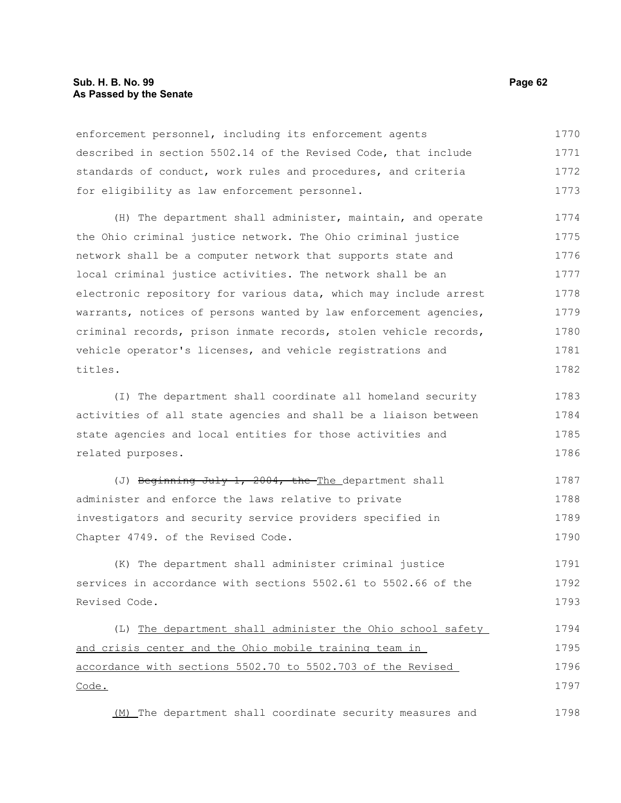enforcement personnel, including its enforcement agents described in section 5502.14 of the Revised Code, that include standards of conduct, work rules and procedures, and criteria for eligibility as law enforcement personnel. 1770 1771 1772 1773

(H) The department shall administer, maintain, and operate the Ohio criminal justice network. The Ohio criminal justice network shall be a computer network that supports state and local criminal justice activities. The network shall be an electronic repository for various data, which may include arrest warrants, notices of persons wanted by law enforcement agencies, criminal records, prison inmate records, stolen vehicle records, vehicle operator's licenses, and vehicle registrations and titles. 1774 1775 1776 1777 1778 1779 1780 1781 1782

(I) The department shall coordinate all homeland security activities of all state agencies and shall be a liaison between state agencies and local entities for those activities and related purposes. 1783 1784 1785 1786

(J) Beginning July 1, 2004, the The department shall administer and enforce the laws relative to private investigators and security service providers specified in Chapter 4749. of the Revised Code. 1787 1788 1789 1790

(K) The department shall administer criminal justice services in accordance with sections 5502.61 to 5502.66 of the Revised Code. 1791 1792 1793

(L) The department shall administer the Ohio school safety and crisis center and the Ohio mobile training team in accordance with sections 5502.70 to 5502.703 of the Revised Code. 1794 1795 1796 1797

(M) The department shall coordinate security measures and 1798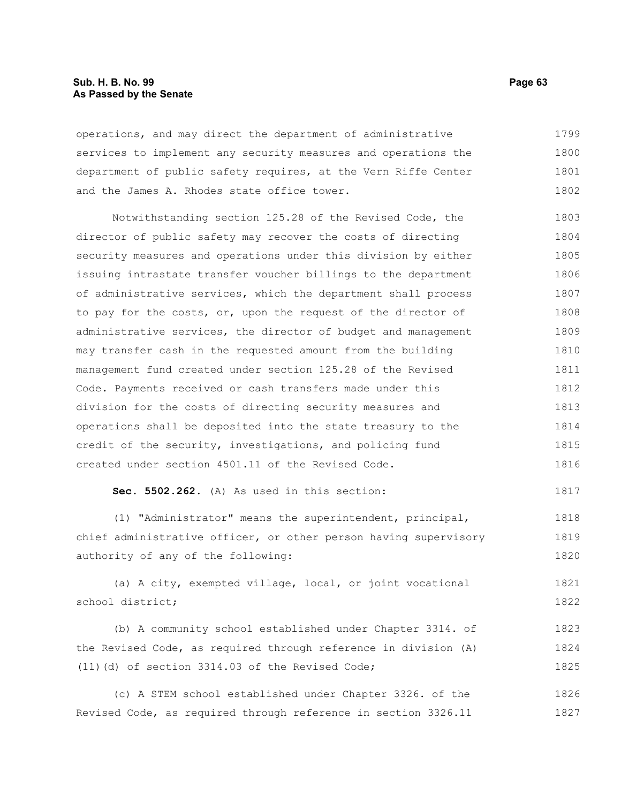operations, and may direct the department of administrative services to implement any security measures and operations the department of public safety requires, at the Vern Riffe Center and the James A. Rhodes state office tower. 1799 1800 1801 1802

Notwithstanding section 125.28 of the Revised Code, the director of public safety may recover the costs of directing security measures and operations under this division by either issuing intrastate transfer voucher billings to the department of administrative services, which the department shall process to pay for the costs, or, upon the request of the director of administrative services, the director of budget and management may transfer cash in the requested amount from the building management fund created under section 125.28 of the Revised Code. Payments received or cash transfers made under this division for the costs of directing security measures and operations shall be deposited into the state treasury to the credit of the security, investigations, and policing fund created under section 4501.11 of the Revised Code. 1803 1804 1805 1806 1807 1808 1809 1810 1811 1812 1813 1814 1815 1816

```
Sec. 5502.262. (A) As used in this section:
                                                                      1817
```
(1) "Administrator" means the superintendent, principal, chief administrative officer, or other person having supervisory authority of any of the following: 1818 1819 1820

(a) A city, exempted village, local, or joint vocational school district; 1821 1822

(b) A community school established under Chapter 3314. of the Revised Code, as required through reference in division (A) (11)(d) of section 3314.03 of the Revised Code; 1823 1824 1825

(c) A STEM school established under Chapter 3326. of the Revised Code, as required through reference in section 3326.11 1826 1827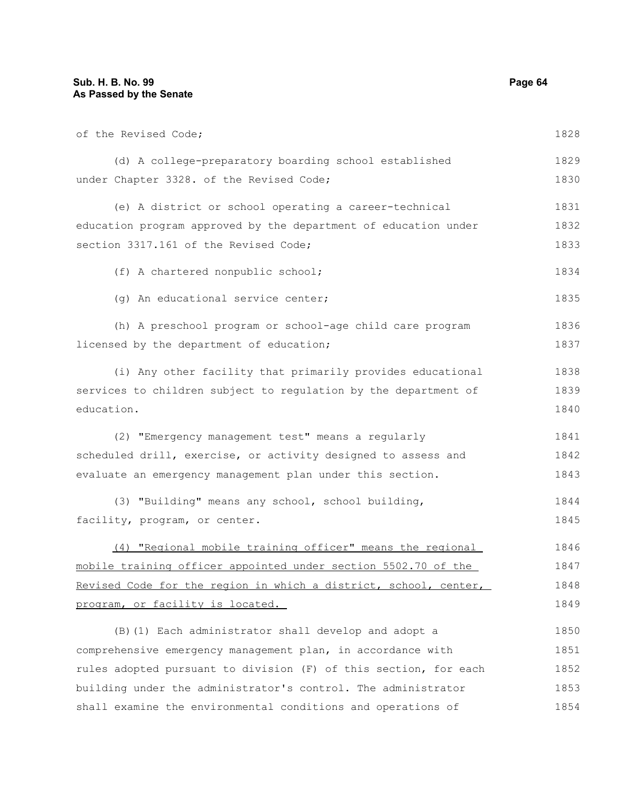of the Revised Code; (d) A college-preparatory boarding school established under Chapter 3328. of the Revised Code; (e) A district or school operating a career-technical education program approved by the department of education under section 3317.161 of the Revised Code; (f) A chartered nonpublic school; (g) An educational service center; (h) A preschool program or school-age child care program licensed by the department of education; (i) Any other facility that primarily provides educational services to children subject to regulation by the department of education. (2) "Emergency management test" means a regularly scheduled drill, exercise, or activity designed to assess and evaluate an emergency management plan under this section. (3) "Building" means any school, school building, facility, program, or center. (4) "Regional mobile training officer" means the regional mobile training officer appointed under section 5502.70 of the Revised Code for the region in which a district, school, center, program, or facility is located. (B)(1) Each administrator shall develop and adopt a 1828 1829 1830 1831 1832 1833 1834 1835 1836 1837 1838 1839 1840 1841 1842 1843 1844 1845 1846 1847 1848 1849 1850

comprehensive emergency management plan, in accordance with rules adopted pursuant to division (F) of this section, for each building under the administrator's control. The administrator shall examine the environmental conditions and operations of 1851 1852 1853 1854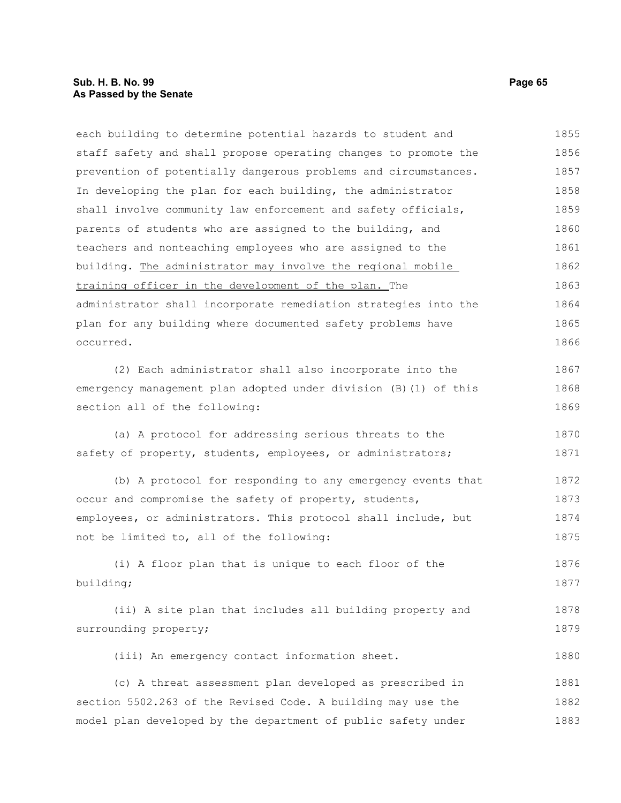## **Sub. H. B. No. 99 Page 65 As Passed by the Senate**

each building to determine potential hazards to student and staff safety and shall propose operating changes to promote the prevention of potentially dangerous problems and circumstances. In developing the plan for each building, the administrator shall involve community law enforcement and safety officials, parents of students who are assigned to the building, and teachers and nonteaching employees who are assigned to the building. The administrator may involve the regional mobile training officer in the development of the plan. The administrator shall incorporate remediation strategies into the plan for any building where documented safety problems have occurred. 1855 1856 1857 1858 1859 1860 1861 1862 1863 1864 1865 1866

(2) Each administrator shall also incorporate into the emergency management plan adopted under division (B)(1) of this section all of the following:

(a) A protocol for addressing serious threats to the safety of property, students, employees, or administrators; 1870 1871

(b) A protocol for responding to any emergency events that occur and compromise the safety of property, students, employees, or administrators. This protocol shall include, but not be limited to, all of the following: 1872 1873 1874 1875

(i) A floor plan that is unique to each floor of the building; 1876 1877

```
(ii) A site plan that includes all building property and
surrounding property;
                                                                            1878
                                                                            1879
```
(iii) An emergency contact information sheet.

(c) A threat assessment plan developed as prescribed in section 5502.263 of the Revised Code. A building may use the model plan developed by the department of public safety under 1881 1882 1883

1867 1868 1869

1880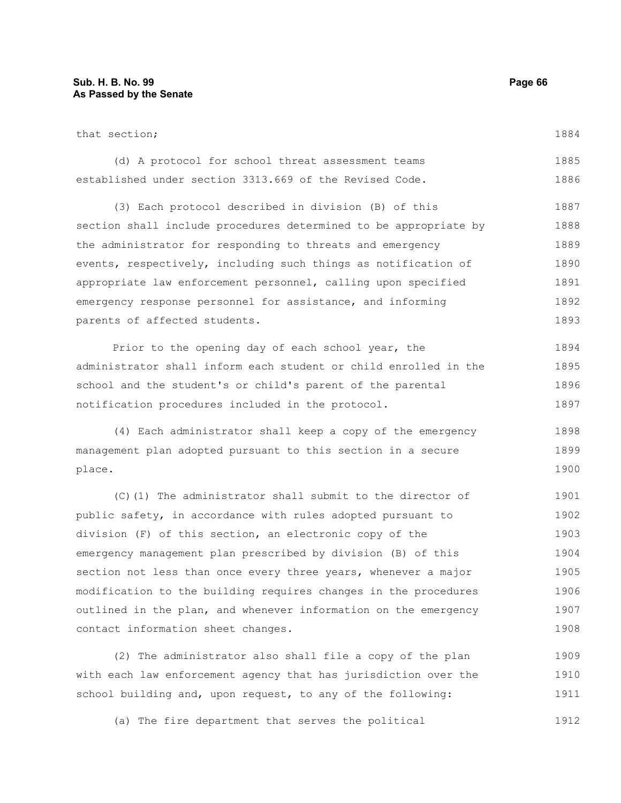| that section;                                                                                                   | 1884                 |
|-----------------------------------------------------------------------------------------------------------------|----------------------|
| (d) A protocol for school threat assessment teams                                                               | 1885                 |
| established under section 3313.669 of the Revised Code.                                                         | 1886                 |
| (3) Each protocol described in division (B) of this                                                             | 1887                 |
| section shall include procedures determined to be appropriate by                                                | 1888                 |
| the administrator for responding to threats and emergency                                                       | 1889                 |
| events, respectively, including such things as notification of                                                  | 1890                 |
| appropriate law enforcement personnel, calling upon specified                                                   | 1891                 |
| emergency response personnel for assistance, and informing                                                      | 1892                 |
| parents of affected students.                                                                                   | 1893                 |
| Prior to the opening day of each school year, the                                                               | 1894                 |
| administrator shall inform each student or child enrolled in the                                                | 1895                 |
| school and the student's or child's parent of the parental                                                      | 1896                 |
| notification procedures included in the protocol.                                                               | 1897                 |
| (4) Each administrator shall keep a copy of the emergency                                                       | 1898                 |
| management plan adopted pursuant to this section in a secure                                                    | 1899                 |
| place.                                                                                                          | 1900                 |
| the contract of the contract of the contract of the contract of the contract of the contract of the contract of | $\sim$ $\sim$ $\sim$ |

(C)(1) The administrator shall submit to the director of public safety, in accordance with rules adopted pursuant to division (F) of this section, an electronic copy of the emergency management plan prescribed by division (B) of this section not less than once every three years, whenever a major modification to the building requires changes in the procedures outlined in the plan, and whenever information on the emergency contact information sheet changes. 1901 1902 1903 1904 1905 1906 1907 1908

(2) The administrator also shall file a copy of the plan with each law enforcement agency that has jurisdiction over the school building and, upon request, to any of the following: 1909 1910 1911

(a) The fire department that serves the political 1912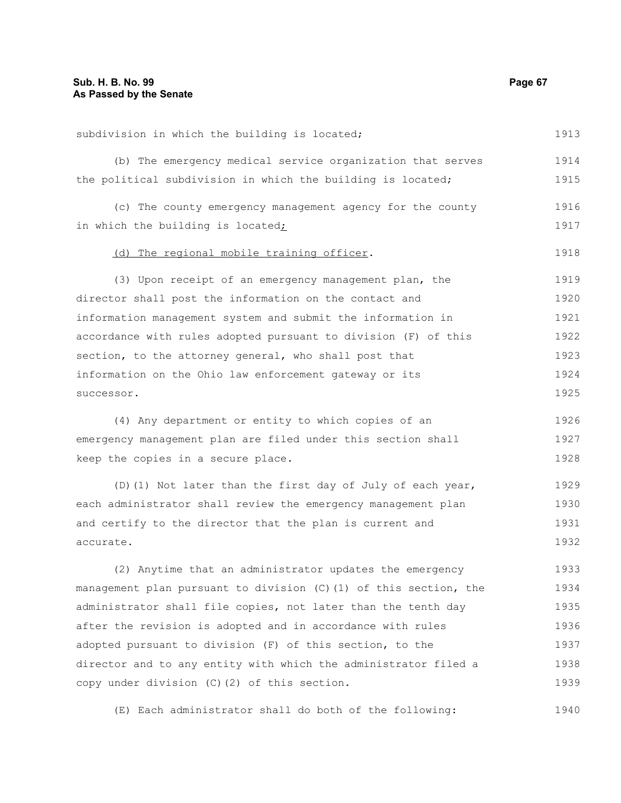| subdivision in which the building is located;                     | 1913 |
|-------------------------------------------------------------------|------|
| (b) The emergency medical service organization that serves        | 1914 |
| the political subdivision in which the building is located;       | 1915 |
| (c) The county emergency management agency for the county         | 1916 |
| in which the building is located;                                 | 1917 |
|                                                                   |      |
| (d) The regional mobile training officer.                         | 1918 |
| (3) Upon receipt of an emergency management plan, the             | 1919 |
| director shall post the information on the contact and            | 1920 |
| information management system and submit the information in       | 1921 |
| accordance with rules adopted pursuant to division (F) of this    | 1922 |
| section, to the attorney general, who shall post that             | 1923 |
| information on the Ohio law enforcement gateway or its            | 1924 |
| successor.                                                        | 1925 |
| (4) Any department or entity to which copies of an                | 1926 |
| emergency management plan are filed under this section shall      | 1927 |
| keep the copies in a secure place.                                | 1928 |
| (D) (1) Not later than the first day of July of each year,        | 1929 |
| each administrator shall review the emergency management plan     | 1930 |
| and certify to the director that the plan is current and          | 1931 |
| accurate.                                                         | 1932 |
| (2) Anytime that an administrator updates the emergency           | 1933 |
| management plan pursuant to division (C) (1) of this section, the | 1934 |
| administrator shall file copies, not later than the tenth day     | 1935 |
| after the revision is adopted and in accordance with rules        | 1936 |
| adopted pursuant to division (F) of this section, to the          | 1937 |
| director and to any entity with which the administrator filed a   | 1938 |
| copy under division (C) (2) of this section.                      | 1939 |

(E) Each administrator shall do both of the following: 1940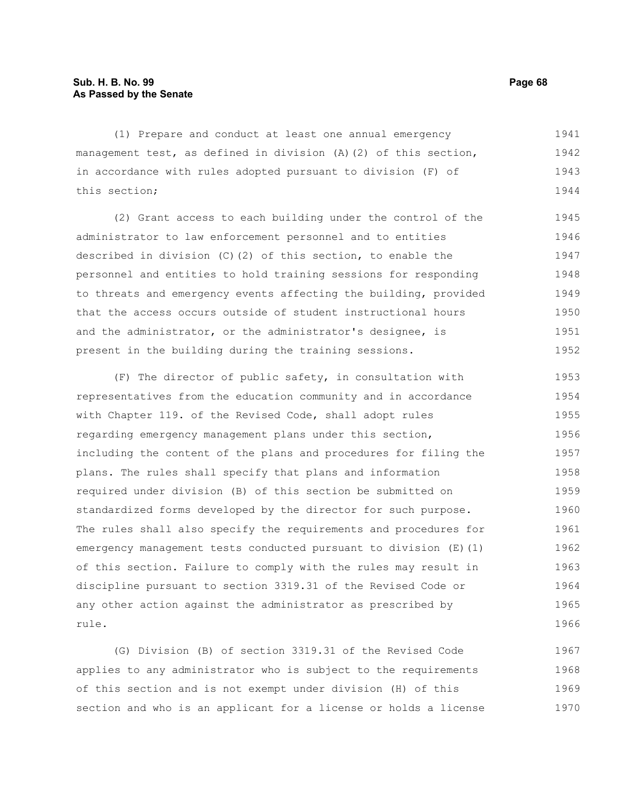(1) Prepare and conduct at least one annual emergency management test, as defined in division (A)(2) of this section, in accordance with rules adopted pursuant to division (F) of this section; 1941 1942 1943 1944

(2) Grant access to each building under the control of the administrator to law enforcement personnel and to entities described in division (C)(2) of this section, to enable the personnel and entities to hold training sessions for responding to threats and emergency events affecting the building, provided that the access occurs outside of student instructional hours and the administrator, or the administrator's designee, is present in the building during the training sessions. 1945 1946 1947 1948 1949 1950 1951 1952

(F) The director of public safety, in consultation with representatives from the education community and in accordance with Chapter 119. of the Revised Code, shall adopt rules regarding emergency management plans under this section, including the content of the plans and procedures for filing the plans. The rules shall specify that plans and information required under division (B) of this section be submitted on standardized forms developed by the director for such purpose. The rules shall also specify the requirements and procedures for emergency management tests conducted pursuant to division (E)(1) of this section. Failure to comply with the rules may result in discipline pursuant to section 3319.31 of the Revised Code or any other action against the administrator as prescribed by rule. 1953 1954 1955 1956 1957 1958 1959 1960 1961 1962 1963 1964 1965 1966

(G) Division (B) of section 3319.31 of the Revised Code applies to any administrator who is subject to the requirements of this section and is not exempt under division (H) of this section and who is an applicant for a license or holds a license 1967 1968 1969 1970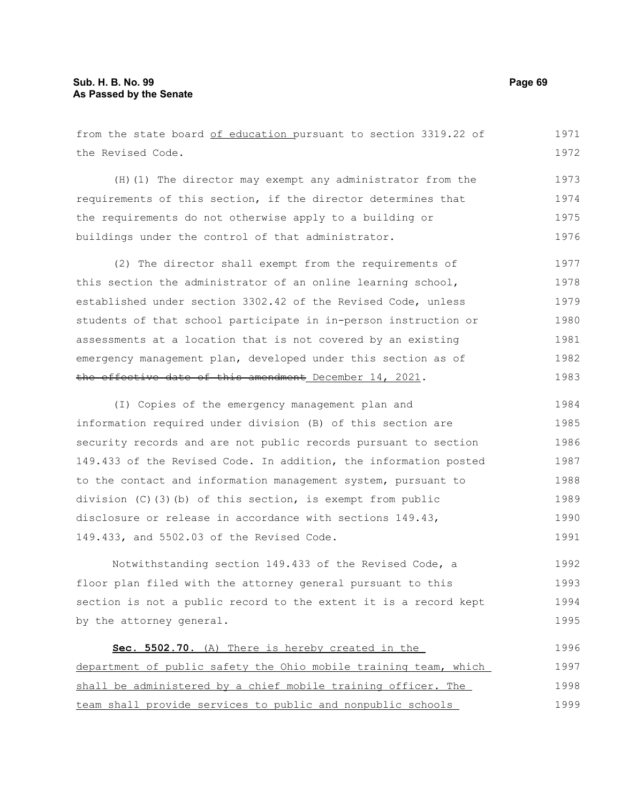from the state board of education pursuant to section 3319.22 of the Revised Code. (H)(1) The director may exempt any administrator from the requirements of this section, if the director determines that the requirements do not otherwise apply to a building or buildings under the control of that administrator. (2) The director shall exempt from the requirements of this section the administrator of an online learning school, established under section 3302.42 of the Revised Code, unless students of that school participate in in-person instruction or assessments at a location that is not covered by an existing emergency management plan, developed under this section as of the effective date of this amendment December 14, 2021. (I) Copies of the emergency management plan and information required under division (B) of this section are security records and are not public records pursuant to section 149.433 of the Revised Code. In addition, the information posted to the contact and information management system, pursuant to division (C)(3)(b) of this section, is exempt from public disclosure or release in accordance with sections 149.43, 149.433, and 5502.03 of the Revised Code. Notwithstanding section 149.433 of the Revised Code, a floor plan filed with the attorney general pursuant to this section is not a public record to the extent it is a record kept by the attorney general. **Sec. 5502.70.** (A) There is hereby created in the department of public safety the Ohio mobile training team, which 1971 1972 1973 1974 1975 1976 1977 1978 1979 1980 1981 1982 1983 1984 1985 1986 1987 1988 1989 1990 1991 1992 1993 1994 1995 1996 1997

shall be administered by a chief mobile training officer. The team shall provide services to public and nonpublic schools 1998 1999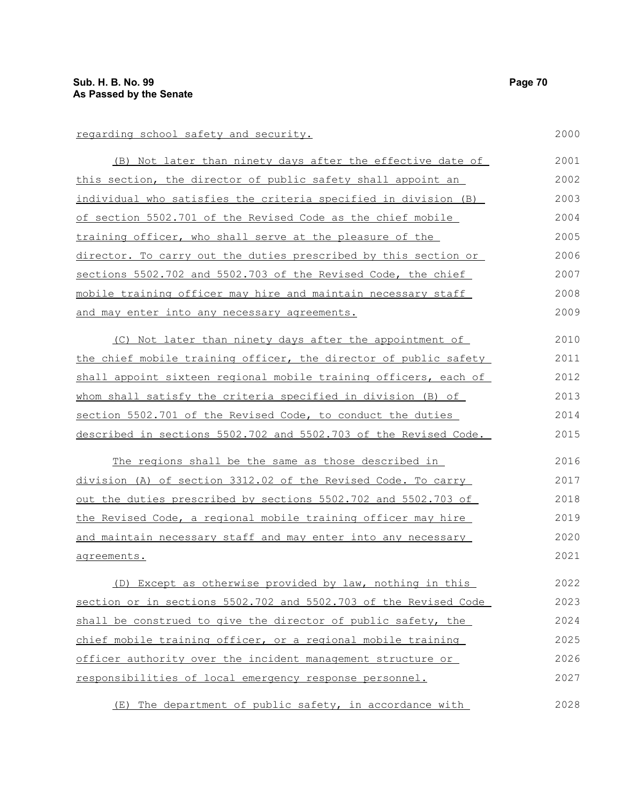| regarding school safety and security.                            | 2000 |
|------------------------------------------------------------------|------|
| (B) Not later than ninety days after the effective date of       | 2001 |
| this section, the director of public safety shall appoint an     | 2002 |
| individual who satisfies the criteria specified in division (B)  | 2003 |
| of section 5502.701 of the Revised Code as the chief mobile      | 2004 |
| training officer, who shall serve at the pleasure of the         | 2005 |
| director. To carry out the duties prescribed by this section or  | 2006 |
| sections 5502.702 and 5502.703 of the Revised Code, the chief    | 2007 |
| mobile training officer may hire and maintain necessary staff    | 2008 |
| and may enter into any necessary agreements.                     | 2009 |
| (C) Not later than ninety days after the appointment of          | 2010 |
| the chief mobile training officer, the director of public safety | 2011 |
| shall appoint sixteen regional mobile training officers, each of | 2012 |
| whom shall satisfy the criteria specified in division (B) of     | 2013 |
| section 5502.701 of the Revised Code, to conduct the duties      | 2014 |
| described in sections 5502.702 and 5502.703 of the Revised Code. | 2015 |
| The regions shall be the same as those described in              | 2016 |
| division (A) of section 3312.02 of the Revised Code. To carry    | 2017 |
| out the duties prescribed by sections 5502.702 and 5502.703 of   | 2018 |
| the Revised Code, a regional mobile training officer may hire    | 2019 |
| and maintain necessary staff and may enter into any necessary    | 2020 |
| agreements.                                                      | 2021 |
| (D) Except as otherwise provided by law, nothing in this         | 2022 |
| section or in sections 5502.702 and 5502.703 of the Revised Code | 2023 |
| shall be construed to give the director of public safety, the    | 2024 |
| chief mobile training officer, or a regional mobile training     | 2025 |
| officer authority over the incident management structure or      | 2026 |
| responsibilities of local emergency response personnel.          | 2027 |

(E) The department of public safety, in accordance with 2028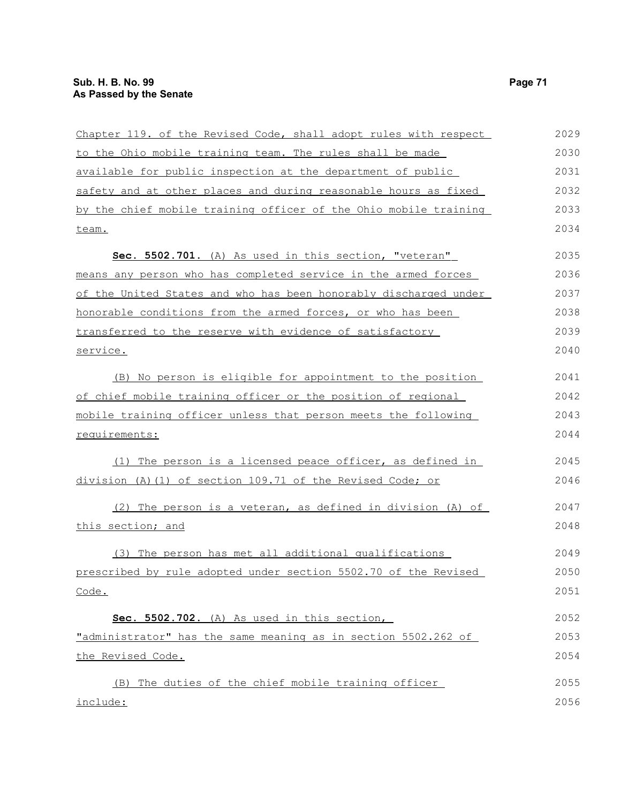| Chapter 119. of the Revised Code, shall adopt rules with respect | 2029 |
|------------------------------------------------------------------|------|
| to the Ohio mobile training team. The rules shall be made        | 2030 |
| available for public inspection at the department of public      | 2031 |
| safety and at other places and during reasonable hours as fixed  | 2032 |
| by the chief mobile training officer of the Ohio mobile training | 2033 |
| team.                                                            | 2034 |
| Sec. 5502.701. (A) As used in this section, "veteran"            | 2035 |
| means any person who has completed service in the armed forces   | 2036 |
| of the United States and who has been honorably discharged under | 2037 |
| honorable conditions from the armed forces, or who has been      | 2038 |
| transferred to the reserve with evidence of satisfactory         | 2039 |
| service.                                                         | 2040 |
| (B) No person is eligible for appointment to the position        | 2041 |
| of chief mobile training officer or the position of regional     | 2042 |
| mobile training officer unless that person meets the following   | 2043 |
| requirements:                                                    | 2044 |
| (1) The person is a licensed peace officer, as defined in        | 2045 |
| division (A) (1) of section 109.71 of the Revised Code; or       | 2046 |
| (2) The person is a veteran, as defined in division (A) of       | 2047 |
| this section; and                                                | 2048 |
| (3) The person has met all additional qualifications             | 2049 |
| prescribed by rule adopted under section 5502.70 of the Revised  | 2050 |
| Code.                                                            | 2051 |
| Sec. 5502.702. (A) As used in this section,                      | 2052 |
| "administrator" has the same meaning as in section 5502.262 of   | 2053 |
| the Revised Code.                                                | 2054 |
| The duties of the chief mobile training officer<br>(B)           | 2055 |
| include:                                                         | 2056 |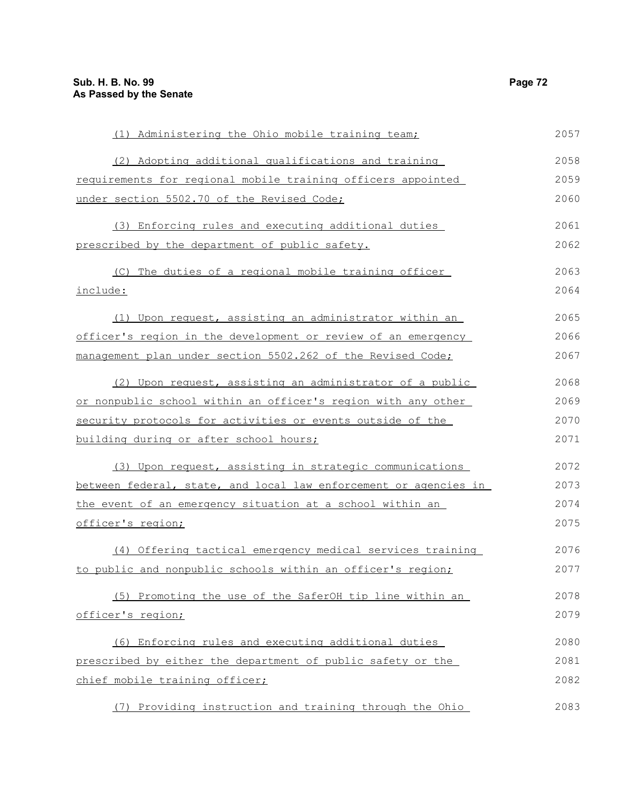| (1) Administering the Ohio mobile training team;                 | 2057 |
|------------------------------------------------------------------|------|
| (2) Adopting additional qualifications and training              | 2058 |
| requirements for regional mobile training officers appointed     | 2059 |
| under section 5502.70 of the Revised Code;                       | 2060 |
| (3) Enforcing rules and executing additional duties              | 2061 |
| prescribed by the department of public safety.                   | 2062 |
| (C) The duties of a regional mobile training officer             | 2063 |
| include:                                                         | 2064 |
| (1) Upon request, assisting an administrator within an           | 2065 |
| officer's region in the development or review of an emergency    | 2066 |
| management plan under section 5502.262 of the Revised Code;      | 2067 |
| (2) Upon request, assisting an administrator of a public         | 2068 |
| or nonpublic school within an officer's region with any other    | 2069 |
| security protocols for activities or events outside of the       | 2070 |
| building during or after school hours;                           | 2071 |
| (3) Upon request, assisting in strategic communications          | 2072 |
| between federal, state, and local law enforcement or agencies in | 2073 |
| the event of an emergency situation at a school within an        | 2074 |
| officer's region;                                                | 2075 |
| (4) Offering tactical emergency medical services training        | 2076 |
| to public and nonpublic schools within an officer's region;      | 2077 |
| (5) Promoting the use of the SaferOH tip line within an          | 2078 |
| officer's region;                                                | 2079 |
| (6) Enforcing rules and executing additional duties              | 2080 |
| prescribed by either the department of public safety or the      | 2081 |
| chief mobile training officer;                                   | 2082 |
| (7) Providing instruction and training through the Ohio          | 2083 |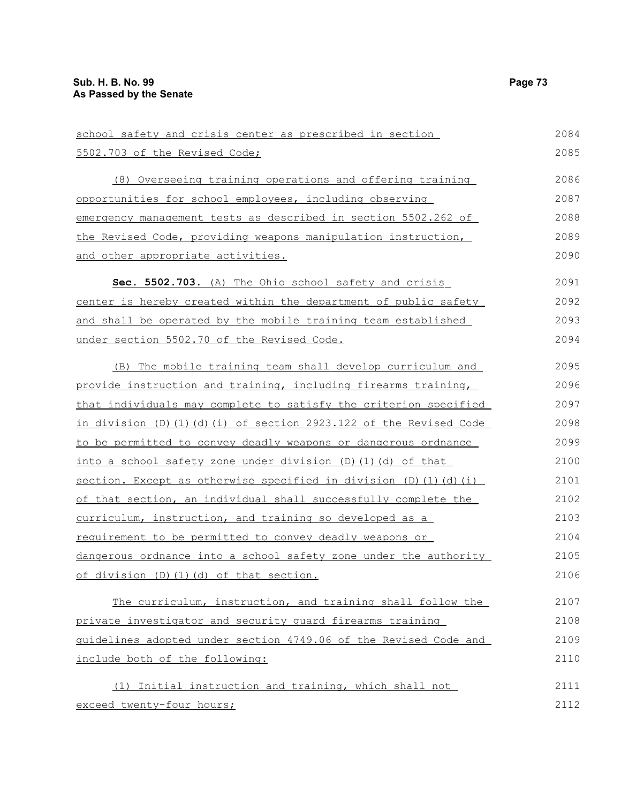| school safety and crisis center as prescribed in section         | 2084 |  |  |  |  |
|------------------------------------------------------------------|------|--|--|--|--|
| 5502.703 of the Revised Code;                                    | 2085 |  |  |  |  |
| (8) Overseeing training operations and offering training         | 2086 |  |  |  |  |
| opportunities for school employees, including observing          |      |  |  |  |  |
| emergency management tests as described in section 5502.262 of   |      |  |  |  |  |
| the Revised Code, providing weapons manipulation instruction,    | 2089 |  |  |  |  |
| and other appropriate activities.                                | 2090 |  |  |  |  |
| Sec. 5502.703. (A) The Ohio school safety and crisis             | 2091 |  |  |  |  |
| center is hereby created within the department of public safety  | 2092 |  |  |  |  |
| and shall be operated by the mobile training team established    | 2093 |  |  |  |  |
| under section 5502.70 of the Revised Code.                       | 2094 |  |  |  |  |
| (B) The mobile training team shall develop curriculum and        | 2095 |  |  |  |  |
| provide instruction and training, including firearms training,   | 2096 |  |  |  |  |
| that individuals may complete to satisfy the criterion specified | 2097 |  |  |  |  |
| in division (D)(1)(d)(i) of section 2923.122 of the Revised Code | 2098 |  |  |  |  |
| to be permitted to convey deadly weapons or dangerous ordnance   | 2099 |  |  |  |  |
| into a school safety zone under division (D)(1)(d) of that       | 2100 |  |  |  |  |
| section. Except as otherwise specified in division (D)(1)(d)(i)  | 2101 |  |  |  |  |
| of that section, an individual shall successfully complete the   | 2102 |  |  |  |  |
| curriculum, instruction, and training so developed as a          | 2103 |  |  |  |  |
| requirement to be permitted to convey deadly weapons or          | 2104 |  |  |  |  |
| dangerous ordnance into a school safety zone under the authority | 2105 |  |  |  |  |
| of division (D) (1) (d) of that section.                         | 2106 |  |  |  |  |
| The curriculum, instruction, and training shall follow the       | 2107 |  |  |  |  |
| private investigator and security quard firearms training        | 2108 |  |  |  |  |
| quidelines adopted under section 4749.06 of the Revised Code and | 2109 |  |  |  |  |
| include both of the following:                                   | 2110 |  |  |  |  |
| (1) Initial instruction and training, which shall not            | 2111 |  |  |  |  |
| exceed twenty-four hours;                                        | 2112 |  |  |  |  |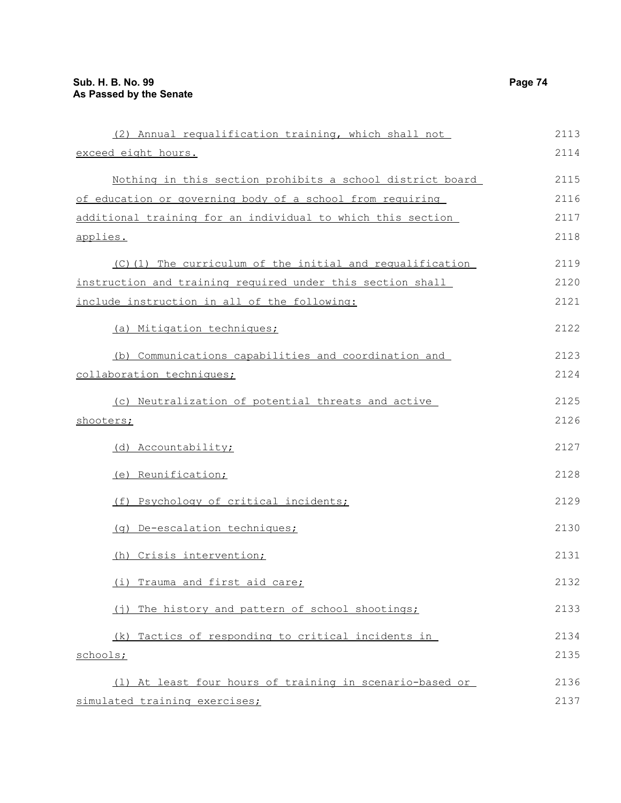| (2) Annual requalification training, which shall not        |      |  |  |  |
|-------------------------------------------------------------|------|--|--|--|
| exceed eight hours.                                         | 2114 |  |  |  |
| Nothing in this section prohibits a school district board   | 2115 |  |  |  |
| of education or governing body of a school from requiring   | 2116 |  |  |  |
| additional training for an individual to which this section | 2117 |  |  |  |
| applies.                                                    | 2118 |  |  |  |
| (C)(1) The curriculum of the initial and requalification    | 2119 |  |  |  |
| instruction and training required under this section shall  |      |  |  |  |
| include instruction in all of the following:                | 2121 |  |  |  |
| (a) Mitigation techniques;                                  | 2122 |  |  |  |
| (b) Communications capabilities and coordination and        | 2123 |  |  |  |
| collaboration techniques;                                   | 2124 |  |  |  |
| (c) Neutralization of potential threats and active          | 2125 |  |  |  |
| shooters;                                                   | 2126 |  |  |  |
| (d) Accountability;                                         | 2127 |  |  |  |
| (e) Reunification;                                          | 2128 |  |  |  |
| (f) Psychology of critical incidents;                       | 2129 |  |  |  |
| (g) De-escalation techniques;                               | 2130 |  |  |  |
| (h) Crisis intervention;                                    | 2131 |  |  |  |
| (i) Trauma and first aid care;                              | 2132 |  |  |  |
| (j) The history and pattern of school shootings;            | 2133 |  |  |  |
| (k) Tactics of responding to critical incidents in          | 2134 |  |  |  |
| schools;                                                    | 2135 |  |  |  |
| (1) At least four hours of training in scenario-based or    | 2136 |  |  |  |
| simulated training exercises;                               | 2137 |  |  |  |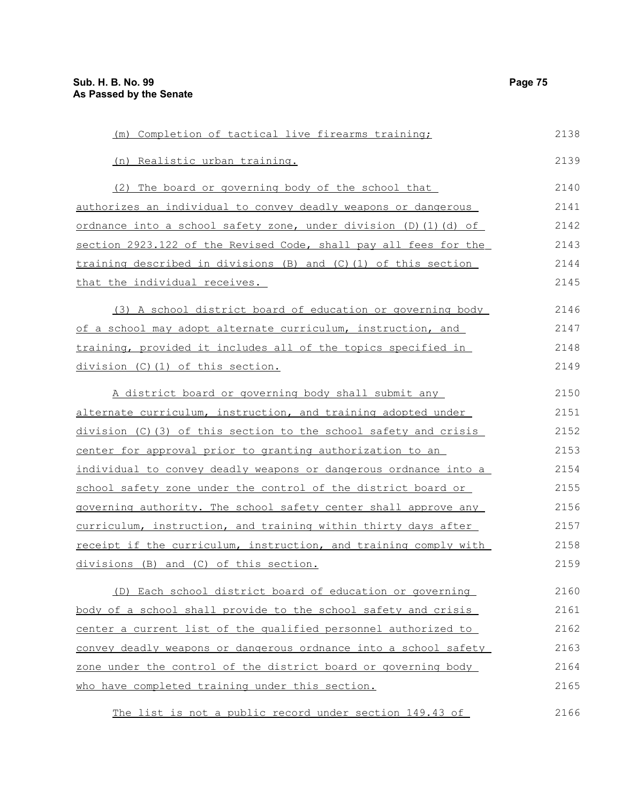| (m) Completion of tactical live firearms training;                      | 2138 |
|-------------------------------------------------------------------------|------|
| (n) Realistic urban training.                                           | 2139 |
| (2) The board or governing body of the school that                      | 2140 |
| authorizes an individual to convey deadly weapons or dangerous          | 2141 |
| <u>ordnance into a school safety zone, under division (D)(1)(d) of </u> | 2142 |
| section 2923.122 of the Revised Code, shall pay all fees for the        | 2143 |
| training described in divisions (B) and (C)(1) of this section          | 2144 |
| that the individual receives.                                           | 2145 |
| (3) A school district board of education or governing body              | 2146 |
| of a school may adopt alternate curriculum, instruction, and            | 2147 |
| training, provided it includes all of the topics specified in           | 2148 |
| division (C)(1) of this section.                                        | 2149 |
| A district board or governing body shall submit any                     | 2150 |
| alternate curriculum, instruction, and training adopted under           | 2151 |
| division (C)(3) of this section to the school safety and crisis         | 2152 |
| center for approval prior to granting authorization to an               | 2153 |
| individual to convey deadly weapons or dangerous ordnance into a        | 2154 |
| school safety zone under the control of the district board or           | 2155 |
| governing authority. The school safety center shall approve any         | 2156 |
| curriculum, instruction, and training within thirty days after          | 2157 |
| receipt if the curriculum, instruction, and training comply with        | 2158 |
| divisions (B) and (C) of this section.                                  | 2159 |
| (D) Each school district board of education or governing                | 2160 |
| body of a school shall provide to the school safety and crisis          | 2161 |
| center a current list of the qualified personnel authorized to          | 2162 |
| convey deadly weapons or dangerous ordnance into a school safety        | 2163 |
| zone under the control of the district board or governing body          | 2164 |
| who have completed training under this section.                         | 2165 |
|                                                                         |      |

The list is not a public record under section 149.43 of 2166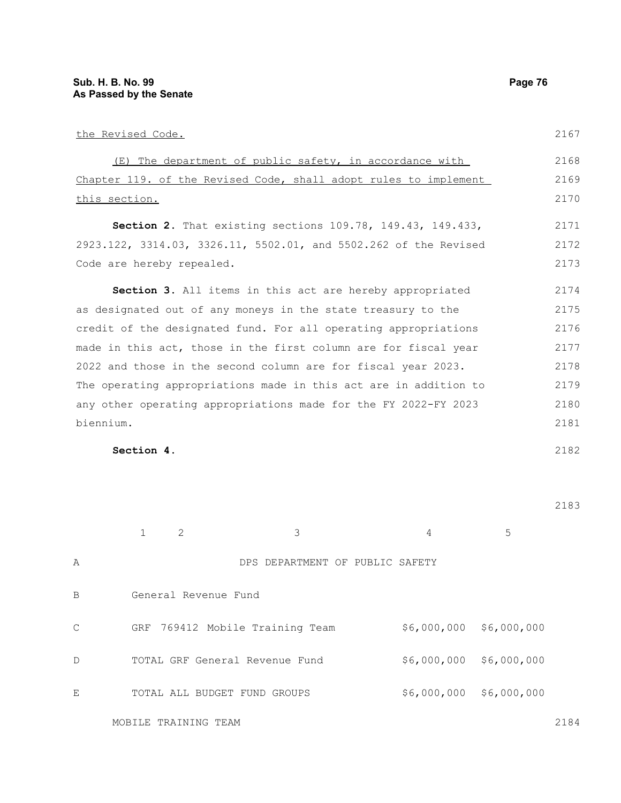|              | the Revised Code.                                                |                                                                  |             |             | 2167 |  |
|--------------|------------------------------------------------------------------|------------------------------------------------------------------|-------------|-------------|------|--|
|              | (E)                                                              | The department of public safety, in accordance with              |             |             | 2168 |  |
|              | Chapter 119. of the Revised Code, shall adopt rules to implement |                                                                  |             |             |      |  |
|              | this section.                                                    |                                                                  |             |             |      |  |
|              |                                                                  | Section 2. That existing sections 109.78, 149.43, 149.433,       |             |             | 2171 |  |
|              |                                                                  | 2923.122, 3314.03, 3326.11, 5502.01, and 5502.262 of the Revised |             |             | 2172 |  |
|              | Code are hereby repealed.                                        |                                                                  |             |             |      |  |
|              |                                                                  | Section 3. All items in this act are hereby appropriated         |             |             | 2174 |  |
|              | as designated out of any moneys in the state treasury to the     |                                                                  |             |             |      |  |
|              | credit of the designated fund. For all operating appropriations  |                                                                  |             |             |      |  |
|              | made in this act, those in the first column are for fiscal year  |                                                                  |             |             |      |  |
|              | 2022 and those in the second column are for fiscal year 2023.    |                                                                  |             |             |      |  |
|              | The operating appropriations made in this act are in addition to |                                                                  |             |             |      |  |
|              | any other operating appropriations made for the FY 2022-FY 2023  |                                                                  |             |             |      |  |
| biennium.    |                                                                  |                                                                  |             |             | 2181 |  |
|              | Section 4.                                                       |                                                                  |             |             | 2182 |  |
|              |                                                                  |                                                                  |             |             |      |  |
|              |                                                                  |                                                                  |             |             | 2183 |  |
|              | 2<br>1                                                           | 3                                                                | 4           | 5           |      |  |
| Α            |                                                                  | DPS DEPARTMENT OF PUBLIC SAFETY                                  |             |             |      |  |
|              |                                                                  |                                                                  |             |             |      |  |
| В            | General Revenue Fund                                             |                                                                  |             |             |      |  |
| $\mathsf{C}$ |                                                                  | GRF 769412 Mobile Training Team                                  | \$6,000,000 | \$6,000,000 |      |  |
| D            | TOTAL GRF General Revenue Fund                                   |                                                                  | \$6,000,000 | \$6,000,000 |      |  |
| Е            | TOTAL ALL BUDGET FUND GROUPS                                     |                                                                  | \$6,000,000 | \$6,000,000 |      |  |

MOBILE TRAINING TEAM

2184